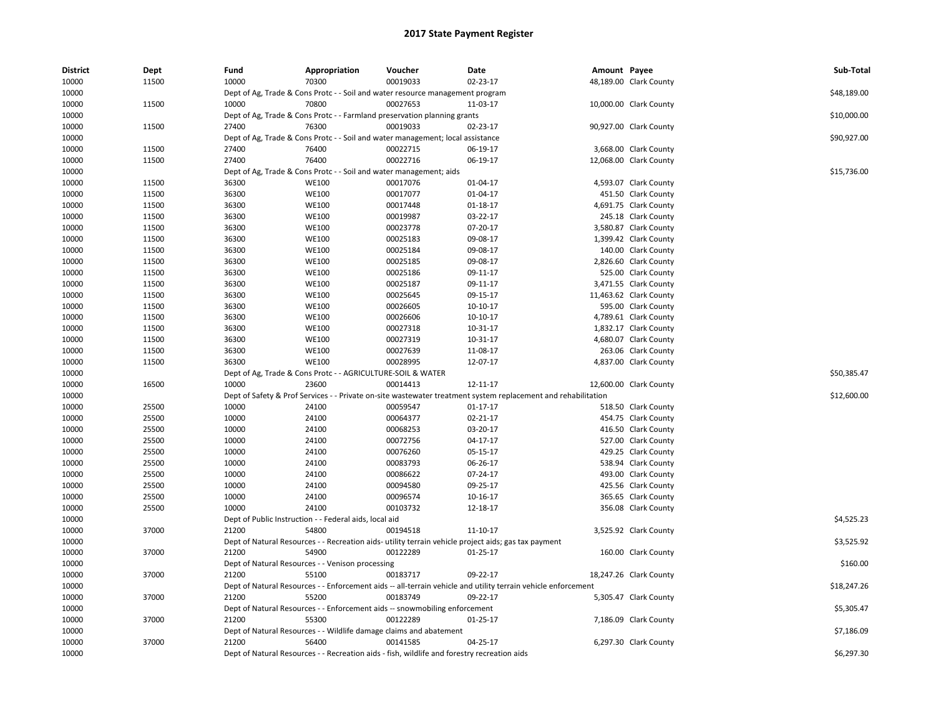| <b>District</b> | <b>Dept</b> | Fund  | Appropriation                                               | Voucher                                                                                     | Date                                                                                                          | Amount Payee |                        | Sub-Total   |
|-----------------|-------------|-------|-------------------------------------------------------------|---------------------------------------------------------------------------------------------|---------------------------------------------------------------------------------------------------------------|--------------|------------------------|-------------|
| 10000           | 11500       | 10000 | 70300                                                       | 00019033                                                                                    | 02-23-17                                                                                                      |              | 48,189.00 Clark County |             |
| 10000           |             |       |                                                             | Dept of Ag, Trade & Cons Protc - - Soil and water resource management program               |                                                                                                               |              |                        | \$48,189.00 |
| 10000           | 11500       | 10000 | 70800                                                       | 00027653                                                                                    | 11-03-17                                                                                                      |              | 10,000.00 Clark County |             |
| 10000           |             |       |                                                             | Dept of Ag, Trade & Cons Protc - - Farmland preservation planning grants                    |                                                                                                               |              |                        | \$10,000.00 |
| 10000           | 11500       | 27400 | 76300                                                       | 00019033                                                                                    | 02-23-17                                                                                                      |              | 90,927.00 Clark County |             |
| 10000           |             |       |                                                             | Dept of Ag, Trade & Cons Protc - - Soil and water management; local assistance              |                                                                                                               |              |                        | \$90,927.00 |
| 10000           | 11500       | 27400 | 76400                                                       | 00022715                                                                                    | 06-19-17                                                                                                      |              | 3,668.00 Clark County  |             |
| 10000           | 11500       | 27400 | 76400                                                       | 00022716                                                                                    | 06-19-17                                                                                                      |              | 12,068.00 Clark County |             |
| 10000           |             |       |                                                             | Dept of Ag, Trade & Cons Protc - - Soil and water management; aids                          |                                                                                                               |              |                        | \$15,736.00 |
| 10000           | 11500       | 36300 | <b>WE100</b>                                                | 00017076                                                                                    | 01-04-17                                                                                                      |              | 4,593.07 Clark County  |             |
| 10000           | 11500       | 36300 | <b>WE100</b>                                                | 00017077                                                                                    | 01-04-17                                                                                                      |              | 451.50 Clark County    |             |
| 10000           | 11500       | 36300 | <b>WE100</b>                                                | 00017448                                                                                    | $01-18-17$                                                                                                    |              | 4,691.75 Clark County  |             |
| 10000           | 11500       | 36300 | <b>WE100</b>                                                | 00019987                                                                                    | 03-22-17                                                                                                      |              | 245.18 Clark County    |             |
| 10000           | 11500       | 36300 | <b>WE100</b>                                                | 00023778                                                                                    | 07-20-17                                                                                                      |              | 3,580.87 Clark County  |             |
| 10000           | 11500       | 36300 | <b>WE100</b>                                                | 00025183                                                                                    | 09-08-17                                                                                                      |              | 1,399.42 Clark County  |             |
| 10000           | 11500       | 36300 | <b>WE100</b>                                                | 00025184                                                                                    | 09-08-17                                                                                                      |              | 140.00 Clark County    |             |
| 10000           | 11500       | 36300 | <b>WE100</b>                                                | 00025185                                                                                    | 09-08-17                                                                                                      |              | 2,826.60 Clark County  |             |
| 10000           | 11500       | 36300 | <b>WE100</b>                                                | 00025186                                                                                    | 09-11-17                                                                                                      |              | 525.00 Clark County    |             |
| 10000           | 11500       | 36300 | <b>WE100</b>                                                | 00025187                                                                                    | 09-11-17                                                                                                      |              | 3,471.55 Clark County  |             |
| 10000           | 11500       | 36300 | <b>WE100</b>                                                | 00025645                                                                                    | 09-15-17                                                                                                      |              | 11,463.62 Clark County |             |
| 10000           | 11500       | 36300 | <b>WE100</b>                                                | 00026605                                                                                    | 10-10-17                                                                                                      |              | 595.00 Clark County    |             |
| 10000           | 11500       | 36300 | <b>WE100</b>                                                | 00026606                                                                                    | 10-10-17                                                                                                      |              | 4,789.61 Clark County  |             |
| 10000           | 11500       | 36300 | <b>WE100</b>                                                | 00027318                                                                                    | 10-31-17                                                                                                      |              | 1,832.17 Clark County  |             |
| 10000           | 11500       | 36300 | <b>WE100</b>                                                | 00027319                                                                                    | 10-31-17                                                                                                      |              | 4,680.07 Clark County  |             |
| 10000           | 11500       | 36300 | <b>WE100</b>                                                | 00027639                                                                                    | 11-08-17                                                                                                      |              | 263.06 Clark County    |             |
| 10000           | 11500       | 36300 | <b>WE100</b>                                                | 00028995                                                                                    | 12-07-17                                                                                                      |              | 4,837.00 Clark County  |             |
| 10000           |             |       | Dept of Ag, Trade & Cons Protc - - AGRICULTURE-SOIL & WATER |                                                                                             |                                                                                                               |              |                        | \$50,385.47 |
| 10000           | 16500       | 10000 | 23600                                                       | 00014413                                                                                    | 12-11-17                                                                                                      |              | 12,600.00 Clark County |             |
| 10000           |             |       |                                                             |                                                                                             | Dept of Safety & Prof Services - - Private on-site wastewater treatment system replacement and rehabilitation |              |                        | \$12,600.00 |
| 10000           | 25500       | 10000 | 24100                                                       | 00059547                                                                                    | $01-17-17$                                                                                                    |              | 518.50 Clark County    |             |
| 10000           | 25500       | 10000 | 24100                                                       | 00064377                                                                                    | 02-21-17                                                                                                      |              | 454.75 Clark County    |             |
| 10000           | 25500       | 10000 | 24100                                                       | 00068253                                                                                    | 03-20-17                                                                                                      |              | 416.50 Clark County    |             |
| 10000           | 25500       | 10000 | 24100                                                       | 00072756                                                                                    | 04-17-17                                                                                                      |              | 527.00 Clark County    |             |
| 10000           | 25500       | 10000 | 24100                                                       | 00076260                                                                                    | 05-15-17                                                                                                      |              | 429.25 Clark County    |             |
| 10000           | 25500       | 10000 | 24100                                                       | 00083793                                                                                    | 06-26-17                                                                                                      |              | 538.94 Clark County    |             |
| 10000           | 25500       | 10000 | 24100                                                       | 00086622                                                                                    | 07-24-17                                                                                                      |              | 493.00 Clark County    |             |
| 10000           | 25500       | 10000 | 24100                                                       | 00094580                                                                                    | 09-25-17                                                                                                      |              | 425.56 Clark County    |             |
| 10000           | 25500       | 10000 | 24100                                                       | 00096574                                                                                    | 10-16-17                                                                                                      |              | 365.65 Clark County    |             |
| 10000           | 25500       | 10000 | 24100                                                       | 00103732                                                                                    | 12-18-17                                                                                                      |              | 356.08 Clark County    |             |
| 10000           |             |       | Dept of Public Instruction - - Federal aids, local aid      |                                                                                             |                                                                                                               |              |                        | \$4,525.23  |
| 10000           | 37000       | 21200 | 54800                                                       | 00194518                                                                                    | 11-10-17                                                                                                      |              | 3,525.92 Clark County  |             |
| 10000           |             |       |                                                             |                                                                                             | Dept of Natural Resources - - Recreation aids- utility terrain vehicle project aids; gas tax payment          |              |                        | \$3,525.92  |
| 10000           | 37000       | 21200 | 54900                                                       | 00122289                                                                                    | $01 - 25 - 17$                                                                                                |              | 160.00 Clark County    |             |
| 10000           |             |       | Dept of Natural Resources - - Venison processing            |                                                                                             |                                                                                                               |              |                        | \$160.00    |
| 10000           | 37000       | 21200 | 55100                                                       | 00183717                                                                                    | 09-22-17                                                                                                      |              | 18,247.26 Clark County |             |
| 10000           |             |       |                                                             |                                                                                             | Dept of Natural Resources - - Enforcement aids -- all-terrain vehicle and utility terrain vehicle enforcement |              |                        | \$18,247.26 |
| 10000           | 37000       | 21200 | 55200                                                       | 00183749                                                                                    | 09-22-17                                                                                                      |              | 5,305.47 Clark County  |             |
| 10000           |             |       |                                                             | Dept of Natural Resources - - Enforcement aids -- snowmobiling enforcement                  |                                                                                                               |              |                        | \$5,305.47  |
| 10000           | 37000       | 21200 | 55300                                                       | 00122289                                                                                    | 01-25-17                                                                                                      |              | 7,186.09 Clark County  |             |
| 10000           |             |       |                                                             | Dept of Natural Resources - - Wildlife damage claims and abatement                          |                                                                                                               |              |                        | \$7,186.09  |
| 10000           | 37000       | 21200 | 56400                                                       | 00141585                                                                                    | 04-25-17                                                                                                      |              | 6,297.30 Clark County  |             |
| 10000           |             |       |                                                             | Dept of Natural Resources - - Recreation aids - fish, wildlife and forestry recreation aids |                                                                                                               |              |                        | \$6,297.30  |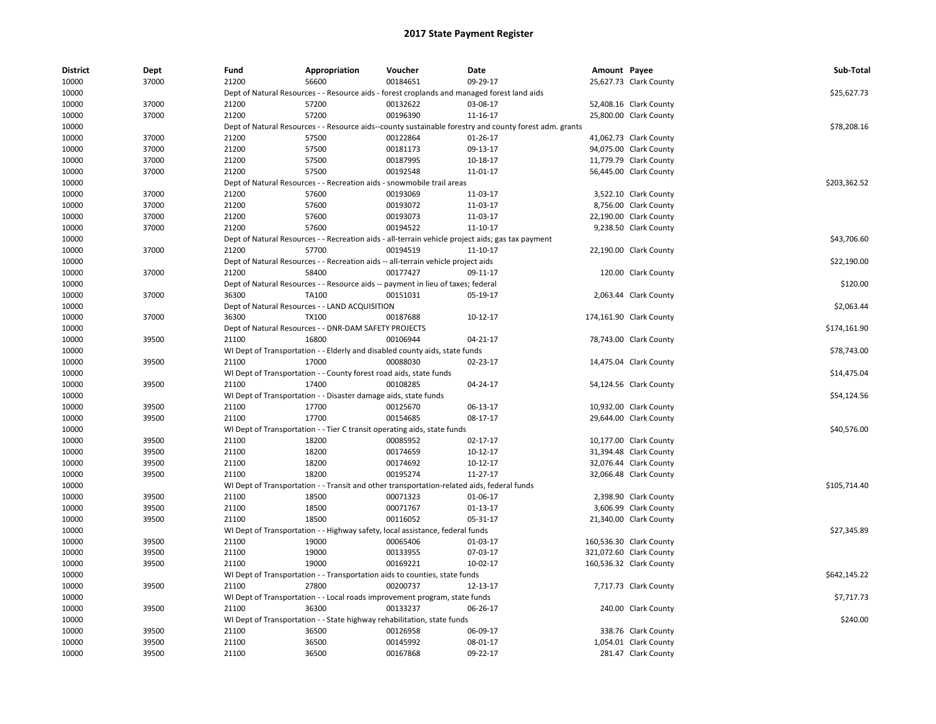| <b>District</b> | Dept  | Fund  | Appropriation                                                      | Voucher                                                                                    | Date                                                                                                   | Amount Payee |                         | Sub-Total    |
|-----------------|-------|-------|--------------------------------------------------------------------|--------------------------------------------------------------------------------------------|--------------------------------------------------------------------------------------------------------|--------------|-------------------------|--------------|
| 10000           | 37000 | 21200 | 56600                                                              | 00184651                                                                                   | 09-29-17                                                                                               |              | 25,627.73 Clark County  |              |
| 10000           |       |       |                                                                    |                                                                                            | Dept of Natural Resources - - Resource aids - forest croplands and managed forest land aids            |              |                         | \$25,627.73  |
| 10000           | 37000 | 21200 | 57200                                                              | 00132622                                                                                   | 03-08-17                                                                                               |              | 52,408.16 Clark County  |              |
| 10000           | 37000 | 21200 | 57200                                                              | 00196390                                                                                   | 11-16-17                                                                                               |              | 25,800.00 Clark County  |              |
| 10000           |       |       |                                                                    |                                                                                            | Dept of Natural Resources - - Resource aids--county sustainable forestry and county forest adm. grants |              |                         | \$78,208.16  |
| 10000           | 37000 | 21200 | 57500                                                              | 00122864                                                                                   | 01-26-17                                                                                               |              | 41,062.73 Clark County  |              |
| 10000           | 37000 | 21200 | 57500                                                              | 00181173                                                                                   | 09-13-17                                                                                               |              | 94,075.00 Clark County  |              |
| 10000           | 37000 | 21200 | 57500                                                              | 00187995                                                                                   | 10-18-17                                                                                               |              | 11,779.79 Clark County  |              |
| 10000           | 37000 | 21200 | 57500                                                              | 00192548                                                                                   | 11-01-17                                                                                               |              | 56,445.00 Clark County  |              |
| 10000           |       |       |                                                                    | Dept of Natural Resources - - Recreation aids - snowmobile trail areas                     |                                                                                                        |              |                         | \$203,362.52 |
| 10000           | 37000 | 21200 | 57600                                                              | 00193069                                                                                   | 11-03-17                                                                                               |              | 3,522.10 Clark County   |              |
| 10000           | 37000 | 21200 | 57600                                                              | 00193072                                                                                   | 11-03-17                                                                                               |              | 8,756.00 Clark County   |              |
| 10000           | 37000 | 21200 | 57600                                                              | 00193073                                                                                   | 11-03-17                                                                                               |              | 22,190.00 Clark County  |              |
| 10000           | 37000 | 21200 | 57600                                                              | 00194522                                                                                   | 11-10-17                                                                                               |              | 9,238.50 Clark County   |              |
| 10000           |       |       |                                                                    |                                                                                            | Dept of Natural Resources - - Recreation aids - all-terrain vehicle project aids; gas tax payment      |              |                         | \$43,706.60  |
| 10000           | 37000 | 21200 | 57700                                                              | 00194519                                                                                   | 11-10-17                                                                                               |              | 22,190.00 Clark County  |              |
| 10000           |       |       |                                                                    | Dept of Natural Resources - - Recreation aids -- all-terrain vehicle project aids          |                                                                                                        |              |                         | \$22,190.00  |
| 10000           | 37000 | 21200 | 58400                                                              | 00177427                                                                                   | 09-11-17                                                                                               |              | 120.00 Clark County     |              |
| 10000           |       |       |                                                                    | Dept of Natural Resources - - Resource aids -- payment in lieu of taxes; federal           |                                                                                                        |              |                         | \$120.00     |
| 10000           | 37000 | 36300 | TA100                                                              | 00151031                                                                                   | 05-19-17                                                                                               |              | 2,063.44 Clark County   |              |
| 10000           |       |       | Dept of Natural Resources - - LAND ACQUISITION                     |                                                                                            |                                                                                                        |              |                         | \$2,063.44   |
| 10000           | 37000 | 36300 | TX100                                                              | 00187688                                                                                   | 10-12-17                                                                                               |              | 174,161.90 Clark County |              |
| 10000           |       |       | Dept of Natural Resources - - DNR-DAM SAFETY PROJECTS              |                                                                                            |                                                                                                        |              |                         | \$174,161.90 |
| 10000           | 39500 | 21100 | 16800                                                              | 00106944                                                                                   | 04-21-17                                                                                               |              | 78,743.00 Clark County  |              |
| 10000           |       |       |                                                                    | WI Dept of Transportation - - Elderly and disabled county aids, state funds                |                                                                                                        |              |                         | \$78,743.00  |
| 10000           | 39500 | 21100 | 17000                                                              | 00088030                                                                                   | 02-23-17                                                                                               |              | 14,475.04 Clark County  |              |
| 10000           |       |       | WI Dept of Transportation - - County forest road aids, state funds |                                                                                            |                                                                                                        |              |                         | \$14,475.04  |
| 10000           | 39500 | 21100 | 17400                                                              | 00108285                                                                                   | 04-24-17                                                                                               |              | 54,124.56 Clark County  |              |
| 10000           |       |       | WI Dept of Transportation - - Disaster damage aids, state funds    |                                                                                            |                                                                                                        |              |                         | \$54,124.56  |
| 10000           | 39500 | 21100 | 17700                                                              | 00125670                                                                                   | 06-13-17                                                                                               |              | 10,932.00 Clark County  |              |
| 10000           | 39500 | 21100 | 17700                                                              | 00154685                                                                                   | 08-17-17                                                                                               |              | 29,644.00 Clark County  |              |
| 10000           |       |       |                                                                    | WI Dept of Transportation - - Tier C transit operating aids, state funds                   |                                                                                                        |              |                         | \$40,576.00  |
| 10000           | 39500 | 21100 | 18200                                                              | 00085952                                                                                   | 02-17-17                                                                                               |              | 10,177.00 Clark County  |              |
| 10000           | 39500 | 21100 | 18200                                                              | 00174659                                                                                   | 10-12-17                                                                                               |              | 31,394.48 Clark County  |              |
| 10000           | 39500 | 21100 | 18200                                                              | 00174692                                                                                   | 10-12-17                                                                                               |              | 32,076.44 Clark County  |              |
| 10000           | 39500 | 21100 | 18200                                                              | 00195274                                                                                   | 11-27-17                                                                                               |              | 32,066.48 Clark County  |              |
| 10000           |       |       |                                                                    | WI Dept of Transportation - - Transit and other transportation-related aids, federal funds |                                                                                                        |              |                         | \$105,714.40 |
| 10000           | 39500 | 21100 | 18500                                                              | 00071323                                                                                   | 01-06-17                                                                                               |              | 2,398.90 Clark County   |              |
| 10000           | 39500 | 21100 | 18500                                                              | 00071767                                                                                   | $01-13-17$                                                                                             |              | 3,606.99 Clark County   |              |
| 10000           | 39500 | 21100 | 18500                                                              | 00116052                                                                                   | 05-31-17                                                                                               |              | 21,340.00 Clark County  |              |
| 10000           |       |       |                                                                    | WI Dept of Transportation - - Highway safety, local assistance, federal funds              |                                                                                                        |              |                         | \$27,345.89  |
| 10000           | 39500 | 21100 | 19000                                                              | 00065406                                                                                   | 01-03-17                                                                                               |              | 160,536.30 Clark County |              |
| 10000           | 39500 | 21100 | 19000                                                              | 00133955                                                                                   | 07-03-17                                                                                               |              | 321,072.60 Clark County |              |
| 10000           | 39500 | 21100 | 19000                                                              | 00169221                                                                                   | 10-02-17                                                                                               |              | 160,536.32 Clark County |              |
| 10000           |       |       |                                                                    | WI Dept of Transportation - - Transportation aids to counties, state funds                 |                                                                                                        |              |                         | \$642,145.22 |
| 10000           | 39500 | 21100 | 27800                                                              | 00200737                                                                                   | 12-13-17                                                                                               |              | 7,717.73 Clark County   |              |
| 10000           |       |       |                                                                    | WI Dept of Transportation - - Local roads improvement program, state funds                 |                                                                                                        |              |                         | \$7,717.73   |
| 10000           | 39500 | 21100 | 36300                                                              | 00133237                                                                                   | 06-26-17                                                                                               |              | 240.00 Clark County     |              |
| 10000           |       |       |                                                                    | WI Dept of Transportation - - State highway rehabilitation, state funds                    |                                                                                                        |              |                         | \$240.00     |
| 10000           | 39500 | 21100 | 36500                                                              | 00126958                                                                                   | 06-09-17                                                                                               |              | 338.76 Clark County     |              |
| 10000           | 39500 | 21100 | 36500                                                              | 00145992                                                                                   | 08-01-17                                                                                               |              | 1,054.01 Clark County   |              |
| 10000           | 39500 | 21100 | 36500                                                              | 00167868                                                                                   | 09-22-17                                                                                               |              | 281.47 Clark County     |              |
|                 |       |       |                                                                    |                                                                                            |                                                                                                        |              |                         |              |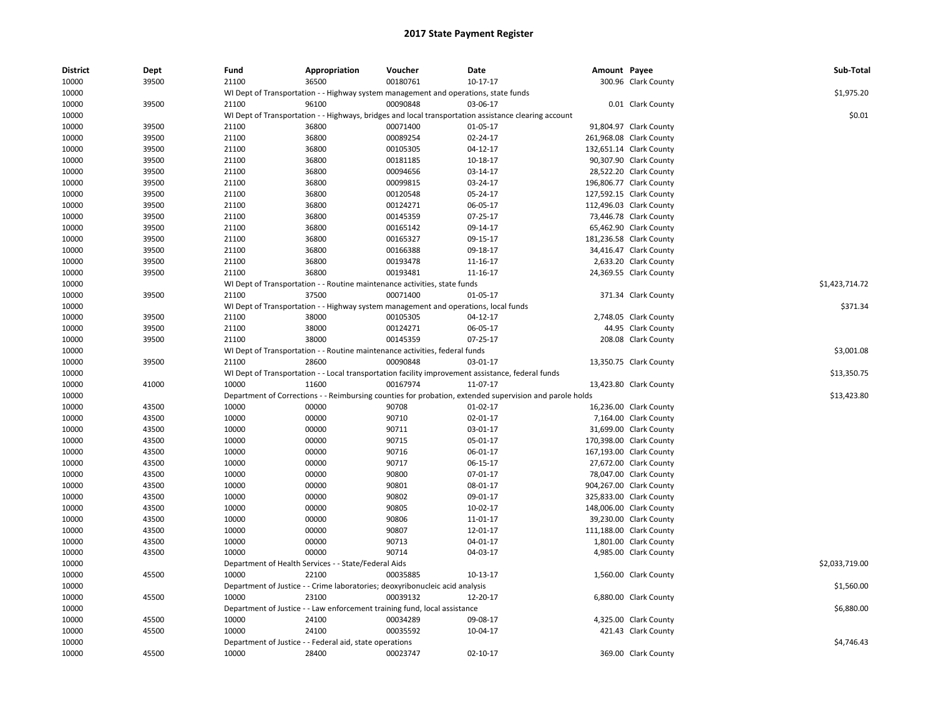| District       | Dept  | Fund  | Appropriation                                           | Voucher                                                                             | Date                                                                                                    | Amount Payee |                         | Sub-Total      |
|----------------|-------|-------|---------------------------------------------------------|-------------------------------------------------------------------------------------|---------------------------------------------------------------------------------------------------------|--------------|-------------------------|----------------|
| 10000          | 39500 | 21100 | 36500                                                   | 00180761                                                                            | $10-17-17$                                                                                              |              | 300.96 Clark County     |                |
| 10000          |       |       |                                                         | WI Dept of Transportation - - Highway system management and operations, state funds |                                                                                                         |              |                         | \$1,975.20     |
| 10000          | 39500 | 21100 | 96100                                                   | 00090848                                                                            | 03-06-17                                                                                                |              | 0.01 Clark County       |                |
| 10000          |       |       |                                                         |                                                                                     | WI Dept of Transportation - - Highways, bridges and local transportation assistance clearing account    |              |                         | \$0.01         |
| 10000          | 39500 | 21100 | 36800                                                   | 00071400                                                                            | 01-05-17                                                                                                |              | 91,804.97 Clark County  |                |
| 10000          | 39500 | 21100 | 36800                                                   | 00089254                                                                            | 02-24-17                                                                                                |              | 261,968.08 Clark County |                |
| 10000          | 39500 | 21100 | 36800                                                   | 00105305                                                                            | $04-12-17$                                                                                              |              | 132,651.14 Clark County |                |
| 10000          | 39500 | 21100 | 36800                                                   | 00181185                                                                            | 10-18-17                                                                                                |              | 90,307.90 Clark County  |                |
| 10000          | 39500 | 21100 | 36800                                                   | 00094656                                                                            | 03-14-17                                                                                                |              | 28,522.20 Clark County  |                |
| 10000          | 39500 | 21100 | 36800                                                   | 00099815                                                                            | 03-24-17                                                                                                |              | 196,806.77 Clark County |                |
| 10000          | 39500 | 21100 | 36800                                                   | 00120548                                                                            | 05-24-17                                                                                                |              | 127,592.15 Clark County |                |
| 10000          | 39500 | 21100 | 36800                                                   | 00124271                                                                            | 06-05-17                                                                                                |              | 112,496.03 Clark County |                |
| 10000          | 39500 | 21100 | 36800                                                   | 00145359                                                                            | 07-25-17                                                                                                |              | 73,446.78 Clark County  |                |
| 10000          | 39500 | 21100 | 36800                                                   | 00165142                                                                            | 09-14-17                                                                                                |              | 65,462.90 Clark County  |                |
| 10000          | 39500 | 21100 | 36800                                                   | 00165327                                                                            | 09-15-17                                                                                                |              | 181,236.58 Clark County |                |
| 10000          | 39500 | 21100 | 36800                                                   | 00166388                                                                            | 09-18-17                                                                                                |              | 34,416.47 Clark County  |                |
| 10000          | 39500 | 21100 | 36800                                                   | 00193478                                                                            | 11-16-17                                                                                                |              | 2,633.20 Clark County   |                |
| 10000          | 39500 | 21100 | 36800                                                   | 00193481                                                                            | 11-16-17                                                                                                |              | 24,369.55 Clark County  |                |
| 10000          |       |       |                                                         | WI Dept of Transportation - - Routine maintenance activities, state funds           |                                                                                                         |              |                         | \$1,423,714.72 |
| 10000          | 39500 | 21100 | 37500                                                   | 00071400                                                                            | 01-05-17                                                                                                |              | 371.34 Clark County     |                |
| 10000          |       |       |                                                         | WI Dept of Transportation - - Highway system management and operations, local funds |                                                                                                         |              |                         | \$371.34       |
| 10000          | 39500 | 21100 | 38000                                                   | 00105305                                                                            | 04-12-17                                                                                                |              | 2,748.05 Clark County   |                |
| 10000          | 39500 | 21100 | 38000                                                   | 00124271                                                                            | 06-05-17                                                                                                |              | 44.95 Clark County      |                |
| 10000          | 39500 | 21100 | 38000                                                   | 00145359                                                                            | 07-25-17                                                                                                |              | 208.08 Clark County     |                |
| 10000          |       |       |                                                         | WI Dept of Transportation - - Routine maintenance activities, federal funds         |                                                                                                         |              |                         | \$3,001.08     |
| 10000          | 39500 | 21100 | 28600                                                   | 00090848                                                                            | 03-01-17                                                                                                |              | 13,350.75 Clark County  |                |
| 10000          |       |       |                                                         |                                                                                     | WI Dept of Transportation - - Local transportation facility improvement assistance, federal funds       |              |                         | \$13,350.75    |
| 10000          | 41000 | 10000 | 11600                                                   | 00167974                                                                            | 11-07-17                                                                                                |              | 13,423.80 Clark County  |                |
| 10000          |       |       |                                                         |                                                                                     | Department of Corrections - - Reimbursing counties for probation, extended supervision and parole holds |              |                         | \$13,423.80    |
| 10000          | 43500 | 10000 | 00000                                                   | 90708                                                                               | 01-02-17                                                                                                |              | 16,236.00 Clark County  |                |
| 10000          | 43500 | 10000 | 00000                                                   | 90710                                                                               | 02-01-17                                                                                                |              | 7,164.00 Clark County   |                |
| 10000          | 43500 | 10000 | 00000                                                   | 90711                                                                               | 03-01-17                                                                                                |              | 31,699.00 Clark County  |                |
| 10000          | 43500 | 10000 | 00000                                                   | 90715                                                                               | 05-01-17                                                                                                |              | 170,398.00 Clark County |                |
|                |       | 10000 | 00000                                                   | 90716                                                                               |                                                                                                         |              | 167,193.00 Clark County |                |
| 10000<br>10000 | 43500 | 10000 |                                                         | 90717                                                                               | 06-01-17                                                                                                |              | 27,672.00 Clark County  |                |
|                | 43500 |       | 00000                                                   |                                                                                     | 06-15-17                                                                                                |              |                         |                |
| 10000          | 43500 | 10000 | 00000                                                   | 90800<br>90801                                                                      | 07-01-17                                                                                                |              | 78,047.00 Clark County  |                |
| 10000          | 43500 | 10000 | 00000                                                   |                                                                                     | 08-01-17                                                                                                |              | 904,267.00 Clark County |                |
| 10000          | 43500 | 10000 | 00000                                                   | 90802                                                                               | 09-01-17                                                                                                |              | 325,833.00 Clark County |                |
| 10000          | 43500 | 10000 | 00000                                                   | 90805                                                                               | 10-02-17                                                                                                |              | 148,006.00 Clark County |                |
| 10000          | 43500 | 10000 | 00000                                                   | 90806                                                                               | 11-01-17                                                                                                |              | 39,230.00 Clark County  |                |
| 10000          | 43500 | 10000 | 00000                                                   | 90807                                                                               | 12-01-17                                                                                                |              | 111,188.00 Clark County |                |
| 10000          | 43500 | 10000 | 00000                                                   | 90713                                                                               | 04-01-17                                                                                                |              | 1,801.00 Clark County   |                |
| 10000          | 43500 | 10000 | 00000                                                   | 90714                                                                               | 04-03-17                                                                                                |              | 4,985.00 Clark County   |                |
| 10000          |       |       | Department of Health Services - - State/Federal Aids    |                                                                                     |                                                                                                         |              |                         | \$2,033,719.00 |
| 10000          | 45500 | 10000 | 22100                                                   | 00035885                                                                            | 10-13-17                                                                                                |              | 1,560.00 Clark County   |                |
| 10000          |       |       |                                                         | Department of Justice - - Crime laboratories; deoxyribonucleic acid analysis        |                                                                                                         |              |                         | \$1,560.00     |
| 10000          | 45500 | 10000 | 23100                                                   | 00039132                                                                            | 12-20-17                                                                                                |              | 6,880.00 Clark County   |                |
| 10000          |       |       |                                                         | Department of Justice - - Law enforcement training fund, local assistance           |                                                                                                         |              |                         | \$6,880.00     |
| 10000          | 45500 | 10000 | 24100                                                   | 00034289                                                                            | 09-08-17                                                                                                |              | 4,325.00 Clark County   |                |
| 10000          | 45500 | 10000 | 24100                                                   | 00035592                                                                            | 10-04-17                                                                                                |              | 421.43 Clark County     |                |
| 10000          |       |       | Department of Justice - - Federal aid, state operations |                                                                                     |                                                                                                         |              |                         | \$4,746.43     |
| 10000          | 45500 | 10000 | 28400                                                   | 00023747                                                                            | $02 - 10 - 17$                                                                                          |              | 369.00 Clark County     |                |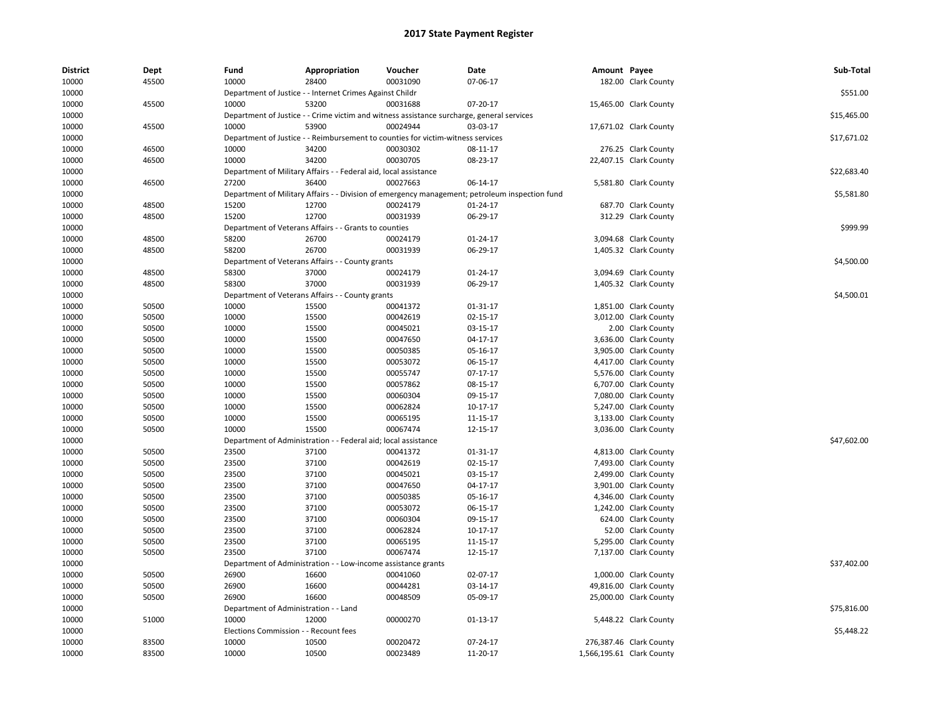| District | Dept  | Fund                                  | Appropriation                                                                             | Voucher                      | Date                                                                                           | Amount Payee |                           | Sub-Total   |
|----------|-------|---------------------------------------|-------------------------------------------------------------------------------------------|------------------------------|------------------------------------------------------------------------------------------------|--------------|---------------------------|-------------|
| 10000    | 45500 | 10000                                 | 28400                                                                                     | 00031090                     | 07-06-17                                                                                       |              | 182.00 Clark County       |             |
| 10000    |       |                                       | Department of Justice - - Internet Crimes Against Childr                                  |                              |                                                                                                |              |                           | \$551.00    |
| 10000    | 45500 | 10000                                 | 53200                                                                                     | 00031688                     | 07-20-17                                                                                       |              | 15,465.00 Clark County    |             |
| 10000    |       |                                       | Department of Justice - - Crime victim and witness assistance surcharge, general services |                              |                                                                                                |              |                           | \$15,465.00 |
| 10000    | 45500 | 10000                                 | 53900                                                                                     | 00024944                     | 03-03-17                                                                                       |              | 17,671.02 Clark County    |             |
| 10000    |       |                                       | Department of Justice - - Reimbursement to counties for victim-witness services           |                              |                                                                                                |              |                           | \$17,671.02 |
| 10000    | 46500 | 10000                                 | 34200                                                                                     | 00030302                     | 08-11-17                                                                                       |              | 276.25 Clark County       |             |
| 10000    | 46500 | 10000                                 | 34200                                                                                     | 00030705                     | 08-23-17                                                                                       |              | 22,407.15 Clark County    |             |
| 10000    |       |                                       | Department of Military Affairs - - Federal aid, local assistance                          |                              |                                                                                                |              |                           | \$22,683.40 |
| 10000    | 46500 | 27200                                 | 36400                                                                                     | 00027663                     | 06-14-17                                                                                       |              | 5,581.80 Clark County     |             |
| 10000    |       |                                       |                                                                                           |                              | Department of Military Affairs - - Division of emergency management; petroleum inspection fund |              |                           | \$5,581.80  |
| 10000    | 48500 | 15200                                 | 12700                                                                                     | 00024179                     | 01-24-17                                                                                       |              | 687.70 Clark County       |             |
| 10000    | 48500 | 15200                                 | 12700                                                                                     | 00031939                     | 06-29-17                                                                                       |              | 312.29 Clark County       |             |
| 10000    |       |                                       | Department of Veterans Affairs - - Grants to counties                                     |                              |                                                                                                |              |                           | \$999.99    |
| 10000    | 48500 | 58200                                 | 26700                                                                                     | 00024179                     | 01-24-17                                                                                       |              | 3,094.68 Clark County     |             |
| 10000    | 48500 | 58200                                 | 26700                                                                                     | 00031939                     | 06-29-17                                                                                       |              | 1,405.32 Clark County     |             |
| 10000    |       |                                       | Department of Veterans Affairs - - County grants                                          |                              |                                                                                                |              |                           | \$4,500.00  |
| 10000    | 48500 | 58300                                 | 37000                                                                                     | 00024179                     | 01-24-17                                                                                       |              | 3,094.69 Clark County     |             |
| 10000    | 48500 | 58300                                 | 37000                                                                                     | 00031939                     | 06-29-17                                                                                       |              | 1,405.32 Clark County     |             |
| 10000    |       |                                       | Department of Veterans Affairs - - County grants                                          |                              |                                                                                                |              |                           | \$4,500.01  |
| 10000    | 50500 | 10000                                 | 15500                                                                                     | 00041372                     | 01-31-17                                                                                       |              | 1,851.00 Clark County     |             |
| 10000    | 50500 | 10000                                 | 15500                                                                                     | 00042619                     | 02-15-17                                                                                       |              | 3,012.00 Clark County     |             |
| 10000    | 50500 | 10000                                 | 15500                                                                                     | 00045021                     | 03-15-17                                                                                       |              | 2.00 Clark County         |             |
| 10000    | 50500 | 10000                                 | 15500                                                                                     | 00047650                     | 04-17-17                                                                                       |              | 3,636.00 Clark County     |             |
| 10000    | 50500 | 10000                                 | 15500                                                                                     | 00050385                     | 05-16-17                                                                                       |              | 3,905.00 Clark County     |             |
| 10000    | 50500 | 10000                                 | 15500                                                                                     | 00053072                     | 06-15-17                                                                                       |              | 4,417.00 Clark County     |             |
| 10000    | 50500 | 10000                                 | 15500                                                                                     | 00055747                     | 07-17-17                                                                                       |              | 5,576.00 Clark County     |             |
| 10000    | 50500 | 10000                                 | 15500                                                                                     | 00057862                     | 08-15-17                                                                                       |              | 6,707.00 Clark County     |             |
| 10000    | 50500 | 10000                                 | 15500                                                                                     | 00060304                     | 09-15-17                                                                                       |              | 7,080.00 Clark County     |             |
| 10000    | 50500 | 10000                                 | 15500                                                                                     | 00062824                     | 10-17-17                                                                                       |              | 5,247.00 Clark County     |             |
| 10000    | 50500 | 10000                                 | 15500                                                                                     | 00065195                     | 11-15-17                                                                                       |              | 3,133.00 Clark County     |             |
| 10000    | 50500 | 10000                                 | 15500                                                                                     | 00067474                     | 12-15-17                                                                                       |              | 3,036.00 Clark County     |             |
| 10000    |       |                                       | Department of Administration - - Federal aid; local assistance                            |                              |                                                                                                |              |                           | \$47,602.00 |
| 10000    | 50500 | 23500                                 | 37100                                                                                     | 00041372                     | 01-31-17                                                                                       |              | 4,813.00 Clark County     |             |
| 10000    | 50500 | 23500                                 | 37100                                                                                     | 00042619                     | 02-15-17                                                                                       |              | 7,493.00 Clark County     |             |
| 10000    | 50500 | 23500                                 | 37100                                                                                     | 00045021                     | 03-15-17                                                                                       |              | 2,499.00 Clark County     |             |
| 10000    | 50500 | 23500                                 | 37100                                                                                     | 00047650                     | 04-17-17                                                                                       |              | 3,901.00 Clark County     |             |
| 10000    | 50500 | 23500                                 | 37100                                                                                     | 00050385                     | 05-16-17                                                                                       |              | 4,346.00 Clark County     |             |
| 10000    | 50500 | 23500                                 | 37100                                                                                     | 00053072                     | 06-15-17                                                                                       |              | 1,242.00 Clark County     |             |
| 10000    | 50500 | 23500                                 | 37100                                                                                     | 00060304                     | 09-15-17                                                                                       |              | 624.00 Clark County       |             |
| 10000    | 50500 | 23500                                 | 37100                                                                                     | 00062824                     | $10-17-17$                                                                                     |              | 52.00 Clark County        |             |
| 10000    | 50500 | 23500                                 | 37100                                                                                     | 00065195                     | 11-15-17                                                                                       |              | 5,295.00 Clark County     |             |
| 10000    | 50500 | 23500                                 | 37100                                                                                     | 00067474                     | 12-15-17                                                                                       |              | 7,137.00 Clark County     |             |
| 10000    |       | Department of Administration          |                                                                                           | Low-income assistance grants |                                                                                                |              |                           | \$37,402.00 |
| 10000    | 50500 | 26900                                 | 16600                                                                                     | 00041060                     | 02-07-17                                                                                       |              | 1,000.00 Clark County     |             |
| 10000    | 50500 | 26900                                 | 16600                                                                                     | 00044281                     | 03-14-17                                                                                       |              | 49,816.00 Clark County    |             |
| 10000    | 50500 | 26900                                 | 16600                                                                                     | 00048509                     | 05-09-17                                                                                       |              | 25,000.00 Clark County    |             |
| 10000    |       | Department of Administration - - Land |                                                                                           |                              |                                                                                                |              |                           | \$75,816.00 |
| 10000    | 51000 | 10000                                 | 12000                                                                                     | 00000270                     | 01-13-17                                                                                       |              | 5,448.22 Clark County     |             |
| 10000    |       | Elections Commission - - Recount fees |                                                                                           |                              |                                                                                                |              |                           | \$5,448.22  |
| 10000    | 83500 | 10000                                 | 10500                                                                                     | 00020472                     | 07-24-17                                                                                       |              | 276,387.46 Clark County   |             |
| 10000    | 83500 | 10000                                 | 10500                                                                                     | 00023489                     | 11-20-17                                                                                       |              | 1,566,195.61 Clark County |             |
|          |       |                                       |                                                                                           |                              |                                                                                                |              |                           |             |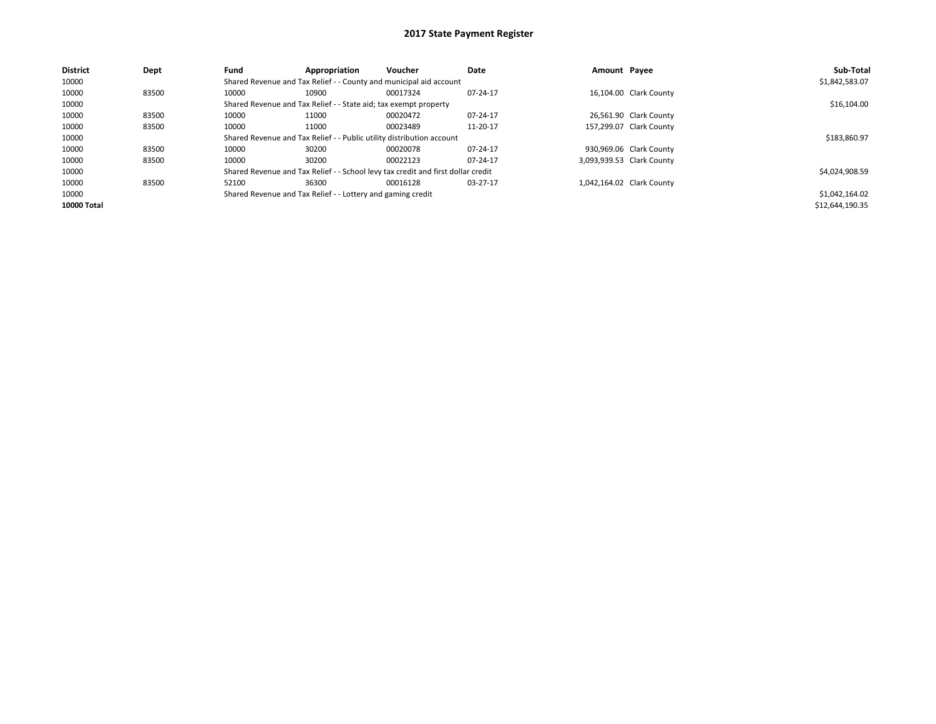| <b>District</b> | Dept  | Fund                                                                  | Appropriation                                                      | <b>Voucher</b>                                                                   | Date     | Amount Pavee |                           | Sub-Total       |
|-----------------|-------|-----------------------------------------------------------------------|--------------------------------------------------------------------|----------------------------------------------------------------------------------|----------|--------------|---------------------------|-----------------|
| 10000           |       |                                                                       | Shared Revenue and Tax Relief - - County and municipal aid account |                                                                                  |          |              |                           | \$1,842,583.07  |
| 10000           | 83500 | 10000                                                                 | 10900                                                              | 00017324                                                                         | 07-24-17 |              | 16,104.00 Clark County    |                 |
| 10000           |       |                                                                       | Shared Revenue and Tax Relief - - State aid; tax exempt property   |                                                                                  |          |              |                           | \$16,104.00     |
| 10000           | 83500 | 10000                                                                 | 11000                                                              | 00020472                                                                         | 07-24-17 |              | 26,561.90 Clark County    |                 |
| 10000           | 83500 | 10000                                                                 | 11000                                                              | 00023489                                                                         | 11-20-17 |              | 157,299.07 Clark County   |                 |
| 10000           |       | Shared Revenue and Tax Relief - - Public utility distribution account |                                                                    | \$183,860.97                                                                     |          |              |                           |                 |
| 10000           | 83500 | 10000                                                                 | 30200                                                              | 00020078                                                                         | 07-24-17 |              | 930,969.06 Clark County   |                 |
| 10000           | 83500 | 10000                                                                 | 30200                                                              | 00022123                                                                         | 07-24-17 |              | 3,093,939.53 Clark County |                 |
| 10000           |       |                                                                       |                                                                    | Shared Revenue and Tax Relief - - School levy tax credit and first dollar credit |          |              |                           | \$4,024,908.59  |
| 10000           | 83500 | 52100                                                                 | 36300                                                              | 00016128                                                                         | 03-27-17 |              | 1,042,164.02 Clark County |                 |
| 10000           |       | Shared Revenue and Tax Relief - - Lottery and gaming credit           |                                                                    | \$1,042,164.02                                                                   |          |              |                           |                 |
| 10000 Total     |       |                                                                       |                                                                    |                                                                                  |          |              |                           | \$12,644,190.35 |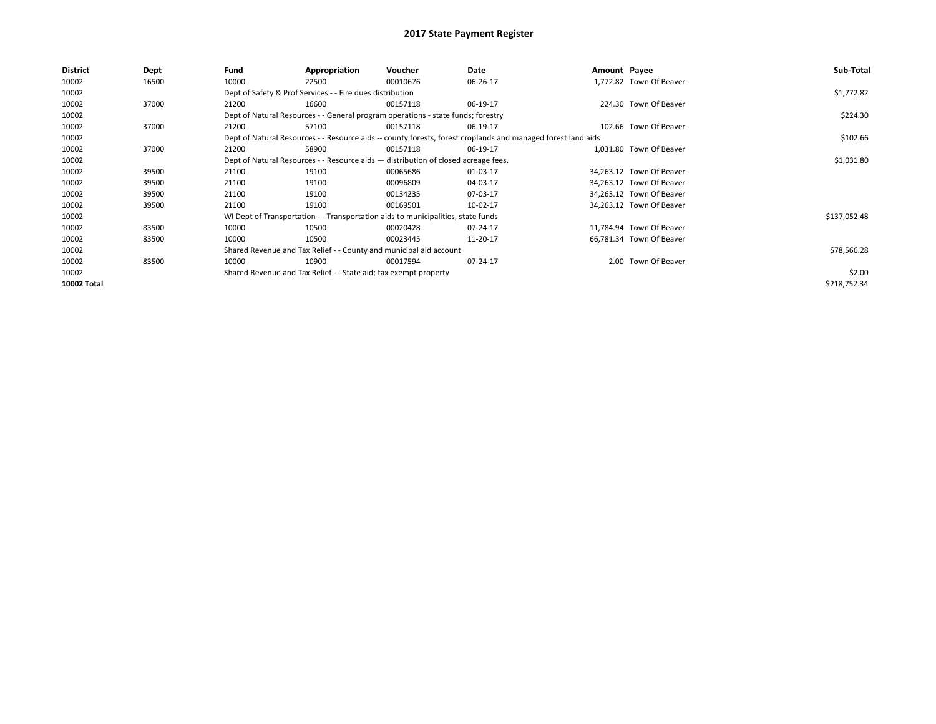| <b>District</b>    | Dept  | Fund                                                                               | Appropriation                                                                    | Voucher    | Date                                                                                                         | Amount Payee |                          | Sub-Total    |
|--------------------|-------|------------------------------------------------------------------------------------|----------------------------------------------------------------------------------|------------|--------------------------------------------------------------------------------------------------------------|--------------|--------------------------|--------------|
| 10002              | 16500 | 10000                                                                              | 22500                                                                            | 00010676   | 06-26-17                                                                                                     |              | 1.772.82 Town Of Beaver  |              |
| 10002              |       |                                                                                    | Dept of Safety & Prof Services - - Fire dues distribution                        |            |                                                                                                              |              |                          | \$1,772.82   |
| 10002              | 37000 | 21200                                                                              | 16600                                                                            | 00157118   | 06-19-17                                                                                                     |              | 224.30 Town Of Beaver    |              |
| 10002              |       |                                                                                    | Dept of Natural Resources - - General program operations - state funds; forestry |            |                                                                                                              |              |                          | \$224.30     |
| 10002              | 37000 | 21200                                                                              | 57100                                                                            | 00157118   | 06-19-17                                                                                                     |              | 102.66 Town Of Beaver    |              |
| 10002              |       |                                                                                    |                                                                                  |            | Dept of Natural Resources - - Resource aids -- county forests, forest croplands and managed forest land aids |              |                          | \$102.66     |
| 10002              | 37000 | 21200                                                                              | 58900                                                                            | 00157118   | 06-19-17                                                                                                     |              | 1.031.80 Town Of Beaver  |              |
| 10002              |       | Dept of Natural Resources - - Resource aids - distribution of closed acreage fees. |                                                                                  | \$1,031.80 |                                                                                                              |              |                          |              |
| 10002              | 39500 | 21100                                                                              | 19100                                                                            | 00065686   | 01-03-17                                                                                                     |              | 34,263.12 Town Of Beaver |              |
| 10002              | 39500 | 21100                                                                              | 19100                                                                            | 00096809   | 04-03-17                                                                                                     |              | 34,263.12 Town Of Beaver |              |
| 10002              | 39500 | 21100                                                                              | 19100                                                                            | 00134235   | 07-03-17                                                                                                     |              | 34,263.12 Town Of Beaver |              |
| 10002              | 39500 | 21100                                                                              | 19100                                                                            | 00169501   | 10-02-17                                                                                                     |              | 34,263.12 Town Of Beaver |              |
| 10002              |       |                                                                                    | WI Dept of Transportation - - Transportation aids to municipalities, state funds |            |                                                                                                              |              |                          | \$137,052.48 |
| 10002              | 83500 | 10000                                                                              | 10500                                                                            | 00020428   | 07-24-17                                                                                                     |              | 11,784.94 Town Of Beaver |              |
| 10002              | 83500 | 10000                                                                              | 10500                                                                            | 00023445   | 11-20-17                                                                                                     |              | 66,781.34 Town Of Beaver |              |
| 10002              |       |                                                                                    | Shared Revenue and Tax Relief - - County and municipal aid account               |            |                                                                                                              |              |                          | \$78,566.28  |
| 10002              | 83500 | 10000                                                                              | 10900                                                                            | 00017594   | 07-24-17                                                                                                     |              | 2.00 Town Of Beaver      |              |
| 10002              |       |                                                                                    | Shared Revenue and Tax Relief - - State aid; tax exempt property                 |            |                                                                                                              |              |                          | \$2.00       |
| <b>10002 Total</b> |       |                                                                                    |                                                                                  |            |                                                                                                              |              |                          | \$218,752.34 |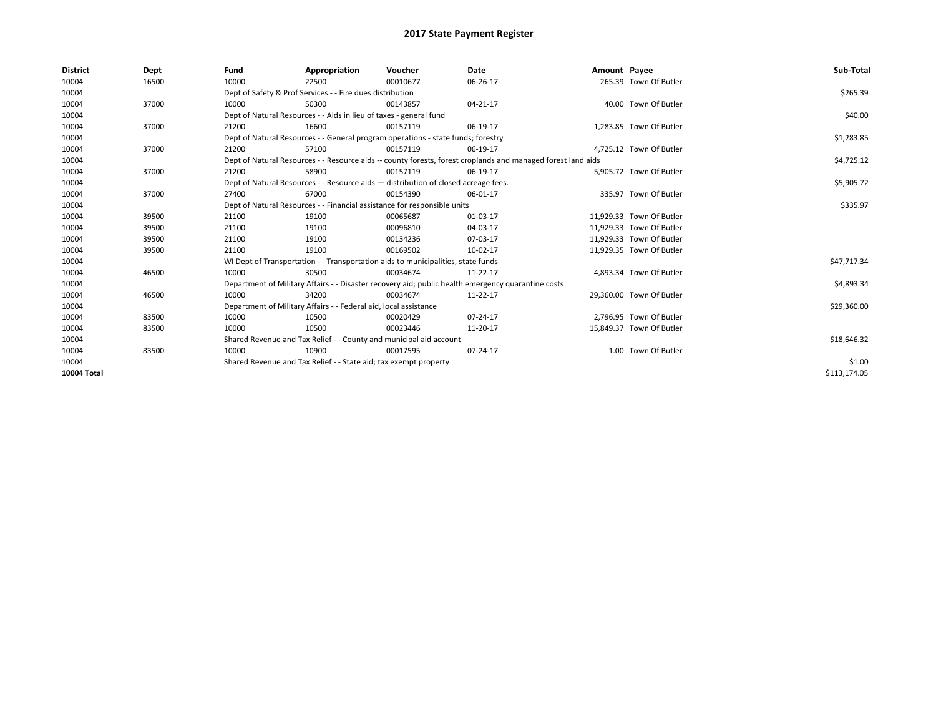| <b>District</b> | Dept  | Fund                                                                               | Appropriation                                                                    | Voucher     | Date                                                                                                         | Amount Payee |                          | Sub-Total    |
|-----------------|-------|------------------------------------------------------------------------------------|----------------------------------------------------------------------------------|-------------|--------------------------------------------------------------------------------------------------------------|--------------|--------------------------|--------------|
| 10004           | 16500 | 10000                                                                              | 22500                                                                            | 00010677    | 06-26-17                                                                                                     |              | 265.39 Town Of Butler    |              |
| 10004           |       |                                                                                    | Dept of Safety & Prof Services - - Fire dues distribution                        |             |                                                                                                              |              |                          | \$265.39     |
| 10004           | 37000 | 10000                                                                              | 50300                                                                            | 00143857    | 04-21-17                                                                                                     |              | 40.00 Town Of Butler     |              |
| 10004           |       |                                                                                    | Dept of Natural Resources - - Aids in lieu of taxes - general fund               |             |                                                                                                              |              |                          | \$40.00      |
| 10004           | 37000 | 21200                                                                              | 16600                                                                            | 00157119    | 06-19-17                                                                                                     |              | 1,283.85 Town Of Butler  |              |
| 10004           |       |                                                                                    | Dept of Natural Resources - - General program operations - state funds; forestry |             |                                                                                                              |              |                          | \$1,283.85   |
| 10004           | 37000 | 21200                                                                              | 57100                                                                            | 00157119    | 06-19-17                                                                                                     |              | 4.725.12 Town Of Butler  |              |
| 10004           |       |                                                                                    |                                                                                  |             | Dept of Natural Resources - - Resource aids -- county forests, forest croplands and managed forest land aids |              |                          | \$4,725.12   |
| 10004           | 37000 | 21200                                                                              | 58900                                                                            | 00157119    | 06-19-17                                                                                                     |              | 5,905.72 Town Of Butler  |              |
| 10004           |       | Dept of Natural Resources - - Resource aids - distribution of closed acreage fees. |                                                                                  | \$5,905.72  |                                                                                                              |              |                          |              |
| 10004           | 37000 | 27400                                                                              | 67000                                                                            | 00154390    | 06-01-17                                                                                                     |              | 335.97 Town Of Butler    |              |
| 10004           |       |                                                                                    | Dept of Natural Resources - - Financial assistance for responsible units         |             |                                                                                                              |              |                          | \$335.97     |
| 10004           | 39500 | 21100                                                                              | 19100                                                                            | 00065687    | 01-03-17                                                                                                     |              | 11,929.33 Town Of Butler |              |
| 10004           | 39500 | 21100                                                                              | 19100                                                                            | 00096810    | 04-03-17                                                                                                     |              | 11.929.33 Town Of Butler |              |
| 10004           | 39500 | 21100                                                                              | 19100                                                                            | 00134236    | 07-03-17                                                                                                     |              | 11,929.33 Town Of Butler |              |
| 10004           | 39500 | 21100                                                                              | 19100                                                                            | 00169502    | 10-02-17                                                                                                     |              | 11,929.35 Town Of Butler |              |
| 10004           |       |                                                                                    | WI Dept of Transportation - - Transportation aids to municipalities, state funds |             |                                                                                                              |              |                          | \$47,717.34  |
| 10004           | 46500 | 10000                                                                              | 30500                                                                            | 00034674    | 11-22-17                                                                                                     |              | 4,893.34 Town Of Butler  |              |
| 10004           |       |                                                                                    |                                                                                  |             | Department of Military Affairs - - Disaster recovery aid; public health emergency quarantine costs           |              |                          | \$4,893.34   |
| 10004           | 46500 | 10000                                                                              | 34200                                                                            | 00034674    | 11-22-17                                                                                                     |              | 29,360.00 Town Of Butler |              |
| 10004           |       |                                                                                    | Department of Military Affairs - - Federal aid, local assistance                 |             |                                                                                                              |              |                          | \$29,360.00  |
| 10004           | 83500 | 10000                                                                              | 10500                                                                            | 00020429    | 07-24-17                                                                                                     |              | 2,796.95 Town Of Butler  |              |
| 10004           | 83500 | 10000                                                                              | 10500                                                                            | 00023446    | 11-20-17                                                                                                     |              | 15,849.37 Town Of Butler |              |
| 10004           |       | Shared Revenue and Tax Relief - - County and municipal aid account                 |                                                                                  | \$18,646.32 |                                                                                                              |              |                          |              |
| 10004           | 83500 | 10000                                                                              | 10900                                                                            | 00017595    | 07-24-17                                                                                                     |              | 1.00 Town Of Butler      |              |
| 10004           |       | Shared Revenue and Tax Relief - - State aid; tax exempt property                   |                                                                                  | \$1.00      |                                                                                                              |              |                          |              |
| 10004 Total     |       |                                                                                    |                                                                                  |             |                                                                                                              |              |                          | \$113,174.05 |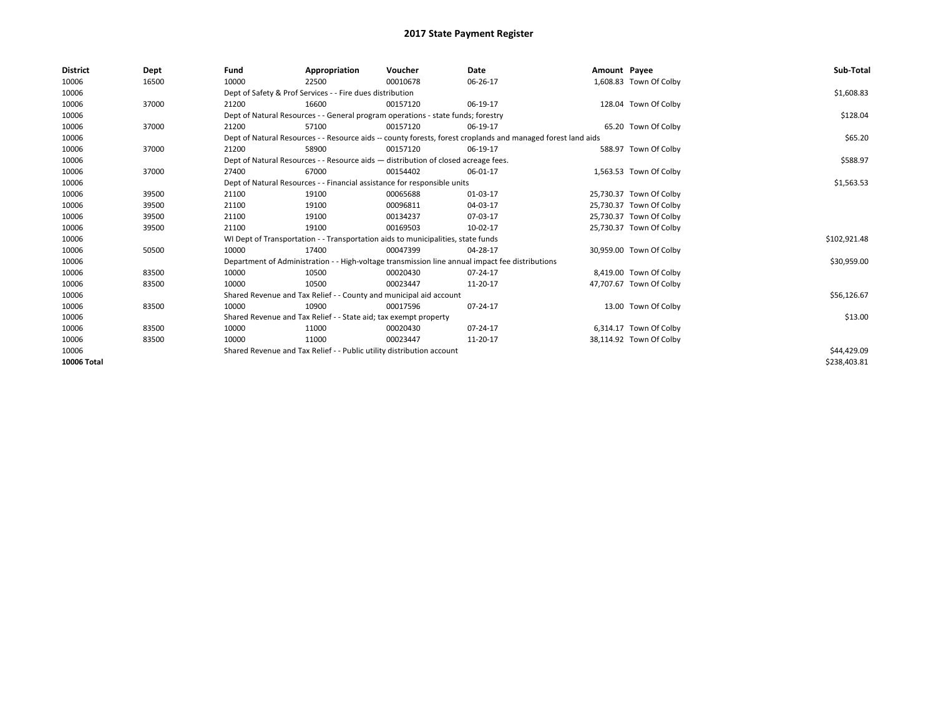| <b>District</b> | Dept  | Fund  | Appropriation                                                                      | Voucher  | Date                                                                                                         | Amount Payee |                         | Sub-Total    |  |
|-----------------|-------|-------|------------------------------------------------------------------------------------|----------|--------------------------------------------------------------------------------------------------------------|--------------|-------------------------|--------------|--|
| 10006           | 16500 | 10000 | 22500                                                                              | 00010678 | 06-26-17                                                                                                     |              | 1,608.83 Town Of Colby  |              |  |
| 10006           |       |       | Dept of Safety & Prof Services - - Fire dues distribution                          |          |                                                                                                              |              |                         | \$1,608.83   |  |
| 10006           | 37000 | 21200 | 16600                                                                              | 00157120 | 06-19-17                                                                                                     |              | 128.04 Town Of Colby    |              |  |
| 10006           |       |       | Dept of Natural Resources - - General program operations - state funds; forestry   |          |                                                                                                              |              |                         | \$128.04     |  |
| 10006           | 37000 | 21200 | 57100                                                                              | 00157120 | 06-19-17                                                                                                     |              | 65.20 Town Of Colby     |              |  |
| 10006           |       |       |                                                                                    |          | Dept of Natural Resources - - Resource aids -- county forests, forest croplands and managed forest land aids |              |                         | \$65.20      |  |
| 10006           | 37000 | 21200 | 58900                                                                              | 00157120 | 06-19-17                                                                                                     |              | 588.97 Town Of Colby    |              |  |
| 10006           |       |       | Dept of Natural Resources - - Resource aids - distribution of closed acreage fees. |          |                                                                                                              |              |                         | \$588.97     |  |
| 10006           | 37000 | 27400 | 67000                                                                              | 00154402 | 06-01-17                                                                                                     |              | 1,563.53 Town Of Colby  |              |  |
| 10006           |       |       | Dept of Natural Resources - - Financial assistance for responsible units           |          | \$1,563.53                                                                                                   |              |                         |              |  |
| 10006           | 39500 | 21100 | 19100                                                                              | 00065688 | 01-03-17                                                                                                     |              | 25,730.37 Town Of Colby |              |  |
| 10006           | 39500 | 21100 | 19100                                                                              | 00096811 | 04-03-17                                                                                                     |              | 25,730.37 Town Of Colby |              |  |
| 10006           | 39500 | 21100 | 19100                                                                              | 00134237 | 07-03-17                                                                                                     |              | 25,730.37 Town Of Colby |              |  |
| 10006           | 39500 | 21100 | 19100                                                                              | 00169503 | 10-02-17                                                                                                     |              | 25,730.37 Town Of Colby |              |  |
| 10006           |       |       | WI Dept of Transportation - - Transportation aids to municipalities, state funds   |          |                                                                                                              |              |                         | \$102,921.48 |  |
| 10006           | 50500 | 10000 | 17400                                                                              | 00047399 | 04-28-17                                                                                                     |              | 30,959.00 Town Of Colby |              |  |
| 10006           |       |       |                                                                                    |          | Department of Administration - - High-voltage transmission line annual impact fee distributions              |              |                         | \$30,959.00  |  |
| 10006           | 83500 | 10000 | 10500                                                                              | 00020430 | 07-24-17                                                                                                     |              | 8,419.00 Town Of Colby  |              |  |
| 10006           | 83500 | 10000 | 10500                                                                              | 00023447 | 11-20-17                                                                                                     |              | 47,707.67 Town Of Colby |              |  |
| 10006           |       |       | Shared Revenue and Tax Relief - - County and municipal aid account                 |          |                                                                                                              |              |                         | \$56,126.67  |  |
| 10006           | 83500 | 10000 | 10900                                                                              | 00017596 | 07-24-17                                                                                                     |              | 13.00 Town Of Colby     |              |  |
| 10006           |       |       | Shared Revenue and Tax Relief - - State aid; tax exempt property                   |          |                                                                                                              |              |                         | \$13.00      |  |
| 10006           | 83500 | 10000 | 11000                                                                              | 00020430 | 07-24-17                                                                                                     |              | 6,314.17 Town Of Colby  |              |  |
| 10006           | 83500 | 10000 | 11000                                                                              | 00023447 | 11-20-17                                                                                                     |              | 38,114.92 Town Of Colby |              |  |
| 10006           |       |       | Shared Revenue and Tax Relief - - Public utility distribution account              |          |                                                                                                              |              |                         |              |  |
| 10006 Total     |       |       |                                                                                    |          |                                                                                                              |              |                         | \$238,403.81 |  |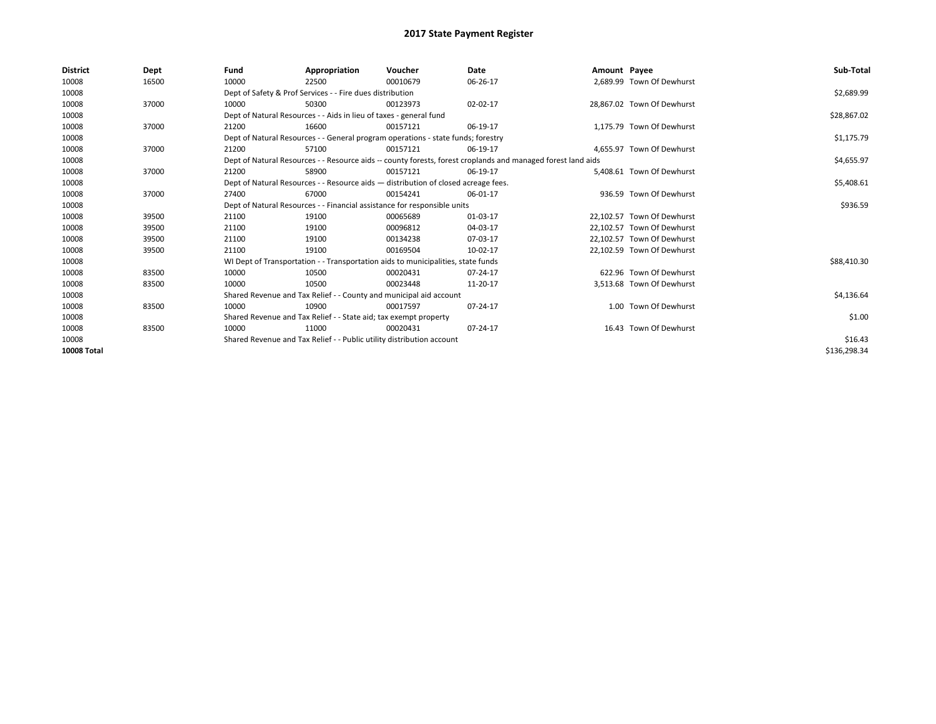| <b>District</b>    | Dept  | Fund  | Appropriation                                                                                                | Voucher  | Date     | Amount Payee |                            | Sub-Total    |  |  |
|--------------------|-------|-------|--------------------------------------------------------------------------------------------------------------|----------|----------|--------------|----------------------------|--------------|--|--|
| 10008              | 16500 | 10000 | 22500                                                                                                        | 00010679 | 06-26-17 |              | 2,689.99 Town Of Dewhurst  |              |  |  |
| 10008              |       |       | Dept of Safety & Prof Services - - Fire dues distribution                                                    |          |          |              |                            | \$2,689.99   |  |  |
| 10008              | 37000 | 10000 | 50300                                                                                                        | 00123973 | 02-02-17 |              | 28,867.02 Town Of Dewhurst |              |  |  |
| 10008              |       |       | Dept of Natural Resources - - Aids in lieu of taxes - general fund                                           |          |          |              |                            | \$28,867.02  |  |  |
| 10008              | 37000 | 21200 | 16600                                                                                                        | 00157121 | 06-19-17 |              | 1,175.79 Town Of Dewhurst  |              |  |  |
| 10008              |       |       | Dept of Natural Resources - - General program operations - state funds; forestry                             |          |          |              |                            | \$1,175.79   |  |  |
| 10008              | 37000 | 21200 | 57100                                                                                                        | 00157121 | 06-19-17 |              | 4.655.97 Town Of Dewhurst  |              |  |  |
| 10008              |       |       | Dept of Natural Resources - - Resource aids -- county forests, forest croplands and managed forest land aids |          |          |              |                            | \$4,655.97   |  |  |
| 10008              | 37000 | 21200 | 58900                                                                                                        | 00157121 | 06-19-17 |              | 5,408.61 Town Of Dewhurst  |              |  |  |
| 10008              |       |       | Dept of Natural Resources - - Resource aids - distribution of closed acreage fees.                           |          |          |              |                            |              |  |  |
| 10008              | 37000 | 27400 | 67000                                                                                                        | 00154241 | 06-01-17 |              | 936.59 Town Of Dewhurst    |              |  |  |
| 10008              |       |       | Dept of Natural Resources - - Financial assistance for responsible units                                     |          |          |              |                            |              |  |  |
| 10008              | 39500 | 21100 | 19100                                                                                                        | 00065689 | 01-03-17 |              | 22,102.57 Town Of Dewhurst |              |  |  |
| 10008              | 39500 | 21100 | 19100                                                                                                        | 00096812 | 04-03-17 |              | 22.102.57 Town Of Dewhurst |              |  |  |
| 10008              | 39500 | 21100 | 19100                                                                                                        | 00134238 | 07-03-17 |              | 22,102.57 Town Of Dewhurst |              |  |  |
| 10008              | 39500 | 21100 | 19100                                                                                                        | 00169504 | 10-02-17 |              | 22.102.59 Town Of Dewhurst |              |  |  |
| 10008              |       |       | WI Dept of Transportation - - Transportation aids to municipalities, state funds                             |          |          |              |                            | \$88,410.30  |  |  |
| 10008              | 83500 | 10000 | 10500                                                                                                        | 00020431 | 07-24-17 |              | 622.96 Town Of Dewhurst    |              |  |  |
| 10008              | 83500 | 10000 | 10500                                                                                                        | 00023448 | 11-20-17 |              | 3,513.68 Town Of Dewhurst  |              |  |  |
| 10008              |       |       | Shared Revenue and Tax Relief - - County and municipal aid account                                           |          |          |              |                            | \$4,136.64   |  |  |
| 10008              | 83500 | 10000 | 10900                                                                                                        | 00017597 | 07-24-17 |              | 1.00 Town Of Dewhurst      |              |  |  |
| 10008              |       |       | Shared Revenue and Tax Relief - - State aid; tax exempt property                                             |          |          |              |                            |              |  |  |
| 10008              | 83500 | 10000 | 11000                                                                                                        | 00020431 | 07-24-17 |              | 16.43 Town Of Dewhurst     |              |  |  |
| 10008              |       |       | Shared Revenue and Tax Relief - - Public utility distribution account                                        |          |          |              |                            |              |  |  |
| <b>10008 Total</b> |       |       |                                                                                                              |          |          |              |                            | \$136,298.34 |  |  |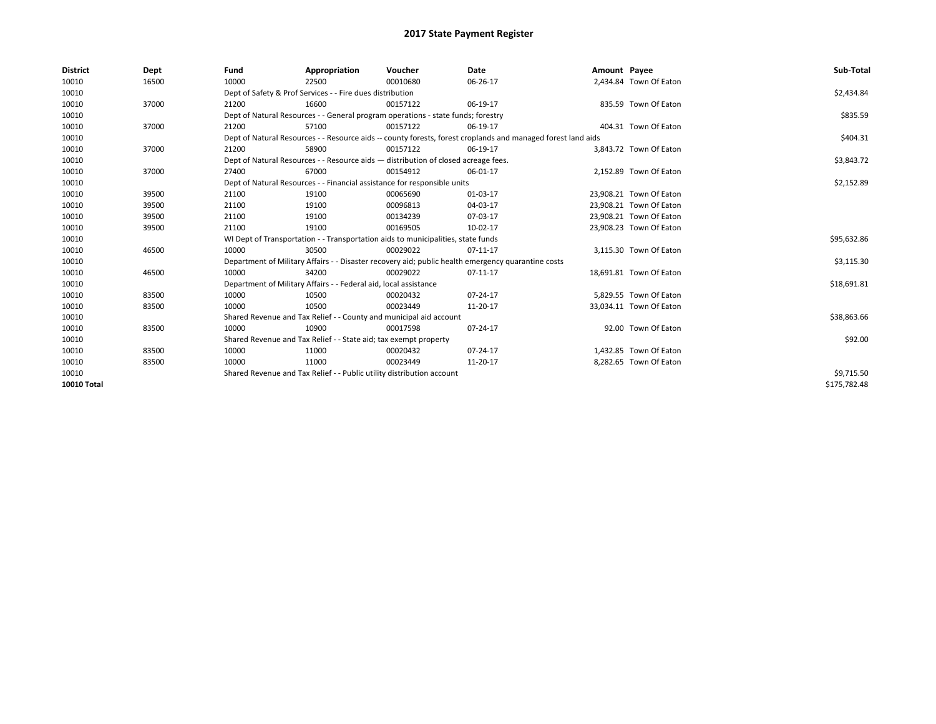| <b>District</b> | Dept  | Fund  | Appropriation                                                                                                | Voucher  | Date       | Amount Payee |                         | Sub-Total    |  |  |
|-----------------|-------|-------|--------------------------------------------------------------------------------------------------------------|----------|------------|--------------|-------------------------|--------------|--|--|
| 10010           | 16500 | 10000 | 22500                                                                                                        | 00010680 | 06-26-17   |              | 2,434.84 Town Of Eaton  |              |  |  |
| 10010           |       |       | Dept of Safety & Prof Services - - Fire dues distribution                                                    |          |            |              |                         | \$2,434.84   |  |  |
| 10010           | 37000 | 21200 | 16600                                                                                                        | 00157122 | 06-19-17   |              | 835.59 Town Of Eaton    |              |  |  |
| 10010           |       |       | Dept of Natural Resources - - General program operations - state funds; forestry                             |          |            |              |                         | \$835.59     |  |  |
| 10010           | 37000 | 21200 | 57100                                                                                                        | 00157122 | 06-19-17   |              | 404.31 Town Of Eaton    |              |  |  |
| 10010           |       |       | Dept of Natural Resources - - Resource aids -- county forests, forest croplands and managed forest land aids |          |            |              |                         | \$404.31     |  |  |
| 10010           | 37000 | 21200 | 58900                                                                                                        | 00157122 | 06-19-17   |              | 3,843.72 Town Of Eaton  |              |  |  |
| 10010           |       |       | Dept of Natural Resources - - Resource aids - distribution of closed acreage fees.                           |          |            |              |                         | \$3,843.72   |  |  |
| 10010           | 37000 | 27400 | 67000                                                                                                        | 00154912 | 06-01-17   |              | 2,152.89 Town Of Eaton  |              |  |  |
| 10010           |       |       | Dept of Natural Resources - - Financial assistance for responsible units                                     |          | \$2,152.89 |              |                         |              |  |  |
| 10010           | 39500 | 21100 | 19100                                                                                                        | 00065690 | 01-03-17   |              | 23,908.21 Town Of Eaton |              |  |  |
| 10010           | 39500 | 21100 | 19100                                                                                                        | 00096813 | 04-03-17   |              | 23,908.21 Town Of Eaton |              |  |  |
| 10010           | 39500 | 21100 | 19100                                                                                                        | 00134239 | 07-03-17   |              | 23,908.21 Town Of Eaton |              |  |  |
| 10010           | 39500 | 21100 | 19100                                                                                                        | 00169505 | 10-02-17   |              | 23,908.23 Town Of Eaton |              |  |  |
| 10010           |       |       | WI Dept of Transportation - - Transportation aids to municipalities, state funds                             |          |            |              |                         |              |  |  |
| 10010           | 46500 | 10000 | 30500                                                                                                        | 00029022 | 07-11-17   |              | 3,115.30 Town Of Eaton  |              |  |  |
| 10010           |       |       | Department of Military Affairs - - Disaster recovery aid; public health emergency quarantine costs           |          |            |              |                         | \$3,115.30   |  |  |
| 10010           | 46500 | 10000 | 34200                                                                                                        | 00029022 | 07-11-17   |              | 18,691.81 Town Of Eaton |              |  |  |
| 10010           |       |       | Department of Military Affairs - - Federal aid, local assistance                                             |          |            |              |                         | \$18,691.81  |  |  |
| 10010           | 83500 | 10000 | 10500                                                                                                        | 00020432 | 07-24-17   |              | 5.829.55 Town Of Eaton  |              |  |  |
| 10010           | 83500 | 10000 | 10500                                                                                                        | 00023449 | 11-20-17   |              | 33,034.11 Town Of Eaton |              |  |  |
| 10010           |       |       | Shared Revenue and Tax Relief - - County and municipal aid account                                           |          |            |              |                         | \$38,863.66  |  |  |
| 10010           | 83500 | 10000 | 10900                                                                                                        | 00017598 | 07-24-17   |              | 92.00 Town Of Eaton     |              |  |  |
| 10010           |       |       | Shared Revenue and Tax Relief - - State aid; tax exempt property                                             |          |            |              |                         | \$92.00      |  |  |
| 10010           | 83500 | 10000 | 11000                                                                                                        | 00020432 | 07-24-17   |              | 1,432.85 Town Of Eaton  |              |  |  |
| 10010           | 83500 | 10000 | 11000                                                                                                        | 00023449 | 11-20-17   |              | 8,282.65 Town Of Eaton  |              |  |  |
| 10010           |       |       | Shared Revenue and Tax Relief - - Public utility distribution account                                        |          |            |              |                         | \$9,715.50   |  |  |
| 10010 Total     |       |       |                                                                                                              |          |            |              |                         | \$175.782.48 |  |  |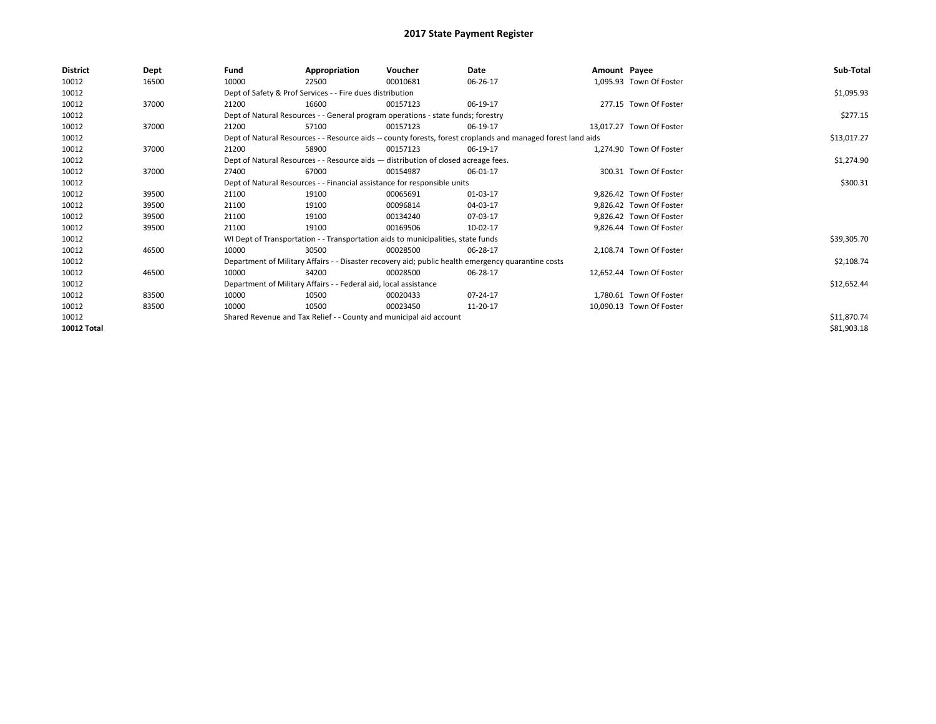| <b>District</b>    | <b>Dept</b> | Fund                                                               | Appropriation                                                                                                | Voucher     | Date     | Amount Payee |                          | Sub-Total   |
|--------------------|-------------|--------------------------------------------------------------------|--------------------------------------------------------------------------------------------------------------|-------------|----------|--------------|--------------------------|-------------|
| 10012              | 16500       | 10000                                                              | 22500                                                                                                        | 00010681    | 06-26-17 |              | 1,095.93 Town Of Foster  |             |
| 10012              |             |                                                                    | Dept of Safety & Prof Services - - Fire dues distribution                                                    |             |          |              |                          | \$1,095.93  |
| 10012              | 37000       | 21200                                                              | 16600                                                                                                        | 00157123    | 06-19-17 |              | 277.15 Town Of Foster    |             |
| 10012              |             |                                                                    | Dept of Natural Resources - - General program operations - state funds; forestry                             |             |          |              |                          | \$277.15    |
| 10012              | 37000       | 21200                                                              | 57100                                                                                                        | 00157123    | 06-19-17 |              | 13.017.27 Town Of Foster |             |
| 10012              |             |                                                                    | Dept of Natural Resources - - Resource aids -- county forests, forest croplands and managed forest land aids |             |          |              |                          | \$13,017.27 |
| 10012              | 37000       | 21200                                                              | 58900                                                                                                        | 00157123    | 06-19-17 |              | 1.274.90 Town Of Foster  |             |
| 10012              |             |                                                                    | Dept of Natural Resources - - Resource aids - distribution of closed acreage fees.                           |             |          |              |                          | \$1,274.90  |
| 10012              | 37000       | 27400                                                              | 67000                                                                                                        | 00154987    | 06-01-17 |              | 300.31 Town Of Foster    |             |
| 10012              |             |                                                                    | Dept of Natural Resources - - Financial assistance for responsible units                                     |             |          |              |                          | \$300.31    |
| 10012              | 39500       | 21100                                                              | 19100                                                                                                        | 00065691    | 01-03-17 |              | 9,826.42 Town Of Foster  |             |
| 10012              | 39500       | 21100                                                              | 19100                                                                                                        | 00096814    | 04-03-17 |              | 9,826.42 Town Of Foster  |             |
| 10012              | 39500       | 21100                                                              | 19100                                                                                                        | 00134240    | 07-03-17 |              | 9.826.42 Town Of Foster  |             |
| 10012              | 39500       | 21100                                                              | 19100                                                                                                        | 00169506    | 10-02-17 |              | 9,826.44 Town Of Foster  |             |
| 10012              |             |                                                                    | WI Dept of Transportation - - Transportation aids to municipalities, state funds                             |             |          |              |                          | \$39,305.70 |
| 10012              | 46500       | 10000                                                              | 30500                                                                                                        | 00028500    | 06-28-17 |              | 2.108.74 Town Of Foster  |             |
| 10012              |             |                                                                    | Department of Military Affairs - - Disaster recovery aid; public health emergency quarantine costs           |             |          |              |                          | \$2,108.74  |
| 10012              | 46500       | 10000                                                              | 34200                                                                                                        | 00028500    | 06-28-17 |              | 12.652.44 Town Of Foster |             |
| 10012              |             |                                                                    | Department of Military Affairs - - Federal aid, local assistance                                             |             |          |              |                          | \$12,652.44 |
| 10012              | 83500       | 10000                                                              | 10500                                                                                                        | 00020433    | 07-24-17 |              | 1,780.61 Town Of Foster  |             |
| 10012              | 83500       | 10000                                                              | 10500                                                                                                        | 00023450    | 11-20-17 |              | 10,090.13 Town Of Foster |             |
| 10012              |             | Shared Revenue and Tax Relief - - County and municipal aid account |                                                                                                              | \$11,870.74 |          |              |                          |             |
| <b>10012 Total</b> |             |                                                                    |                                                                                                              |             |          |              |                          | \$81,903.18 |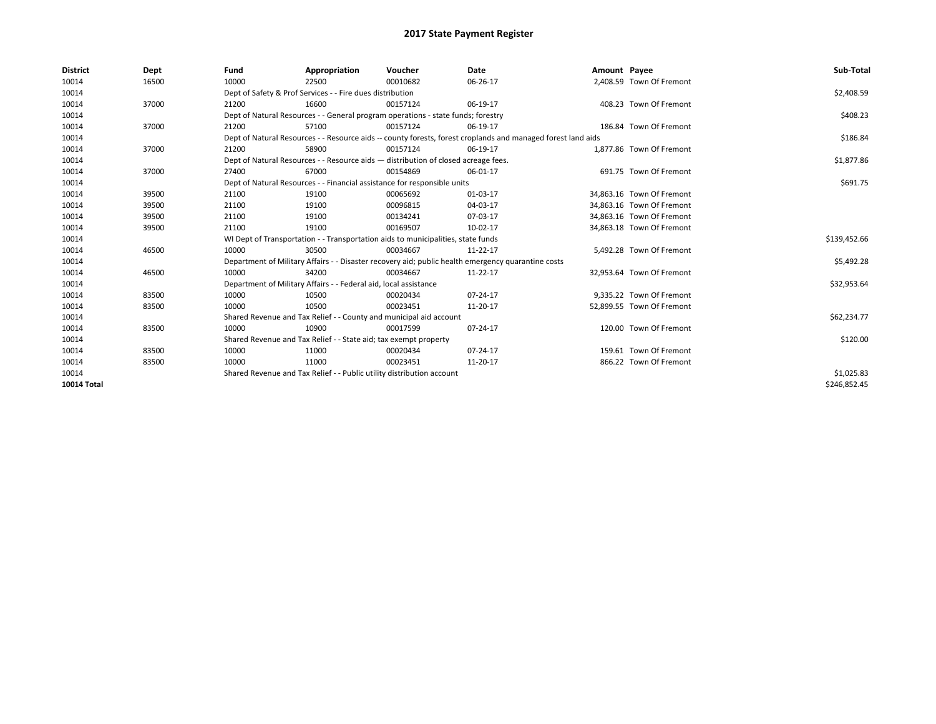| <b>District</b>    | Dept  | Fund  | Appropriation                                                                                                | Voucher  | Date     | Amount Payee |                           | Sub-Total    |  |  |  |
|--------------------|-------|-------|--------------------------------------------------------------------------------------------------------------|----------|----------|--------------|---------------------------|--------------|--|--|--|
| 10014              | 16500 | 10000 | 22500                                                                                                        | 00010682 | 06-26-17 |              | 2,408.59 Town Of Fremont  |              |  |  |  |
| 10014              |       |       | Dept of Safety & Prof Services - - Fire dues distribution                                                    |          |          |              |                           | \$2,408.59   |  |  |  |
| 10014              | 37000 | 21200 | 16600                                                                                                        | 00157124 | 06-19-17 |              | 408.23 Town Of Fremont    |              |  |  |  |
| 10014              |       |       | Dept of Natural Resources - - General program operations - state funds; forestry                             |          |          |              |                           | \$408.23     |  |  |  |
| 10014              | 37000 | 21200 | 57100                                                                                                        | 00157124 | 06-19-17 |              | 186.84 Town Of Fremont    |              |  |  |  |
| 10014              |       |       | Dept of Natural Resources - - Resource aids -- county forests, forest croplands and managed forest land aids |          |          |              |                           | \$186.84     |  |  |  |
| 10014              | 37000 | 21200 | 58900                                                                                                        | 00157124 | 06-19-17 |              | 1,877.86 Town Of Fremont  |              |  |  |  |
| 10014              |       |       | Dept of Natural Resources - - Resource aids - distribution of closed acreage fees.                           |          |          |              |                           | \$1,877.86   |  |  |  |
| 10014              | 37000 | 27400 | 67000                                                                                                        | 00154869 | 06-01-17 |              | 691.75 Town Of Fremont    |              |  |  |  |
| 10014              |       |       | Dept of Natural Resources - - Financial assistance for responsible units                                     |          |          |              |                           |              |  |  |  |
| 10014              | 39500 | 21100 | 19100                                                                                                        | 00065692 | 01-03-17 |              | 34,863.16 Town Of Fremont |              |  |  |  |
| 10014              | 39500 | 21100 | 19100                                                                                                        | 00096815 | 04-03-17 |              | 34,863.16 Town Of Fremont |              |  |  |  |
| 10014              | 39500 | 21100 | 19100                                                                                                        | 00134241 | 07-03-17 |              | 34,863.16 Town Of Fremont |              |  |  |  |
| 10014              | 39500 | 21100 | 19100                                                                                                        | 00169507 | 10-02-17 |              | 34,863.18 Town Of Fremont |              |  |  |  |
| 10014              |       |       | WI Dept of Transportation - - Transportation aids to municipalities, state funds                             |          |          |              |                           | \$139,452.66 |  |  |  |
| 10014              | 46500 | 10000 | 30500                                                                                                        | 00034667 | 11-22-17 |              | 5,492.28 Town Of Fremont  |              |  |  |  |
| 10014              |       |       | Department of Military Affairs - - Disaster recovery aid; public health emergency quarantine costs           |          |          |              |                           | \$5,492.28   |  |  |  |
| 10014              | 46500 | 10000 | 34200                                                                                                        | 00034667 | 11-22-17 |              | 32,953.64 Town Of Fremont |              |  |  |  |
| 10014              |       |       | Department of Military Affairs - - Federal aid, local assistance                                             |          |          |              |                           | \$32,953.64  |  |  |  |
| 10014              | 83500 | 10000 | 10500                                                                                                        | 00020434 | 07-24-17 |              | 9.335.22 Town Of Fremont  |              |  |  |  |
| 10014              | 83500 | 10000 | 10500                                                                                                        | 00023451 | 11-20-17 |              | 52,899.55 Town Of Fremont |              |  |  |  |
| 10014              |       |       | Shared Revenue and Tax Relief - - County and municipal aid account                                           |          |          |              |                           | \$62,234.77  |  |  |  |
| 10014              | 83500 | 10000 | 10900                                                                                                        | 00017599 | 07-24-17 |              | 120.00 Town Of Fremont    |              |  |  |  |
| 10014              |       |       | Shared Revenue and Tax Relief - - State aid; tax exempt property                                             |          |          |              |                           | \$120.00     |  |  |  |
| 10014              | 83500 | 10000 | 11000                                                                                                        | 00020434 | 07-24-17 |              | 159.61 Town Of Fremont    |              |  |  |  |
| 10014              | 83500 | 10000 | 11000                                                                                                        | 00023451 | 11-20-17 |              | 866.22 Town Of Fremont    |              |  |  |  |
| 10014              |       |       | Shared Revenue and Tax Relief - - Public utility distribution account                                        |          |          |              |                           | \$1,025.83   |  |  |  |
| <b>10014 Total</b> |       |       |                                                                                                              |          |          |              |                           | \$246.852.45 |  |  |  |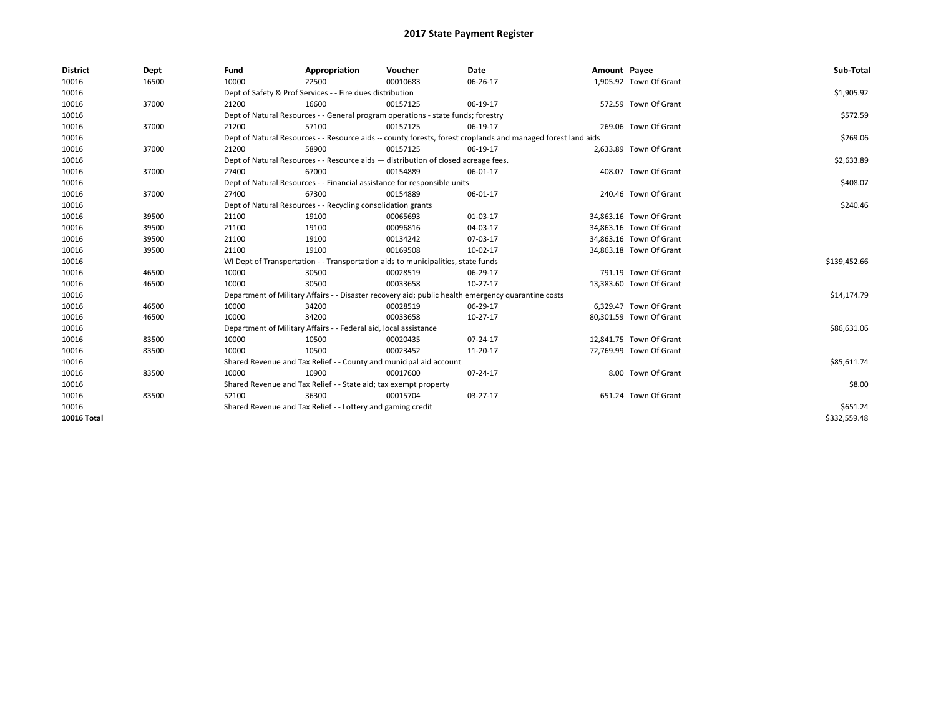| <b>District</b>    | Dept  | Fund                                                                     | Appropriation                                                                      | Voucher  | Date                                                                                                         | Amount Payee |                         | Sub-Total    |
|--------------------|-------|--------------------------------------------------------------------------|------------------------------------------------------------------------------------|----------|--------------------------------------------------------------------------------------------------------------|--------------|-------------------------|--------------|
| 10016              | 16500 | 10000                                                                    | 22500                                                                              | 00010683 | 06-26-17                                                                                                     |              | 1,905.92 Town Of Grant  |              |
| 10016              |       |                                                                          | Dept of Safety & Prof Services - - Fire dues distribution                          |          |                                                                                                              |              |                         | \$1,905.92   |
| 10016              | 37000 | 21200                                                                    | 16600                                                                              | 00157125 | 06-19-17                                                                                                     |              | 572.59 Town Of Grant    |              |
| 10016              |       |                                                                          | Dept of Natural Resources - - General program operations - state funds; forestry   |          |                                                                                                              |              |                         | \$572.59     |
| 10016              | 37000 | 21200                                                                    | 57100                                                                              | 00157125 | 06-19-17                                                                                                     |              | 269.06 Town Of Grant    |              |
| 10016              |       |                                                                          |                                                                                    |          | Dept of Natural Resources - - Resource aids -- county forests, forest croplands and managed forest land aids |              |                         | \$269.06     |
| 10016              | 37000 | 21200                                                                    | 58900                                                                              | 00157125 | 06-19-17                                                                                                     |              | 2,633.89 Town Of Grant  |              |
| 10016              |       |                                                                          | Dept of Natural Resources - - Resource aids - distribution of closed acreage fees. |          |                                                                                                              |              |                         | \$2,633.89   |
| 10016              | 37000 | 27400                                                                    | 67000                                                                              | 00154889 | 06-01-17                                                                                                     |              | 408.07 Town Of Grant    |              |
| 10016              |       | Dept of Natural Resources - - Financial assistance for responsible units |                                                                                    | \$408.07 |                                                                                                              |              |                         |              |
| 10016              | 37000 | 27400                                                                    | 67300                                                                              | 00154889 | 06-01-17                                                                                                     |              | 240.46 Town Of Grant    |              |
| 10016              |       |                                                                          | Dept of Natural Resources - - Recycling consolidation grants                       |          |                                                                                                              |              |                         | \$240.46     |
| 10016              | 39500 | 21100                                                                    | 19100                                                                              | 00065693 | 01-03-17                                                                                                     |              | 34,863.16 Town Of Grant |              |
| 10016              | 39500 | 21100                                                                    | 19100                                                                              | 00096816 | 04-03-17                                                                                                     |              | 34,863.16 Town Of Grant |              |
| 10016              | 39500 | 21100                                                                    | 19100                                                                              | 00134242 | 07-03-17                                                                                                     |              | 34,863.16 Town Of Grant |              |
| 10016              | 39500 | 21100                                                                    | 19100                                                                              | 00169508 | 10-02-17                                                                                                     |              | 34,863.18 Town Of Grant |              |
| 10016              |       |                                                                          | WI Dept of Transportation - - Transportation aids to municipalities, state funds   |          |                                                                                                              |              |                         | \$139,452.66 |
| 10016              | 46500 | 10000                                                                    | 30500                                                                              | 00028519 | 06-29-17                                                                                                     |              | 791.19 Town Of Grant    |              |
| 10016              | 46500 | 10000                                                                    | 30500                                                                              | 00033658 | 10-27-17                                                                                                     |              | 13,383.60 Town Of Grant |              |
| 10016              |       |                                                                          |                                                                                    |          | Department of Military Affairs - - Disaster recovery aid; public health emergency quarantine costs           |              |                         | \$14,174.79  |
| 10016              | 46500 | 10000                                                                    | 34200                                                                              | 00028519 | 06-29-17                                                                                                     |              | 6.329.47 Town Of Grant  |              |
| 10016              | 46500 | 10000                                                                    | 34200                                                                              | 00033658 | 10-27-17                                                                                                     |              | 80,301.59 Town Of Grant |              |
| 10016              |       |                                                                          | Department of Military Affairs - - Federal aid, local assistance                   |          |                                                                                                              |              |                         | \$86,631.06  |
| 10016              | 83500 | 10000                                                                    | 10500                                                                              | 00020435 | $07 - 24 - 17$                                                                                               |              | 12,841.75 Town Of Grant |              |
| 10016              | 83500 | 10000                                                                    | 10500                                                                              | 00023452 | 11-20-17                                                                                                     |              | 72,769.99 Town Of Grant |              |
| 10016              |       |                                                                          | Shared Revenue and Tax Relief - - County and municipal aid account                 |          |                                                                                                              |              |                         | \$85,611.74  |
| 10016              | 83500 | 10000                                                                    | 10900                                                                              | 00017600 | 07-24-17                                                                                                     |              | 8.00 Town Of Grant      |              |
| 10016              |       |                                                                          | Shared Revenue and Tax Relief - - State aid; tax exempt property                   |          |                                                                                                              |              |                         | \$8.00       |
| 10016              | 83500 | 52100                                                                    | 36300                                                                              | 00015704 | 03-27-17                                                                                                     |              | 651.24 Town Of Grant    |              |
| 10016              |       |                                                                          | Shared Revenue and Tax Relief - - Lottery and gaming credit                        |          |                                                                                                              |              |                         | \$651.24     |
| <b>10016 Total</b> |       |                                                                          |                                                                                    |          |                                                                                                              |              |                         | \$332,559.48 |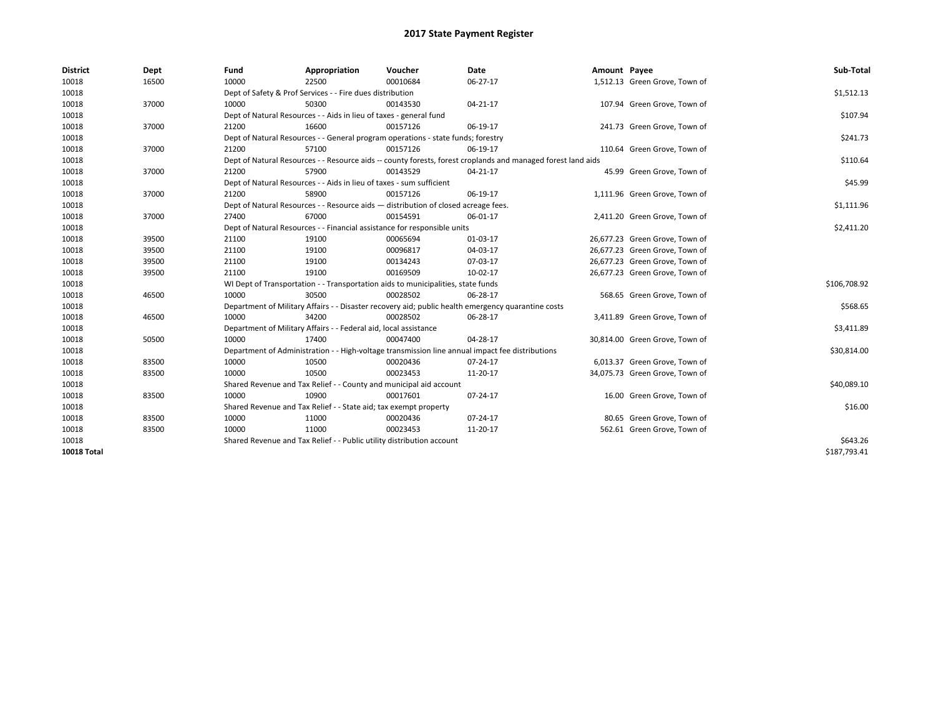| <b>District</b>    | Dept  | Fund  | Appropriation                                                                      | Voucher  | Date                                                                                                         | Amount Payee |                                | Sub-Total    |  |  |
|--------------------|-------|-------|------------------------------------------------------------------------------------|----------|--------------------------------------------------------------------------------------------------------------|--------------|--------------------------------|--------------|--|--|
| 10018              | 16500 | 10000 | 22500                                                                              | 00010684 | 06-27-17                                                                                                     |              | 1,512.13 Green Grove, Town of  |              |  |  |
| 10018              |       |       | Dept of Safety & Prof Services - - Fire dues distribution                          |          |                                                                                                              |              |                                | \$1,512.13   |  |  |
| 10018              | 37000 | 10000 | 50300                                                                              | 00143530 | 04-21-17                                                                                                     |              | 107.94 Green Grove, Town of    |              |  |  |
| 10018              |       |       | Dept of Natural Resources - - Aids in lieu of taxes - general fund                 |          |                                                                                                              |              |                                | \$107.94     |  |  |
| 10018              | 37000 | 21200 | 16600                                                                              | 00157126 | 06-19-17                                                                                                     |              | 241.73 Green Grove, Town of    |              |  |  |
| 10018              |       |       | Dept of Natural Resources - - General program operations - state funds; forestry   |          |                                                                                                              |              |                                | \$241.73     |  |  |
| 10018              | 37000 | 21200 | 57100                                                                              | 00157126 | 06-19-17                                                                                                     |              | 110.64 Green Grove, Town of    |              |  |  |
| 10018              |       |       |                                                                                    |          | Dept of Natural Resources - - Resource aids -- county forests, forest croplands and managed forest land aids |              |                                | \$110.64     |  |  |
| 10018              | 37000 | 21200 | 57900                                                                              | 00143529 | 04-21-17                                                                                                     |              | 45.99 Green Grove, Town of     |              |  |  |
| 10018              |       |       | Dept of Natural Resources - - Aids in lieu of taxes - sum sufficient               |          |                                                                                                              |              |                                |              |  |  |
| 10018              | 37000 | 21200 | 58900                                                                              | 00157126 | 06-19-17                                                                                                     |              | 1,111.96 Green Grove, Town of  |              |  |  |
| 10018              |       |       | Dept of Natural Resources - - Resource aids - distribution of closed acreage fees. |          |                                                                                                              |              |                                | \$1,111.96   |  |  |
| 10018              | 37000 | 27400 | 67000                                                                              | 00154591 | 06-01-17                                                                                                     |              | 2,411.20 Green Grove, Town of  |              |  |  |
| 10018              |       |       | Dept of Natural Resources - - Financial assistance for responsible units           |          |                                                                                                              |              |                                |              |  |  |
| 10018              | 39500 | 21100 | 19100                                                                              | 00065694 | 01-03-17                                                                                                     |              | 26,677.23 Green Grove, Town of |              |  |  |
| 10018              | 39500 | 21100 | 19100                                                                              | 00096817 | 04-03-17                                                                                                     |              | 26,677.23 Green Grove, Town of |              |  |  |
| 10018              | 39500 | 21100 | 19100                                                                              | 00134243 | 07-03-17                                                                                                     |              | 26,677.23 Green Grove, Town of |              |  |  |
| 10018              | 39500 | 21100 | 19100                                                                              | 00169509 | 10-02-17                                                                                                     |              | 26,677.23 Green Grove, Town of |              |  |  |
| 10018              |       |       | WI Dept of Transportation - - Transportation aids to municipalities, state funds   |          |                                                                                                              |              |                                | \$106,708.92 |  |  |
| 10018              | 46500 | 10000 | 30500                                                                              | 00028502 | 06-28-17                                                                                                     |              | 568.65 Green Grove, Town of    |              |  |  |
| 10018              |       |       |                                                                                    |          | Department of Military Affairs - - Disaster recovery aid; public health emergency quarantine costs           |              |                                | \$568.65     |  |  |
| 10018              | 46500 | 10000 | 34200                                                                              | 00028502 | 06-28-17                                                                                                     |              | 3,411.89 Green Grove, Town of  |              |  |  |
| 10018              |       |       | Department of Military Affairs - - Federal aid, local assistance                   |          |                                                                                                              |              |                                | \$3,411.89   |  |  |
| 10018              | 50500 | 10000 | 17400                                                                              | 00047400 | 04-28-17                                                                                                     |              | 30,814.00 Green Grove, Town of |              |  |  |
| 10018              |       |       |                                                                                    |          | Department of Administration - - High-voltage transmission line annual impact fee distributions              |              |                                | \$30,814.00  |  |  |
| 10018              | 83500 | 10000 | 10500                                                                              | 00020436 | 07-24-17                                                                                                     |              | 6,013.37 Green Grove, Town of  |              |  |  |
| 10018              | 83500 | 10000 | 10500                                                                              | 00023453 | 11-20-17                                                                                                     |              | 34,075.73 Green Grove, Town of |              |  |  |
| 10018              |       |       | Shared Revenue and Tax Relief - - County and municipal aid account                 |          |                                                                                                              |              |                                | \$40,089.10  |  |  |
| 10018              | 83500 | 10000 | 10900                                                                              | 00017601 | 07-24-17                                                                                                     |              | 16.00 Green Grove, Town of     |              |  |  |
| 10018              |       |       | Shared Revenue and Tax Relief - - State aid; tax exempt property                   |          |                                                                                                              |              |                                | \$16.00      |  |  |
| 10018              | 83500 | 10000 | 11000                                                                              | 00020436 | 07-24-17                                                                                                     |              | 80.65 Green Grove, Town of     |              |  |  |
| 10018              | 83500 | 10000 | 11000                                                                              | 00023453 | 11-20-17                                                                                                     |              | 562.61 Green Grove, Town of    |              |  |  |
| 10018              |       |       | Shared Revenue and Tax Relief - - Public utility distribution account              |          |                                                                                                              |              |                                | \$643.26     |  |  |
| <b>10018 Total</b> |       |       |                                                                                    |          |                                                                                                              |              |                                | \$187,793.41 |  |  |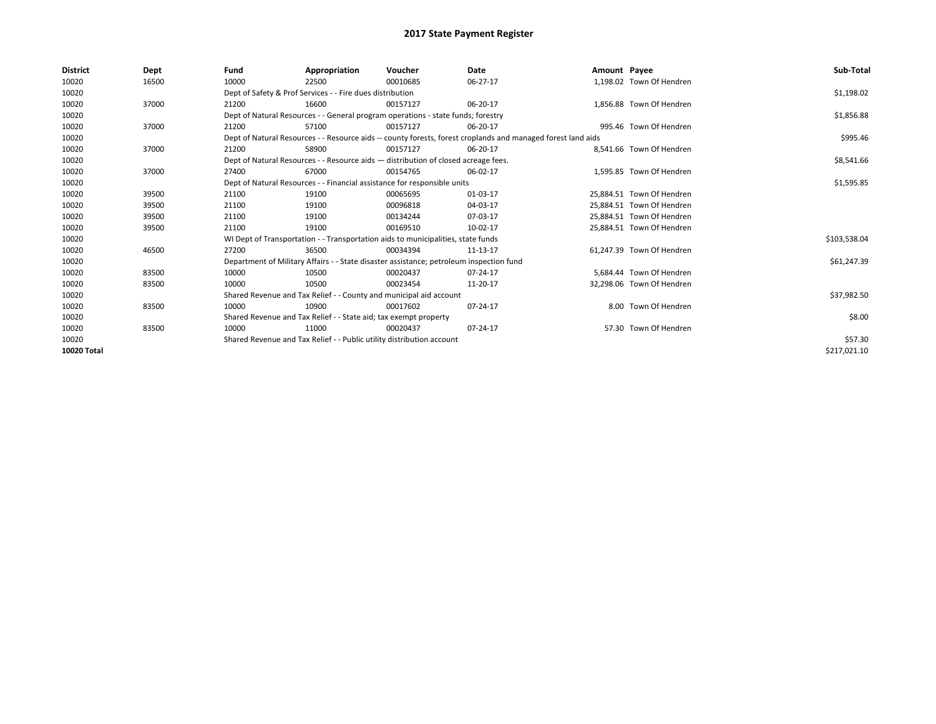| <b>District</b> | Dept  | Fund                                                                     | Appropriation                                                                           | Voucher    | Date                                                                                                         | Amount Payee |                           | Sub-Total    |
|-----------------|-------|--------------------------------------------------------------------------|-----------------------------------------------------------------------------------------|------------|--------------------------------------------------------------------------------------------------------------|--------------|---------------------------|--------------|
| 10020           | 16500 | 10000                                                                    | 22500                                                                                   | 00010685   | 06-27-17                                                                                                     |              | 1,198.02 Town Of Hendren  |              |
| 10020           |       |                                                                          | Dept of Safety & Prof Services - - Fire dues distribution                               |            |                                                                                                              |              |                           | \$1,198.02   |
| 10020           | 37000 | 21200                                                                    | 16600                                                                                   | 00157127   | 06-20-17                                                                                                     |              | 1,856.88 Town Of Hendren  |              |
| 10020           |       |                                                                          | Dept of Natural Resources - - General program operations - state funds; forestry        |            |                                                                                                              |              |                           | \$1,856.88   |
| 10020           | 37000 | 21200                                                                    | 57100                                                                                   | 00157127   | 06-20-17                                                                                                     |              | 995.46 Town Of Hendren    |              |
| 10020           |       |                                                                          |                                                                                         |            | Dept of Natural Resources - - Resource aids -- county forests, forest croplands and managed forest land aids |              |                           | \$995.46     |
| 10020           | 37000 | 21200                                                                    | 58900                                                                                   | 00157127   | 06-20-17                                                                                                     |              | 8.541.66 Town Of Hendren  |              |
| 10020           |       |                                                                          | Dept of Natural Resources - - Resource aids - distribution of closed acreage fees.      |            |                                                                                                              |              |                           | \$8,541.66   |
| 10020           | 37000 | 27400                                                                    | 67000                                                                                   | 00154765   | 06-02-17                                                                                                     |              | 1,595.85 Town Of Hendren  |              |
| 10020           |       | Dept of Natural Resources - - Financial assistance for responsible units |                                                                                         | \$1,595.85 |                                                                                                              |              |                           |              |
| 10020           | 39500 | 21100                                                                    | 19100                                                                                   | 00065695   | 01-03-17                                                                                                     |              | 25,884.51 Town Of Hendren |              |
| 10020           | 39500 | 21100                                                                    | 19100                                                                                   | 00096818   | 04-03-17                                                                                                     |              | 25,884.51 Town Of Hendren |              |
| 10020           | 39500 | 21100                                                                    | 19100                                                                                   | 00134244   | 07-03-17                                                                                                     |              | 25,884.51 Town Of Hendren |              |
| 10020           | 39500 | 21100                                                                    | 19100                                                                                   | 00169510   | 10-02-17                                                                                                     |              | 25,884.51 Town Of Hendren |              |
| 10020           |       |                                                                          | WI Dept of Transportation - - Transportation aids to municipalities, state funds        |            |                                                                                                              |              |                           | \$103,538.04 |
| 10020           | 46500 | 27200                                                                    | 36500                                                                                   | 00034394   | 11-13-17                                                                                                     |              | 61.247.39 Town Of Hendren |              |
| 10020           |       |                                                                          | Department of Military Affairs - - State disaster assistance; petroleum inspection fund |            |                                                                                                              |              |                           | \$61,247.39  |
| 10020           | 83500 | 10000                                                                    | 10500                                                                                   | 00020437   | 07-24-17                                                                                                     |              | 5.684.44 Town Of Hendren  |              |
| 10020           | 83500 | 10000                                                                    | 10500                                                                                   | 00023454   | 11-20-17                                                                                                     |              | 32,298.06 Town Of Hendren |              |
| 10020           |       |                                                                          | Shared Revenue and Tax Relief - - County and municipal aid account                      |            |                                                                                                              |              |                           | \$37,982.50  |
| 10020           | 83500 | 10000                                                                    | 10900                                                                                   | 00017602   | 07-24-17                                                                                                     |              | 8.00 Town Of Hendren      |              |
| 10020           |       | Shared Revenue and Tax Relief - - State aid; tax exempt property         |                                                                                         | \$8.00     |                                                                                                              |              |                           |              |
| 10020           | 83500 | 10000                                                                    | 11000                                                                                   | 00020437   | 07-24-17                                                                                                     |              | 57.30 Town Of Hendren     |              |
| 10020           |       | Shared Revenue and Tax Relief - - Public utility distribution account    |                                                                                         | \$57.30    |                                                                                                              |              |                           |              |
| 10020 Total     |       |                                                                          |                                                                                         |            |                                                                                                              |              |                           | \$217,021.10 |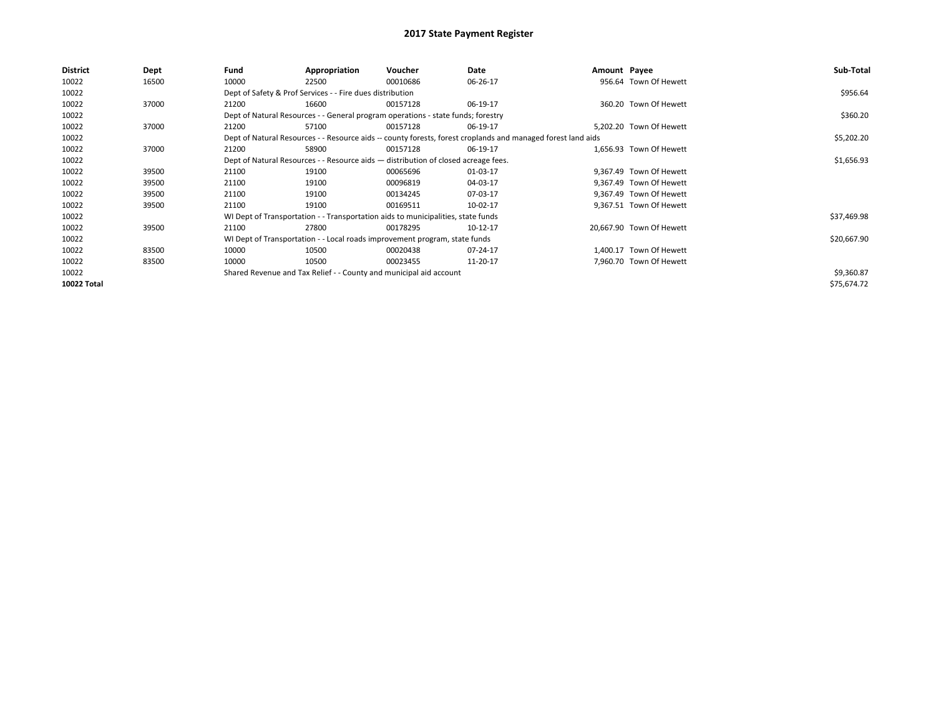| <b>District</b> | Dept  | Fund  | Appropriation                                                                      | Voucher  | Date                                                                                                         | Amount Payee |                          | Sub-Total   |
|-----------------|-------|-------|------------------------------------------------------------------------------------|----------|--------------------------------------------------------------------------------------------------------------|--------------|--------------------------|-------------|
| 10022           | 16500 | 10000 | 22500                                                                              | 00010686 | 06-26-17                                                                                                     |              | 956.64 Town Of Hewett    |             |
| 10022           |       |       | Dept of Safety & Prof Services - - Fire dues distribution                          |          |                                                                                                              |              |                          | \$956.64    |
| 10022           | 37000 | 21200 | 16600                                                                              | 00157128 | 06-19-17                                                                                                     |              | 360.20 Town Of Hewett    |             |
| 10022           |       |       | Dept of Natural Resources - - General program operations - state funds; forestry   |          |                                                                                                              |              |                          | \$360.20    |
| 10022           | 37000 | 21200 | 57100                                                                              | 00157128 | 06-19-17                                                                                                     |              | 5,202.20 Town Of Hewett  |             |
| 10022           |       |       |                                                                                    |          | Dept of Natural Resources - - Resource aids -- county forests, forest croplands and managed forest land aids |              |                          | \$5,202.20  |
| 10022           | 37000 | 21200 | 58900                                                                              | 00157128 | 06-19-17                                                                                                     |              | 1,656.93 Town Of Hewett  |             |
| 10022           |       |       | Dept of Natural Resources - - Resource aids - distribution of closed acreage fees. |          | \$1,656.93                                                                                                   |              |                          |             |
| 10022           | 39500 | 21100 | 19100                                                                              | 00065696 | 01-03-17                                                                                                     |              | 9.367.49 Town Of Hewett  |             |
| 10022           | 39500 | 21100 | 19100                                                                              | 00096819 | 04-03-17                                                                                                     |              | 9,367.49 Town Of Hewett  |             |
| 10022           | 39500 | 21100 | 19100                                                                              | 00134245 | 07-03-17                                                                                                     |              | 9,367.49 Town Of Hewett  |             |
| 10022           | 39500 | 21100 | 19100                                                                              | 00169511 | 10-02-17                                                                                                     |              | 9,367.51 Town Of Hewett  |             |
| 10022           |       |       | WI Dept of Transportation - - Transportation aids to municipalities, state funds   |          |                                                                                                              |              |                          | \$37,469.98 |
| 10022           | 39500 | 21100 | 27800                                                                              | 00178295 | 10-12-17                                                                                                     |              | 20,667.90 Town Of Hewett |             |
| 10022           |       |       | WI Dept of Transportation - - Local roads improvement program, state funds         |          |                                                                                                              |              |                          | \$20,667.90 |
| 10022           | 83500 | 10000 | 10500                                                                              | 00020438 | 07-24-17                                                                                                     |              | 1,400.17 Town Of Hewett  |             |
| 10022           | 83500 | 10000 | 10500                                                                              | 00023455 | 11-20-17                                                                                                     |              | 7,960.70 Town Of Hewett  |             |
| 10022           |       |       | Shared Revenue and Tax Relief - - County and municipal aid account                 |          |                                                                                                              |              |                          | \$9,360.87  |
| 10022 Total     |       |       |                                                                                    |          |                                                                                                              |              |                          | \$75,674.72 |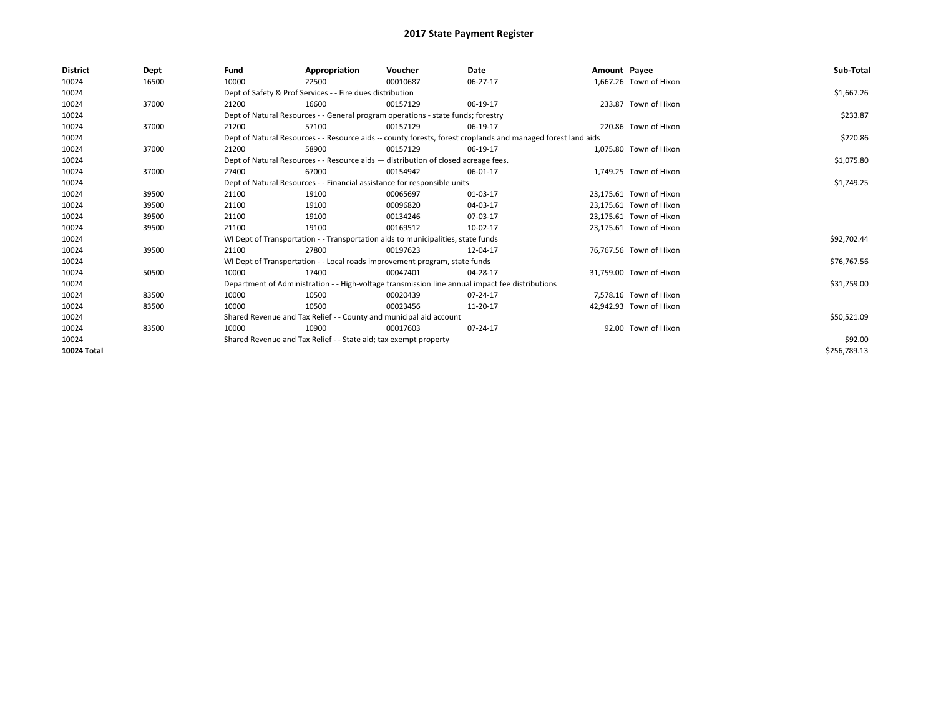| District    | Dept  | Fund                                                             | Appropriation                                                            | Voucher                                                                            | Date                                                                                                         | Amount Payee |                         | Sub-Total    |
|-------------|-------|------------------------------------------------------------------|--------------------------------------------------------------------------|------------------------------------------------------------------------------------|--------------------------------------------------------------------------------------------------------------|--------------|-------------------------|--------------|
| 10024       | 16500 | 10000                                                            | 22500                                                                    | 00010687                                                                           | 06-27-17                                                                                                     |              | 1,667.26 Town of Hixon  |              |
| 10024       |       |                                                                  | Dept of Safety & Prof Services - - Fire dues distribution                |                                                                                    |                                                                                                              |              |                         | \$1,667.26   |
| 10024       | 37000 | 21200                                                            | 16600                                                                    | 00157129                                                                           | 06-19-17                                                                                                     |              | 233.87 Town of Hixon    |              |
| 10024       |       |                                                                  |                                                                          | Dept of Natural Resources - - General program operations - state funds; forestry   |                                                                                                              |              |                         | \$233.87     |
| 10024       | 37000 | 21200                                                            | 57100                                                                    | 00157129                                                                           | 06-19-17                                                                                                     |              | 220.86 Town of Hixon    |              |
| 10024       |       |                                                                  |                                                                          |                                                                                    | Dept of Natural Resources - - Resource aids -- county forests, forest croplands and managed forest land aids |              |                         | \$220.86     |
| 10024       | 37000 | 21200                                                            | 58900                                                                    | 00157129                                                                           | 06-19-17                                                                                                     |              | 1,075.80 Town of Hixon  |              |
| 10024       |       |                                                                  |                                                                          | Dept of Natural Resources - - Resource aids - distribution of closed acreage fees. |                                                                                                              |              |                         | \$1,075.80   |
| 10024       | 37000 | 27400                                                            | 67000                                                                    | 00154942                                                                           | 06-01-17                                                                                                     |              | 1.749.25 Town of Hixon  |              |
| 10024       |       |                                                                  | Dept of Natural Resources - - Financial assistance for responsible units |                                                                                    | \$1,749.25                                                                                                   |              |                         |              |
| 10024       | 39500 | 21100                                                            | 19100                                                                    | 00065697                                                                           | 01-03-17                                                                                                     |              | 23,175.61 Town of Hixon |              |
| 10024       | 39500 | 21100                                                            | 19100                                                                    | 00096820                                                                           | 04-03-17                                                                                                     |              | 23,175.61 Town of Hixon |              |
| 10024       | 39500 | 21100                                                            | 19100                                                                    | 00134246                                                                           | 07-03-17                                                                                                     |              | 23.175.61 Town of Hixon |              |
| 10024       | 39500 | 21100                                                            | 19100                                                                    | 00169512                                                                           | 10-02-17                                                                                                     |              | 23,175.61 Town of Hixon |              |
| 10024       |       |                                                                  |                                                                          | WI Dept of Transportation - - Transportation aids to municipalities, state funds   |                                                                                                              |              |                         | \$92,702.44  |
| 10024       | 39500 | 21100                                                            | 27800                                                                    | 00197623                                                                           | 12-04-17                                                                                                     |              | 76,767.56 Town of Hixon |              |
| 10024       |       |                                                                  |                                                                          | WI Dept of Transportation - - Local roads improvement program, state funds         |                                                                                                              |              |                         | \$76,767.56  |
| 10024       | 50500 | 10000                                                            | 17400                                                                    | 00047401                                                                           | 04-28-17                                                                                                     |              | 31,759.00 Town of Hixon |              |
| 10024       |       |                                                                  |                                                                          |                                                                                    | Department of Administration - - High-voltage transmission line annual impact fee distributions              |              |                         | \$31,759.00  |
| 10024       | 83500 | 10000                                                            | 10500                                                                    | 00020439                                                                           | $07 - 24 - 17$                                                                                               |              | 7,578.16 Town of Hixon  |              |
| 10024       | 83500 | 10000                                                            | 10500                                                                    | 00023456                                                                           | 11-20-17                                                                                                     |              | 42,942.93 Town of Hixon |              |
| 10024       |       |                                                                  | Shared Revenue and Tax Relief - - County and municipal aid account       |                                                                                    |                                                                                                              |              |                         | \$50,521.09  |
| 10024       | 83500 | 10000                                                            | 10900                                                                    | 00017603                                                                           | 07-24-17                                                                                                     |              | 92.00 Town of Hixon     |              |
| 10024       |       | Shared Revenue and Tax Relief - - State aid; tax exempt property |                                                                          | \$92.00                                                                            |                                                                                                              |              |                         |              |
| 10024 Total |       |                                                                  |                                                                          |                                                                                    |                                                                                                              |              |                         | \$256,789.13 |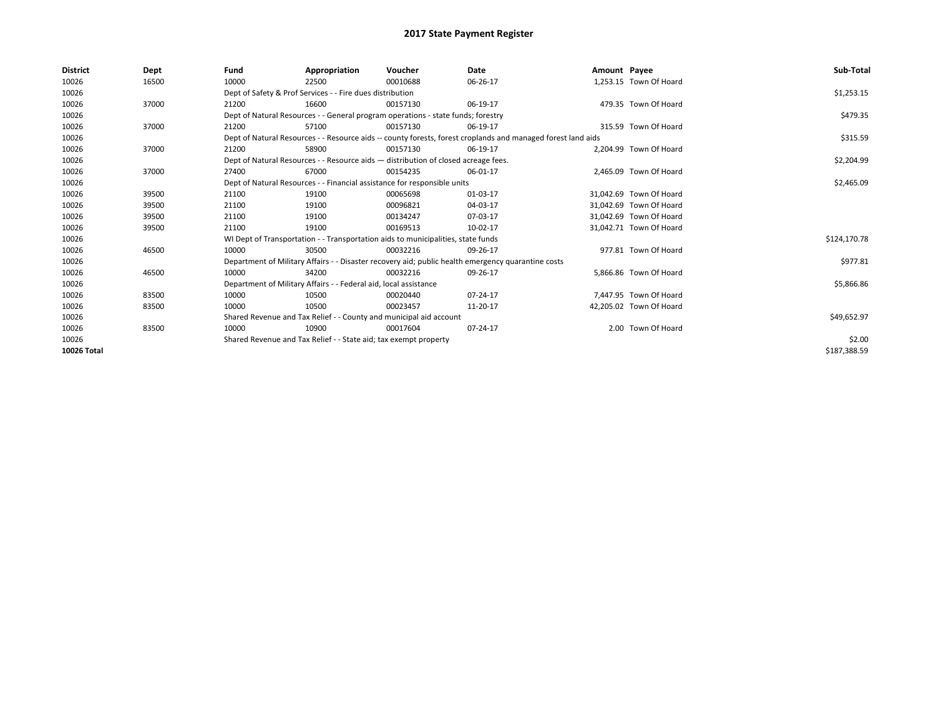| <b>District</b> | Dept  | Fund                                                               | Appropriation                                                                      | Voucher     | Date                                                                                                         | Amount Payee |                         | Sub-Total    |
|-----------------|-------|--------------------------------------------------------------------|------------------------------------------------------------------------------------|-------------|--------------------------------------------------------------------------------------------------------------|--------------|-------------------------|--------------|
| 10026           | 16500 | 10000                                                              | 22500                                                                              | 00010688    | 06-26-17                                                                                                     |              | 1,253.15 Town Of Hoard  |              |
| 10026           |       |                                                                    | Dept of Safety & Prof Services - - Fire dues distribution                          |             |                                                                                                              |              |                         | \$1,253.15   |
| 10026           | 37000 | 21200                                                              | 16600                                                                              | 00157130    | 06-19-17                                                                                                     |              | 479.35 Town Of Hoard    |              |
| 10026           |       |                                                                    | Dept of Natural Resources - - General program operations - state funds; forestry   |             |                                                                                                              |              |                         | \$479.35     |
| 10026           | 37000 | 21200                                                              | 57100                                                                              | 00157130    | 06-19-17                                                                                                     |              | 315.59 Town Of Hoard    |              |
| 10026           |       |                                                                    |                                                                                    |             | Dept of Natural Resources - - Resource aids -- county forests, forest croplands and managed forest land aids |              |                         | \$315.59     |
| 10026           | 37000 | 21200                                                              | 58900                                                                              | 00157130    | 06-19-17                                                                                                     |              | 2.204.99 Town Of Hoard  |              |
| 10026           |       |                                                                    | Dept of Natural Resources - - Resource aids - distribution of closed acreage fees. |             |                                                                                                              |              |                         | \$2,204.99   |
| 10026           | 37000 | 27400                                                              | 67000                                                                              | 00154235    | 06-01-17                                                                                                     |              | 2,465.09 Town Of Hoard  |              |
| 10026           |       |                                                                    | Dept of Natural Resources - - Financial assistance for responsible units           |             | \$2,465.09                                                                                                   |              |                         |              |
| 10026           | 39500 | 21100                                                              | 19100                                                                              | 00065698    | 01-03-17                                                                                                     |              | 31,042.69 Town Of Hoard |              |
| 10026           | 39500 | 21100                                                              | 19100                                                                              | 00096821    | 04-03-17                                                                                                     |              | 31.042.69 Town Of Hoard |              |
| 10026           | 39500 | 21100                                                              | 19100                                                                              | 00134247    | 07-03-17                                                                                                     |              | 31,042.69 Town Of Hoard |              |
| 10026           | 39500 | 21100                                                              | 19100                                                                              | 00169513    | 10-02-17                                                                                                     |              | 31,042.71 Town Of Hoard |              |
| 10026           |       |                                                                    | WI Dept of Transportation - - Transportation aids to municipalities, state funds   |             |                                                                                                              |              |                         | \$124,170.78 |
| 10026           | 46500 | 10000                                                              | 30500                                                                              | 00032216    | 09-26-17                                                                                                     |              | 977.81 Town Of Hoard    |              |
| 10026           |       |                                                                    |                                                                                    |             | Department of Military Affairs - - Disaster recovery aid; public health emergency quarantine costs           |              |                         | \$977.81     |
| 10026           | 46500 | 10000                                                              | 34200                                                                              | 00032216    | 09-26-17                                                                                                     |              | 5,866.86 Town Of Hoard  |              |
| 10026           |       |                                                                    | Department of Military Affairs - - Federal aid, local assistance                   |             |                                                                                                              |              |                         | \$5,866.86   |
| 10026           | 83500 | 10000                                                              | 10500                                                                              | 00020440    | 07-24-17                                                                                                     |              | 7,447.95 Town Of Hoard  |              |
| 10026           | 83500 | 10000                                                              | 10500                                                                              | 00023457    | 11-20-17                                                                                                     |              | 42,205.02 Town Of Hoard |              |
| 10026           |       | Shared Revenue and Tax Relief - - County and municipal aid account |                                                                                    | \$49,652.97 |                                                                                                              |              |                         |              |
| 10026           | 83500 | 10000                                                              | 10900                                                                              | 00017604    | 07-24-17                                                                                                     |              | 2.00 Town Of Hoard      |              |
| 10026           |       | Shared Revenue and Tax Relief - - State aid; tax exempt property   |                                                                                    | \$2.00      |                                                                                                              |              |                         |              |
| 10026 Total     |       |                                                                    |                                                                                    |             |                                                                                                              |              |                         | \$187,388.59 |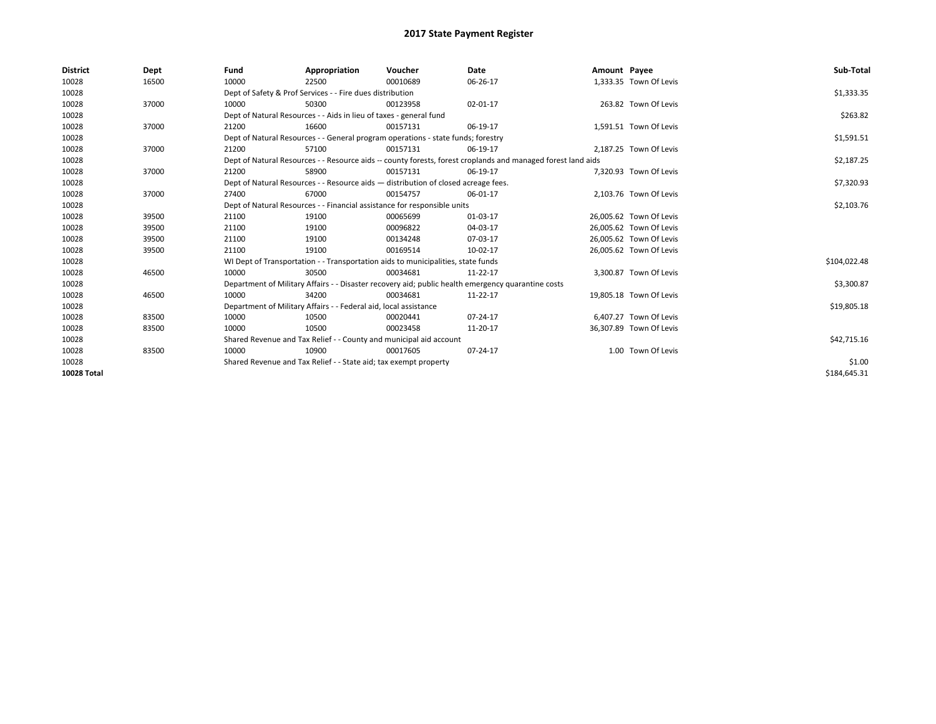| <b>District</b> | Dept  | Fund                                                                               | Appropriation                                                                    | Voucher    | Date                                                                                                         | Amount Payee |                         | Sub-Total    |
|-----------------|-------|------------------------------------------------------------------------------------|----------------------------------------------------------------------------------|------------|--------------------------------------------------------------------------------------------------------------|--------------|-------------------------|--------------|
| 10028           | 16500 | 10000                                                                              | 22500                                                                            | 00010689   | 06-26-17                                                                                                     |              | 1,333.35 Town Of Levis  |              |
| 10028           |       |                                                                                    | Dept of Safety & Prof Services - - Fire dues distribution                        |            |                                                                                                              |              |                         | \$1,333.35   |
| 10028           | 37000 | 10000                                                                              | 50300                                                                            | 00123958   | 02-01-17                                                                                                     |              | 263.82 Town Of Levis    |              |
| 10028           |       |                                                                                    | Dept of Natural Resources - - Aids in lieu of taxes - general fund               |            |                                                                                                              |              |                         | \$263.82     |
| 10028           | 37000 | 21200                                                                              | 16600                                                                            | 00157131   | 06-19-17                                                                                                     |              | 1,591.51 Town Of Levis  |              |
| 10028           |       |                                                                                    | Dept of Natural Resources - - General program operations - state funds; forestry |            |                                                                                                              |              |                         | \$1,591.51   |
| 10028           | 37000 | 21200                                                                              | 57100                                                                            | 00157131   | 06-19-17                                                                                                     |              | 2,187.25 Town Of Levis  |              |
| 10028           |       |                                                                                    |                                                                                  |            | Dept of Natural Resources - - Resource aids -- county forests, forest croplands and managed forest land aids |              |                         | \$2,187.25   |
| 10028           | 37000 | 21200                                                                              | 58900                                                                            | 00157131   | 06-19-17                                                                                                     |              | 7,320.93 Town Of Levis  |              |
| 10028           |       | Dept of Natural Resources - - Resource aids - distribution of closed acreage fees. |                                                                                  | \$7,320.93 |                                                                                                              |              |                         |              |
| 10028           | 37000 | 27400                                                                              | 67000                                                                            | 00154757   | 06-01-17                                                                                                     |              | 2,103.76 Town Of Levis  |              |
| 10028           |       | Dept of Natural Resources - - Financial assistance for responsible units           |                                                                                  | \$2,103.76 |                                                                                                              |              |                         |              |
| 10028           | 39500 | 21100                                                                              | 19100                                                                            | 00065699   | 01-03-17                                                                                                     |              | 26,005.62 Town Of Levis |              |
| 10028           | 39500 | 21100                                                                              | 19100                                                                            | 00096822   | 04-03-17                                                                                                     |              | 26,005.62 Town Of Levis |              |
| 10028           | 39500 | 21100                                                                              | 19100                                                                            | 00134248   | 07-03-17                                                                                                     |              | 26.005.62 Town Of Levis |              |
| 10028           | 39500 | 21100                                                                              | 19100                                                                            | 00169514   | 10-02-17                                                                                                     |              | 26.005.62 Town Of Levis |              |
| 10028           |       |                                                                                    | WI Dept of Transportation - - Transportation aids to municipalities, state funds |            |                                                                                                              |              |                         | \$104,022.48 |
| 10028           | 46500 | 10000                                                                              | 30500                                                                            | 00034681   | 11-22-17                                                                                                     |              | 3,300.87 Town Of Levis  |              |
| 10028           |       |                                                                                    |                                                                                  |            | Department of Military Affairs - - Disaster recovery aid; public health emergency quarantine costs           |              |                         | \$3,300.87   |
| 10028           | 46500 | 10000                                                                              | 34200                                                                            | 00034681   | 11-22-17                                                                                                     |              | 19,805.18 Town Of Levis |              |
| 10028           |       |                                                                                    | Department of Military Affairs - - Federal aid, local assistance                 |            |                                                                                                              |              |                         | \$19,805.18  |
| 10028           | 83500 | 10000                                                                              | 10500                                                                            | 00020441   | 07-24-17                                                                                                     |              | 6.407.27 Town Of Levis  |              |
| 10028           | 83500 | 10000                                                                              | 10500                                                                            | 00023458   | 11-20-17                                                                                                     |              | 36,307.89 Town Of Levis |              |
| 10028           |       |                                                                                    | Shared Revenue and Tax Relief - - County and municipal aid account               |            |                                                                                                              |              |                         | \$42,715.16  |
| 10028           | 83500 | 10000                                                                              | 10900                                                                            | 00017605   | 07-24-17                                                                                                     |              | 1.00 Town Of Levis      |              |
| 10028           |       |                                                                                    | Shared Revenue and Tax Relief - - State aid; tax exempt property                 |            |                                                                                                              |              |                         | \$1.00       |
| 10028 Total     |       |                                                                                    |                                                                                  |            |                                                                                                              |              |                         | \$184,645.31 |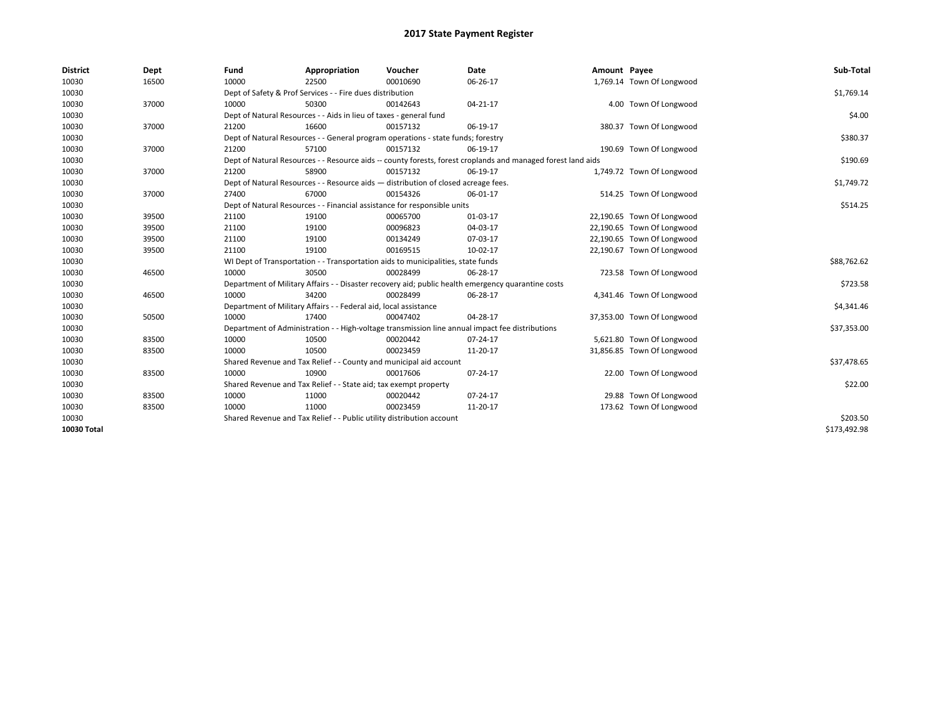| <b>District</b> | Dept  | Fund  | Appropriation                                                                      | Voucher  | Date                                                                                                         | Amount Payee |                            | Sub-Total    |  |  |
|-----------------|-------|-------|------------------------------------------------------------------------------------|----------|--------------------------------------------------------------------------------------------------------------|--------------|----------------------------|--------------|--|--|
| 10030           | 16500 | 10000 | 22500                                                                              | 00010690 | 06-26-17                                                                                                     |              | 1,769.14 Town Of Longwood  |              |  |  |
| 10030           |       |       | Dept of Safety & Prof Services - - Fire dues distribution                          |          |                                                                                                              |              |                            | \$1,769.14   |  |  |
| 10030           | 37000 | 10000 | 50300                                                                              | 00142643 | 04-21-17                                                                                                     |              | 4.00 Town Of Longwood      |              |  |  |
| 10030           |       |       | Dept of Natural Resources - - Aids in lieu of taxes - general fund                 |          |                                                                                                              |              |                            | \$4.00       |  |  |
| 10030           | 37000 | 21200 | 16600                                                                              | 00157132 | 06-19-17                                                                                                     |              | 380.37 Town Of Longwood    |              |  |  |
| 10030           |       |       | Dept of Natural Resources - - General program operations - state funds; forestry   |          |                                                                                                              |              |                            | \$380.37     |  |  |
| 10030           | 37000 | 21200 | 57100                                                                              | 00157132 | 06-19-17                                                                                                     |              | 190.69 Town Of Longwood    |              |  |  |
| 10030           |       |       |                                                                                    |          | Dept of Natural Resources - - Resource aids -- county forests, forest croplands and managed forest land aids |              |                            | \$190.69     |  |  |
| 10030           | 37000 | 21200 | 58900                                                                              | 00157132 | 06-19-17                                                                                                     |              | 1,749.72 Town Of Longwood  |              |  |  |
| 10030           |       |       | Dept of Natural Resources - - Resource aids - distribution of closed acreage fees. |          |                                                                                                              |              |                            | \$1,749.72   |  |  |
| 10030           | 37000 | 27400 | 67000                                                                              | 00154326 | 06-01-17                                                                                                     |              | 514.25 Town Of Longwood    |              |  |  |
| 10030           |       |       | Dept of Natural Resources - - Financial assistance for responsible units           |          |                                                                                                              |              |                            |              |  |  |
| 10030           | 39500 | 21100 | 19100                                                                              | 00065700 | 01-03-17                                                                                                     |              | 22,190.65 Town Of Longwood |              |  |  |
| 10030           | 39500 | 21100 | 19100                                                                              | 00096823 | 04-03-17                                                                                                     |              | 22,190.65 Town Of Longwood |              |  |  |
| 10030           | 39500 | 21100 | 19100                                                                              | 00134249 | 07-03-17                                                                                                     |              | 22,190.65 Town Of Longwood |              |  |  |
| 10030           | 39500 | 21100 | 19100                                                                              | 00169515 | 10-02-17                                                                                                     |              | 22,190.67 Town Of Longwood |              |  |  |
| 10030           |       |       | WI Dept of Transportation - - Transportation aids to municipalities, state funds   |          |                                                                                                              |              |                            | \$88,762.62  |  |  |
| 10030           | 46500 | 10000 | 30500                                                                              | 00028499 | 06-28-17                                                                                                     |              | 723.58 Town Of Longwood    |              |  |  |
| 10030           |       |       |                                                                                    |          | Department of Military Affairs - - Disaster recovery aid; public health emergency quarantine costs           |              |                            | \$723.58     |  |  |
| 10030           | 46500 | 10000 | 34200                                                                              | 00028499 | 06-28-17                                                                                                     |              | 4,341.46 Town Of Longwood  |              |  |  |
| 10030           |       |       | Department of Military Affairs - - Federal aid, local assistance                   |          |                                                                                                              |              |                            | \$4,341.46   |  |  |
| 10030           | 50500 | 10000 | 17400                                                                              | 00047402 | 04-28-17                                                                                                     |              | 37,353.00 Town Of Longwood |              |  |  |
| 10030           |       |       |                                                                                    |          | Department of Administration - - High-voltage transmission line annual impact fee distributions              |              |                            | \$37,353.00  |  |  |
| 10030           | 83500 | 10000 | 10500                                                                              | 00020442 | 07-24-17                                                                                                     |              | 5,621.80 Town Of Longwood  |              |  |  |
| 10030           | 83500 | 10000 | 10500                                                                              | 00023459 | 11-20-17                                                                                                     |              | 31,856.85 Town Of Longwood |              |  |  |
| 10030           |       |       | Shared Revenue and Tax Relief - - County and municipal aid account                 |          |                                                                                                              |              |                            | \$37,478.65  |  |  |
| 10030           | 83500 | 10000 | 10900                                                                              | 00017606 | 07-24-17                                                                                                     |              | 22.00 Town Of Longwood     |              |  |  |
| 10030           |       |       | Shared Revenue and Tax Relief - - State aid; tax exempt property                   |          |                                                                                                              |              |                            | \$22.00      |  |  |
| 10030           | 83500 | 10000 | 11000                                                                              | 00020442 | $07 - 24 - 17$                                                                                               |              | 29.88 Town Of Longwood     |              |  |  |
| 10030           | 83500 | 10000 | 11000                                                                              | 00023459 | 11-20-17                                                                                                     |              | 173.62 Town Of Longwood    |              |  |  |
| 10030           |       |       | Shared Revenue and Tax Relief - - Public utility distribution account              |          |                                                                                                              |              |                            | \$203.50     |  |  |
| 10030 Total     |       |       |                                                                                    |          |                                                                                                              |              |                            | \$173,492.98 |  |  |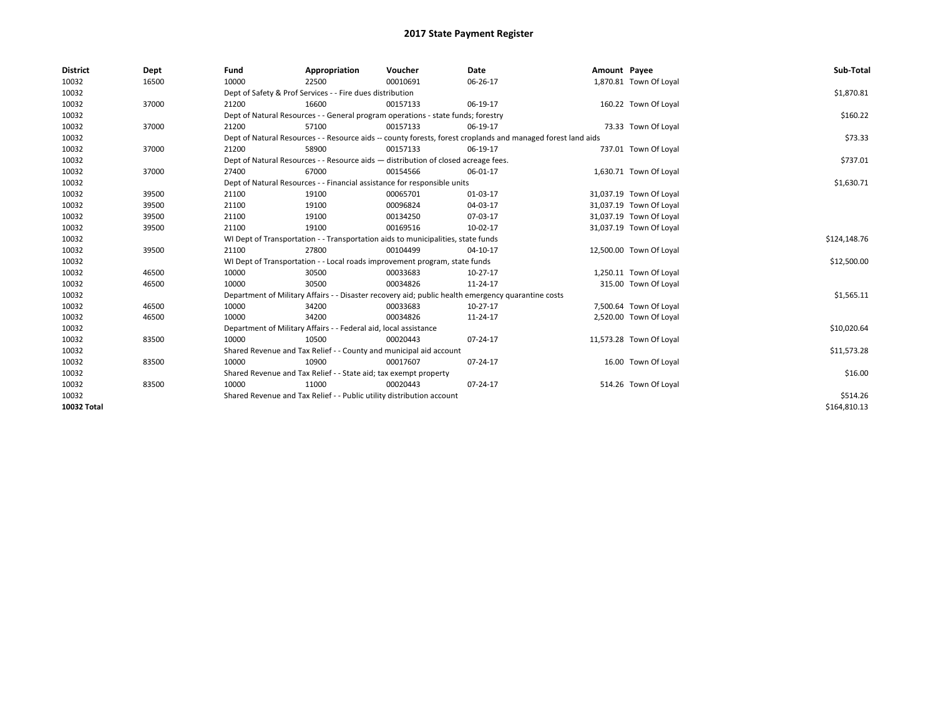| <b>District</b> | Dept  | Fund  | Appropriation                                                                      | Voucher  | Date                                                                                                         | Amount Payee |                         | Sub-Total    |  |  |
|-----------------|-------|-------|------------------------------------------------------------------------------------|----------|--------------------------------------------------------------------------------------------------------------|--------------|-------------------------|--------------|--|--|
| 10032           | 16500 | 10000 | 22500                                                                              | 00010691 | 06-26-17                                                                                                     |              | 1,870.81 Town Of Loyal  |              |  |  |
| 10032           |       |       | Dept of Safety & Prof Services - - Fire dues distribution                          |          |                                                                                                              |              |                         | \$1,870.81   |  |  |
| 10032           | 37000 | 21200 | 16600                                                                              | 00157133 | 06-19-17                                                                                                     |              | 160.22 Town Of Loyal    |              |  |  |
| 10032           |       |       | Dept of Natural Resources - - General program operations - state funds; forestry   |          |                                                                                                              |              |                         | \$160.22     |  |  |
| 10032           | 37000 | 21200 | 57100                                                                              | 00157133 | 06-19-17                                                                                                     |              | 73.33 Town Of Loyal     |              |  |  |
| 10032           |       |       |                                                                                    |          | Dept of Natural Resources - - Resource aids -- county forests, forest croplands and managed forest land aids |              |                         | \$73.33      |  |  |
| 10032           | 37000 | 21200 | 58900                                                                              | 00157133 | 06-19-17                                                                                                     |              | 737.01 Town Of Loyal    |              |  |  |
| 10032           |       |       | Dept of Natural Resources - - Resource aids - distribution of closed acreage fees. |          |                                                                                                              |              |                         | \$737.01     |  |  |
| 10032           | 37000 | 27400 | 67000                                                                              | 00154566 | 06-01-17                                                                                                     |              | 1,630.71 Town Of Loyal  |              |  |  |
| 10032           |       |       | Dept of Natural Resources - - Financial assistance for responsible units           |          | \$1,630.71                                                                                                   |              |                         |              |  |  |
| 10032           | 39500 | 21100 | 19100                                                                              | 00065701 | 01-03-17                                                                                                     |              | 31,037.19 Town Of Loyal |              |  |  |
| 10032           | 39500 | 21100 | 19100                                                                              | 00096824 | 04-03-17                                                                                                     |              | 31,037.19 Town Of Loyal |              |  |  |
| 10032           | 39500 | 21100 | 19100                                                                              | 00134250 | 07-03-17                                                                                                     |              | 31,037.19 Town Of Loyal |              |  |  |
| 10032           | 39500 | 21100 | 19100                                                                              | 00169516 | 10-02-17                                                                                                     |              | 31,037.19 Town Of Loyal |              |  |  |
| 10032           |       |       | WI Dept of Transportation - - Transportation aids to municipalities, state funds   |          |                                                                                                              |              |                         |              |  |  |
| 10032           | 39500 | 21100 | 27800                                                                              | 00104499 | 04-10-17                                                                                                     |              | 12,500.00 Town Of Loyal |              |  |  |
| 10032           |       |       | WI Dept of Transportation - - Local roads improvement program, state funds         |          |                                                                                                              |              |                         | \$12,500.00  |  |  |
| 10032           | 46500 | 10000 | 30500                                                                              | 00033683 | $10-27-17$                                                                                                   |              | 1,250.11 Town Of Loyal  |              |  |  |
| 10032           | 46500 | 10000 | 30500                                                                              | 00034826 | 11-24-17                                                                                                     |              | 315.00 Town Of Loyal    |              |  |  |
| 10032           |       |       |                                                                                    |          | Department of Military Affairs - - Disaster recovery aid; public health emergency quarantine costs           |              |                         | \$1,565.11   |  |  |
| 10032           | 46500 | 10000 | 34200                                                                              | 00033683 | 10-27-17                                                                                                     |              | 7,500.64 Town Of Loyal  |              |  |  |
| 10032           | 46500 | 10000 | 34200                                                                              | 00034826 | 11-24-17                                                                                                     |              | 2,520.00 Town Of Loyal  |              |  |  |
| 10032           |       |       | Department of Military Affairs - - Federal aid, local assistance                   |          |                                                                                                              |              |                         | \$10,020.64  |  |  |
| 10032           | 83500 | 10000 | 10500                                                                              | 00020443 | 07-24-17                                                                                                     |              | 11,573.28 Town Of Loyal |              |  |  |
| 10032           |       |       | Shared Revenue and Tax Relief - - County and municipal aid account                 |          |                                                                                                              |              |                         | \$11,573.28  |  |  |
| 10032           | 83500 | 10000 | 10900                                                                              | 00017607 | 07-24-17                                                                                                     |              | 16.00 Town Of Loyal     |              |  |  |
| 10032           |       |       | Shared Revenue and Tax Relief - - State aid; tax exempt property                   |          |                                                                                                              |              |                         |              |  |  |
| 10032           | 83500 | 10000 | 11000                                                                              | 00020443 | 07-24-17                                                                                                     |              | 514.26 Town Of Loyal    |              |  |  |
| 10032           |       |       | Shared Revenue and Tax Relief - - Public utility distribution account              |          |                                                                                                              |              |                         | \$514.26     |  |  |
| 10032 Total     |       |       |                                                                                    |          |                                                                                                              |              |                         | \$164,810.13 |  |  |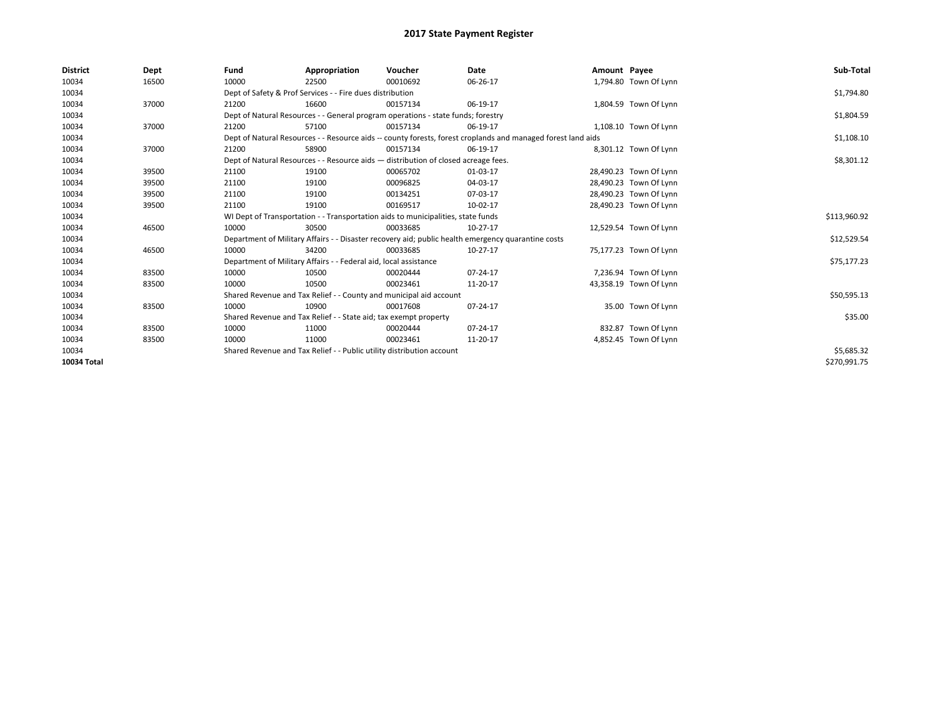| <b>District</b> | Dept  | Fund                                                                  | Appropriation                                                                      | Voucher    | Date                                                                                                         | Amount Payee |                        | Sub-Total    |  |  |  |
|-----------------|-------|-----------------------------------------------------------------------|------------------------------------------------------------------------------------|------------|--------------------------------------------------------------------------------------------------------------|--------------|------------------------|--------------|--|--|--|
| 10034           | 16500 | 10000                                                                 | 22500                                                                              | 00010692   | 06-26-17                                                                                                     |              | 1,794.80 Town Of Lynn  |              |  |  |  |
| 10034           |       |                                                                       | Dept of Safety & Prof Services - - Fire dues distribution                          |            |                                                                                                              |              |                        | \$1,794.80   |  |  |  |
| 10034           | 37000 | 21200                                                                 | 16600                                                                              | 00157134   | 06-19-17                                                                                                     |              | 1,804.59 Town Of Lynn  |              |  |  |  |
| 10034           |       |                                                                       | Dept of Natural Resources - - General program operations - state funds; forestry   |            |                                                                                                              |              |                        | \$1,804.59   |  |  |  |
| 10034           | 37000 | 21200                                                                 | 57100                                                                              | 00157134   | 06-19-17                                                                                                     |              | 1,108.10 Town Of Lynn  |              |  |  |  |
| 10034           |       |                                                                       |                                                                                    |            | Dept of Natural Resources - - Resource aids -- county forests, forest croplands and managed forest land aids |              |                        | \$1,108.10   |  |  |  |
| 10034           | 37000 | 21200                                                                 | 58900                                                                              | 00157134   | 06-19-17                                                                                                     |              | 8,301.12 Town Of Lynn  |              |  |  |  |
| 10034           |       |                                                                       | Dept of Natural Resources - - Resource aids - distribution of closed acreage fees. |            |                                                                                                              |              |                        | \$8,301.12   |  |  |  |
| 10034           | 39500 | 21100                                                                 | 19100                                                                              | 00065702   | 01-03-17                                                                                                     |              | 28,490.23 Town Of Lynn |              |  |  |  |
| 10034           | 39500 | 21100                                                                 | 19100                                                                              | 00096825   | 04-03-17                                                                                                     |              | 28,490.23 Town Of Lynn |              |  |  |  |
| 10034           | 39500 | 21100                                                                 | 19100                                                                              | 00134251   | 07-03-17                                                                                                     |              | 28,490.23 Town Of Lynn |              |  |  |  |
| 10034           | 39500 | 21100                                                                 | 19100                                                                              | 00169517   | 10-02-17                                                                                                     |              | 28,490.23 Town Of Lynn |              |  |  |  |
| 10034           |       |                                                                       | WI Dept of Transportation - - Transportation aids to municipalities, state funds   |            |                                                                                                              |              |                        |              |  |  |  |
| 10034           | 46500 | 10000                                                                 | 30500                                                                              | 00033685   | 10-27-17                                                                                                     |              | 12,529.54 Town Of Lynn |              |  |  |  |
| 10034           |       |                                                                       |                                                                                    |            | Department of Military Affairs - - Disaster recovery aid; public health emergency quarantine costs           |              |                        | \$12,529.54  |  |  |  |
| 10034           | 46500 | 10000                                                                 | 34200                                                                              | 00033685   | $10-27-17$                                                                                                   |              | 75,177.23 Town Of Lynn |              |  |  |  |
| 10034           |       |                                                                       | Department of Military Affairs - - Federal aid, local assistance                   |            |                                                                                                              |              |                        | \$75,177.23  |  |  |  |
| 10034           | 83500 | 10000                                                                 | 10500                                                                              | 00020444   | $07 - 24 - 17$                                                                                               |              | 7,236.94 Town Of Lynn  |              |  |  |  |
| 10034           | 83500 | 10000                                                                 | 10500                                                                              | 00023461   | 11-20-17                                                                                                     |              | 43,358.19 Town Of Lynn |              |  |  |  |
| 10034           |       |                                                                       | Shared Revenue and Tax Relief - - County and municipal aid account                 |            |                                                                                                              |              |                        | \$50,595.13  |  |  |  |
| 10034           | 83500 | 10000                                                                 | 10900                                                                              | 00017608   | 07-24-17                                                                                                     |              | 35.00 Town Of Lynn     |              |  |  |  |
| 10034           |       |                                                                       | Shared Revenue and Tax Relief - - State aid; tax exempt property                   |            |                                                                                                              |              |                        | \$35.00      |  |  |  |
| 10034           | 83500 | 10000                                                                 | 11000                                                                              | 00020444   | 07-24-17                                                                                                     |              | 832.87 Town Of Lynn    |              |  |  |  |
| 10034           | 83500 | 10000                                                                 | 11000                                                                              | 00023461   | 11-20-17                                                                                                     |              | 4,852.45 Town Of Lynn  |              |  |  |  |
| 10034           |       | Shared Revenue and Tax Relief - - Public utility distribution account |                                                                                    | \$5,685.32 |                                                                                                              |              |                        |              |  |  |  |
| 10034 Total     |       |                                                                       |                                                                                    |            |                                                                                                              |              |                        | \$270,991.75 |  |  |  |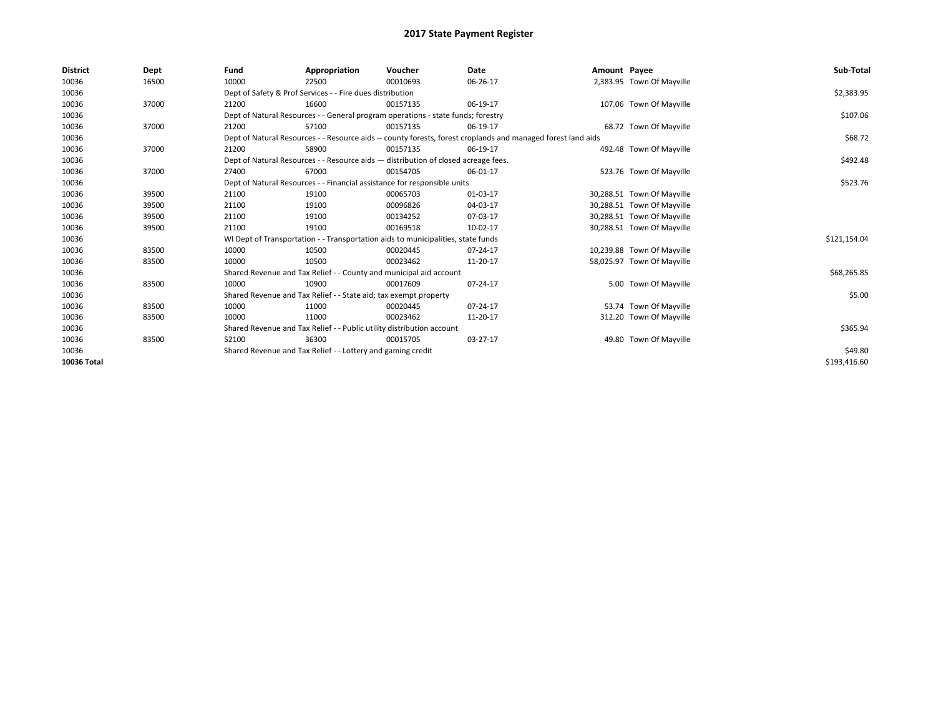| <b>District</b> | Dept  | Fund                                                                     | Appropriation                                                      | Voucher                                                                            | Date                                                                                                         | Amount Payee |                            | Sub-Total    |
|-----------------|-------|--------------------------------------------------------------------------|--------------------------------------------------------------------|------------------------------------------------------------------------------------|--------------------------------------------------------------------------------------------------------------|--------------|----------------------------|--------------|
| 10036           | 16500 | 10000                                                                    | 22500                                                              | 00010693                                                                           | 06-26-17                                                                                                     |              | 2,383.95 Town Of Mayville  |              |
| 10036           |       |                                                                          | Dept of Safety & Prof Services - - Fire dues distribution          |                                                                                    |                                                                                                              |              |                            | \$2,383.95   |
| 10036           | 37000 | 21200                                                                    | 16600                                                              | 00157135                                                                           | 06-19-17                                                                                                     |              | 107.06 Town Of Mayville    |              |
| 10036           |       |                                                                          |                                                                    | Dept of Natural Resources - - General program operations - state funds; forestry   |                                                                                                              |              |                            | \$107.06     |
| 10036           | 37000 | 21200                                                                    | 57100                                                              | 00157135                                                                           | 06-19-17                                                                                                     |              | 68.72 Town Of Mayville     |              |
| 10036           |       |                                                                          |                                                                    |                                                                                    | Dept of Natural Resources - - Resource aids -- county forests, forest croplands and managed forest land aids |              |                            | \$68.72      |
| 10036           | 37000 | 21200                                                                    | 58900                                                              | 00157135                                                                           | 06-19-17                                                                                                     |              | 492.48 Town Of Mayville    |              |
| 10036           |       |                                                                          |                                                                    | Dept of Natural Resources - - Resource aids - distribution of closed acreage fees. |                                                                                                              |              |                            | \$492.48     |
| 10036           | 37000 | 27400                                                                    | 67000                                                              | 00154705                                                                           | 06-01-17                                                                                                     |              | 523.76 Town Of Mayville    |              |
| 10036           |       | Dept of Natural Resources - - Financial assistance for responsible units |                                                                    | \$523.76                                                                           |                                                                                                              |              |                            |              |
| 10036           | 39500 | 21100                                                                    | 19100                                                              | 00065703                                                                           | 01-03-17                                                                                                     |              | 30,288.51 Town Of Mayville |              |
| 10036           | 39500 | 21100                                                                    | 19100                                                              | 00096826                                                                           | 04-03-17                                                                                                     |              | 30,288.51 Town Of Mayville |              |
| 10036           | 39500 | 21100                                                                    | 19100                                                              | 00134252                                                                           | 07-03-17                                                                                                     |              | 30,288.51 Town Of Mayville |              |
| 10036           | 39500 | 21100                                                                    | 19100                                                              | 00169518                                                                           | 10-02-17                                                                                                     |              | 30,288.51 Town Of Mayville |              |
| 10036           |       |                                                                          |                                                                    | WI Dept of Transportation - - Transportation aids to municipalities, state funds   |                                                                                                              |              |                            | \$121,154.04 |
| 10036           | 83500 | 10000                                                                    | 10500                                                              | 00020445                                                                           | 07-24-17                                                                                                     |              | 10,239.88 Town Of Mayville |              |
| 10036           | 83500 | 10000                                                                    | 10500                                                              | 00023462                                                                           | 11-20-17                                                                                                     |              | 58,025.97 Town Of Mayville |              |
| 10036           |       |                                                                          | Shared Revenue and Tax Relief - - County and municipal aid account |                                                                                    |                                                                                                              |              |                            | \$68,265.85  |
| 10036           | 83500 | 10000                                                                    | 10900                                                              | 00017609                                                                           | 07-24-17                                                                                                     |              | 5.00 Town Of Mayville      |              |
| 10036           |       |                                                                          | Shared Revenue and Tax Relief - - State aid; tax exempt property   |                                                                                    |                                                                                                              |              |                            | \$5.00       |
| 10036           | 83500 | 10000                                                                    | 11000                                                              | 00020445                                                                           | 07-24-17                                                                                                     |              | 53.74 Town Of Mayville     |              |
| 10036           | 83500 | 10000                                                                    | 11000                                                              | 00023462                                                                           | 11-20-17                                                                                                     |              | 312.20 Town Of Mayville    |              |
| 10036           |       | Shared Revenue and Tax Relief - - Public utility distribution account    |                                                                    | \$365.94                                                                           |                                                                                                              |              |                            |              |
| 10036           | 83500 | 52100                                                                    | 36300                                                              | 00015705                                                                           | 03-27-17                                                                                                     |              | 49.80 Town Of Mayville     |              |
| 10036           |       | Shared Revenue and Tax Relief - - Lottery and gaming credit              |                                                                    | \$49.80                                                                            |                                                                                                              |              |                            |              |
| 10036 Total     |       |                                                                          |                                                                    |                                                                                    |                                                                                                              |              |                            | \$193,416.60 |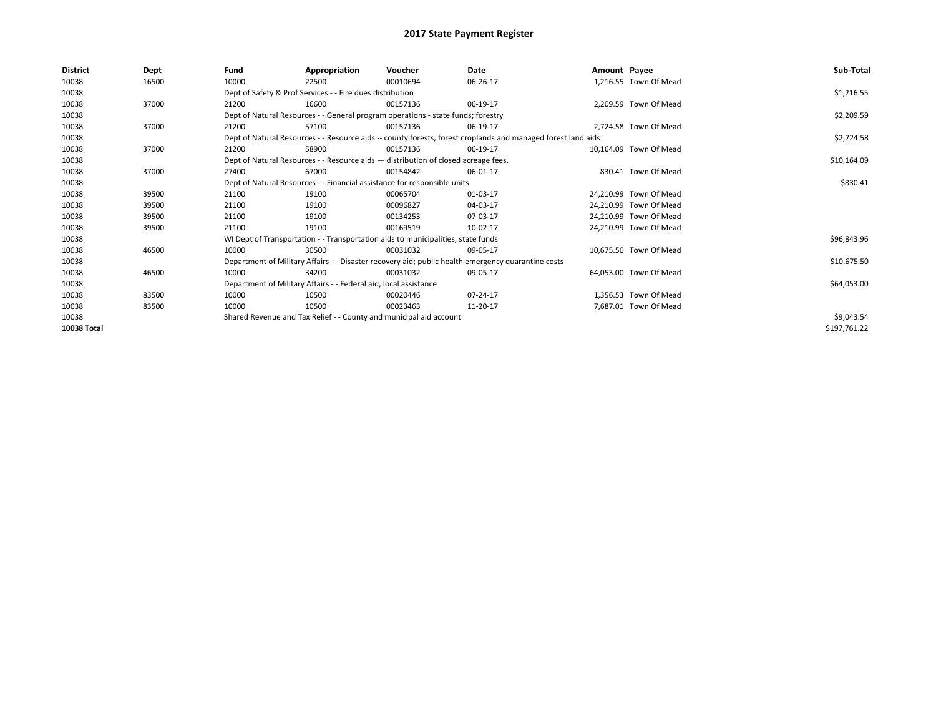| <b>District</b> | Dept  | Fund  | Appropriation                                                                                                | Voucher  | Date     | Amount Payee |                        | Sub-Total    |  |
|-----------------|-------|-------|--------------------------------------------------------------------------------------------------------------|----------|----------|--------------|------------------------|--------------|--|
| 10038           | 16500 | 10000 | 22500                                                                                                        | 00010694 | 06-26-17 |              | 1,216.55 Town Of Mead  |              |  |
| 10038           |       |       | Dept of Safety & Prof Services - - Fire dues distribution                                                    |          |          |              |                        | \$1,216.55   |  |
| 10038           | 37000 | 21200 | 16600                                                                                                        | 00157136 | 06-19-17 |              | 2,209.59 Town Of Mead  |              |  |
| 10038           |       |       | Dept of Natural Resources - - General program operations - state funds; forestry                             |          |          |              |                        | \$2,209.59   |  |
| 10038           | 37000 | 21200 | 57100                                                                                                        | 00157136 | 06-19-17 |              | 2,724.58 Town Of Mead  |              |  |
| 10038           |       |       | Dept of Natural Resources - - Resource aids -- county forests, forest croplands and managed forest land aids |          |          |              |                        | \$2,724.58   |  |
| 10038           | 37000 | 21200 | 58900                                                                                                        | 00157136 | 06-19-17 |              | 10.164.09 Town Of Mead |              |  |
| 10038           |       |       | Dept of Natural Resources - - Resource aids - distribution of closed acreage fees.                           |          |          |              |                        | \$10,164.09  |  |
| 10038           | 37000 | 27400 | 67000                                                                                                        | 00154842 | 06-01-17 |              | 830.41 Town Of Mead    |              |  |
| 10038           |       |       | Dept of Natural Resources - - Financial assistance for responsible units                                     |          |          |              |                        | \$830.41     |  |
| 10038           | 39500 | 21100 | 19100                                                                                                        | 00065704 | 01-03-17 |              | 24.210.99 Town Of Mead |              |  |
| 10038           | 39500 | 21100 | 19100                                                                                                        | 00096827 | 04-03-17 |              | 24,210.99 Town Of Mead |              |  |
| 10038           | 39500 | 21100 | 19100                                                                                                        | 00134253 | 07-03-17 |              | 24.210.99 Town Of Mead |              |  |
| 10038           | 39500 | 21100 | 19100                                                                                                        | 00169519 | 10-02-17 |              | 24,210.99 Town Of Mead |              |  |
| 10038           |       |       | WI Dept of Transportation - - Transportation aids to municipalities, state funds                             |          |          |              |                        | \$96,843.96  |  |
| 10038           | 46500 | 10000 | 30500                                                                                                        | 00031032 | 09-05-17 |              | 10,675.50 Town Of Mead |              |  |
| 10038           |       |       | Department of Military Affairs - - Disaster recovery aid; public health emergency quarantine costs           |          |          |              |                        | \$10,675.50  |  |
| 10038           | 46500 | 10000 | 34200                                                                                                        | 00031032 | 09-05-17 |              | 64,053.00 Town Of Mead |              |  |
| 10038           |       |       | Department of Military Affairs - - Federal aid, local assistance                                             |          |          |              |                        | \$64,053.00  |  |
| 10038           | 83500 | 10000 | 10500                                                                                                        | 00020446 | 07-24-17 |              | 1,356.53 Town Of Mead  |              |  |
| 10038           | 83500 | 10000 | 10500                                                                                                        | 00023463 | 11-20-17 |              | 7,687.01 Town Of Mead  |              |  |
| 10038           |       |       | Shared Revenue and Tax Relief - - County and municipal aid account                                           |          |          |              |                        |              |  |
| 10038 Total     |       |       |                                                                                                              |          |          |              |                        | \$197,761.22 |  |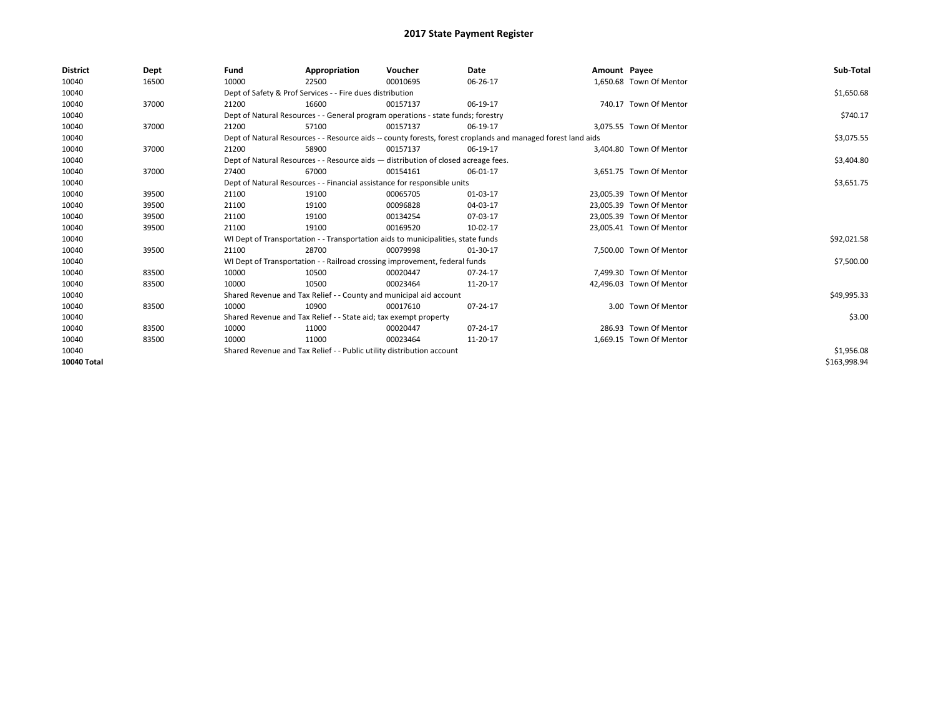| <b>District</b> | Dept  | Fund  | Appropriation                                                                                                | Voucher  | Date     | Amount Payee |                          | Sub-Total    |  |  |
|-----------------|-------|-------|--------------------------------------------------------------------------------------------------------------|----------|----------|--------------|--------------------------|--------------|--|--|
| 10040           | 16500 | 10000 | 22500                                                                                                        | 00010695 | 06-26-17 |              | 1,650.68 Town Of Mentor  |              |  |  |
| 10040           |       |       | Dept of Safety & Prof Services - - Fire dues distribution                                                    |          |          |              |                          | \$1,650.68   |  |  |
| 10040           | 37000 | 21200 | 16600                                                                                                        | 00157137 | 06-19-17 |              | 740.17 Town Of Mentor    |              |  |  |
| 10040           |       |       | Dept of Natural Resources - - General program operations - state funds; forestry                             |          |          |              |                          | \$740.17     |  |  |
| 10040           | 37000 | 21200 | 57100                                                                                                        | 00157137 | 06-19-17 |              | 3.075.55 Town Of Mentor  |              |  |  |
| 10040           |       |       | Dept of Natural Resources - - Resource aids -- county forests, forest croplands and managed forest land aids |          |          |              |                          |              |  |  |
| 10040           | 37000 | 21200 | 58900                                                                                                        | 00157137 | 06-19-17 |              | 3,404.80 Town Of Mentor  |              |  |  |
| 10040           |       |       | Dept of Natural Resources - - Resource aids - distribution of closed acreage fees.                           |          |          |              |                          | \$3,404.80   |  |  |
| 10040           | 37000 | 27400 | 67000                                                                                                        | 00154161 | 06-01-17 |              | 3,651.75 Town Of Mentor  |              |  |  |
| 10040           |       |       | Dept of Natural Resources - - Financial assistance for responsible units                                     |          |          |              |                          | \$3,651.75   |  |  |
| 10040           | 39500 | 21100 | 19100                                                                                                        | 00065705 | 01-03-17 |              | 23.005.39 Town Of Mentor |              |  |  |
| 10040           | 39500 | 21100 | 19100                                                                                                        | 00096828 | 04-03-17 |              | 23.005.39 Town Of Mentor |              |  |  |
| 10040           | 39500 | 21100 | 19100                                                                                                        | 00134254 | 07-03-17 |              | 23,005.39 Town Of Mentor |              |  |  |
| 10040           | 39500 | 21100 | 19100                                                                                                        | 00169520 | 10-02-17 |              | 23,005.41 Town Of Mentor |              |  |  |
| 10040           |       |       | WI Dept of Transportation - - Transportation aids to municipalities, state funds                             |          |          |              |                          | \$92,021.58  |  |  |
| 10040           | 39500 | 21100 | 28700                                                                                                        | 00079998 | 01-30-17 |              | 7.500.00 Town Of Mentor  |              |  |  |
| 10040           |       |       | WI Dept of Transportation - - Railroad crossing improvement, federal funds                                   |          |          |              |                          | \$7,500.00   |  |  |
| 10040           | 83500 | 10000 | 10500                                                                                                        | 00020447 | 07-24-17 |              | 7.499.30 Town Of Mentor  |              |  |  |
| 10040           | 83500 | 10000 | 10500                                                                                                        | 00023464 | 11-20-17 |              | 42,496.03 Town Of Mentor |              |  |  |
| 10040           |       |       | Shared Revenue and Tax Relief - - County and municipal aid account                                           |          |          |              |                          | \$49,995.33  |  |  |
| 10040           | 83500 | 10000 | 10900                                                                                                        | 00017610 | 07-24-17 |              | 3.00 Town Of Mentor      |              |  |  |
| 10040           |       |       | Shared Revenue and Tax Relief - - State aid; tax exempt property                                             |          |          |              |                          | \$3.00       |  |  |
| 10040           | 83500 | 10000 | 11000                                                                                                        | 00020447 | 07-24-17 |              | 286.93 Town Of Mentor    |              |  |  |
| 10040           | 83500 | 10000 | 11000                                                                                                        | 00023464 | 11-20-17 |              | 1,669.15 Town Of Mentor  |              |  |  |
| 10040           |       |       | Shared Revenue and Tax Relief - - Public utility distribution account                                        |          |          |              |                          |              |  |  |
| 10040 Total     |       |       |                                                                                                              |          |          |              |                          | \$163,998.94 |  |  |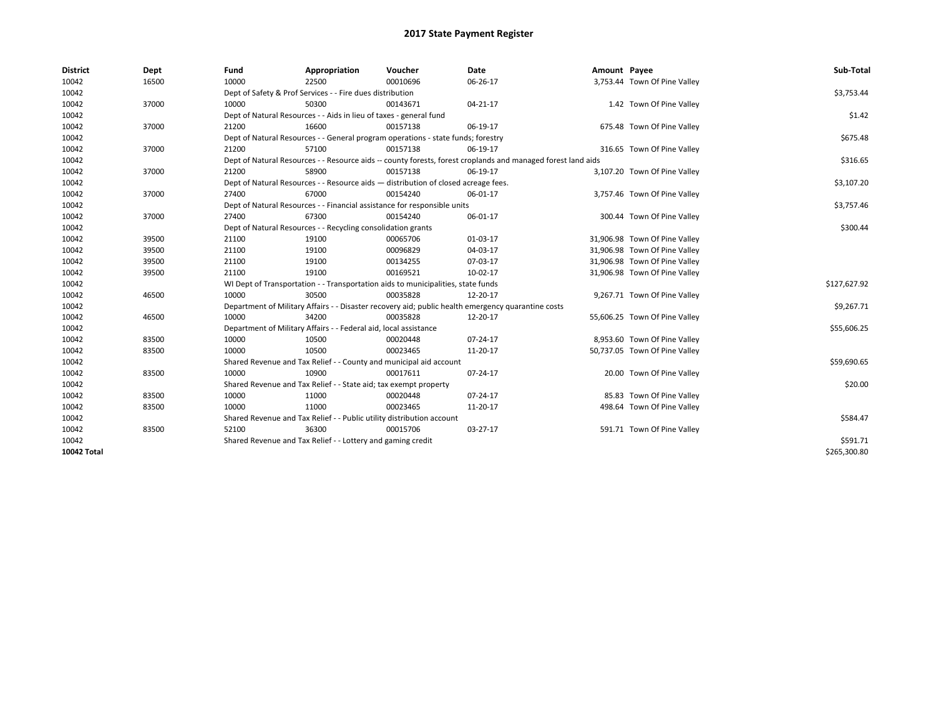| <b>District</b>    | Dept  | Fund  | Appropriation                                                                                                | Voucher  | Date                                                                                               | Amount Payee |                               | Sub-Total    |  |  |
|--------------------|-------|-------|--------------------------------------------------------------------------------------------------------------|----------|----------------------------------------------------------------------------------------------------|--------------|-------------------------------|--------------|--|--|
| 10042              | 16500 | 10000 | 22500                                                                                                        | 00010696 | 06-26-17                                                                                           |              | 3,753.44 Town Of Pine Valley  |              |  |  |
| 10042              |       |       | Dept of Safety & Prof Services - - Fire dues distribution                                                    |          |                                                                                                    |              |                               | \$3,753.44   |  |  |
| 10042              | 37000 | 10000 | 50300                                                                                                        | 00143671 | 04-21-17                                                                                           |              | 1.42 Town Of Pine Valley      |              |  |  |
| 10042              |       |       | Dept of Natural Resources - - Aids in lieu of taxes - general fund                                           |          |                                                                                                    |              |                               | \$1.42       |  |  |
| 10042              | 37000 | 21200 | 16600                                                                                                        | 00157138 | 06-19-17                                                                                           |              | 675.48 Town Of Pine Valley    |              |  |  |
| 10042              |       |       | Dept of Natural Resources - - General program operations - state funds; forestry                             |          |                                                                                                    |              |                               | \$675.48     |  |  |
| 10042              | 37000 | 21200 | 57100                                                                                                        | 00157138 | 06-19-17                                                                                           |              | 316.65 Town Of Pine Valley    |              |  |  |
| 10042              |       |       | Dept of Natural Resources - - Resource aids -- county forests, forest croplands and managed forest land aids |          |                                                                                                    |              |                               |              |  |  |
| 10042              | 37000 | 21200 | 58900                                                                                                        | 00157138 | 06-19-17                                                                                           |              | 3,107.20 Town Of Pine Valley  |              |  |  |
| 10042              |       |       | Dept of Natural Resources - - Resource aids - distribution of closed acreage fees.                           |          |                                                                                                    |              |                               | \$3,107.20   |  |  |
| 10042              | 37000 | 27400 | 67000                                                                                                        | 00154240 | 06-01-17                                                                                           |              | 3,757.46 Town Of Pine Valley  |              |  |  |
| 10042              |       |       | Dept of Natural Resources - - Financial assistance for responsible units                                     |          |                                                                                                    |              |                               | \$3,757.46   |  |  |
| 10042              | 37000 | 27400 | 67300                                                                                                        | 00154240 | 06-01-17                                                                                           |              | 300.44 Town Of Pine Valley    |              |  |  |
| 10042              |       |       | Dept of Natural Resources - - Recycling consolidation grants                                                 |          |                                                                                                    |              |                               |              |  |  |
| 10042              | 39500 | 21100 | 19100                                                                                                        | 00065706 | 01-03-17                                                                                           |              | 31,906.98 Town Of Pine Valley |              |  |  |
| 10042              | 39500 | 21100 | 19100                                                                                                        | 00096829 | 04-03-17                                                                                           |              | 31,906.98 Town Of Pine Valley |              |  |  |
| 10042              | 39500 | 21100 | 19100                                                                                                        | 00134255 | 07-03-17                                                                                           |              | 31,906.98 Town Of Pine Valley |              |  |  |
| 10042              | 39500 | 21100 | 19100                                                                                                        | 00169521 | 10-02-17                                                                                           |              | 31,906.98 Town Of Pine Valley |              |  |  |
| 10042              |       |       | WI Dept of Transportation - - Transportation aids to municipalities, state funds                             |          |                                                                                                    |              |                               | \$127,627.92 |  |  |
| 10042              | 46500 | 10000 | 30500                                                                                                        | 00035828 | 12-20-17                                                                                           |              | 9,267.71 Town Of Pine Valley  |              |  |  |
| 10042              |       |       |                                                                                                              |          | Department of Military Affairs - - Disaster recovery aid; public health emergency quarantine costs |              |                               | \$9,267.71   |  |  |
| 10042              | 46500 | 10000 | 34200                                                                                                        | 00035828 | 12-20-17                                                                                           |              | 55,606.25 Town Of Pine Valley |              |  |  |
| 10042              |       |       | Department of Military Affairs - - Federal aid, local assistance                                             |          |                                                                                                    |              |                               | \$55,606.25  |  |  |
| 10042              | 83500 | 10000 | 10500                                                                                                        | 00020448 | 07-24-17                                                                                           |              | 8,953.60 Town Of Pine Valley  |              |  |  |
| 10042              | 83500 | 10000 | 10500                                                                                                        | 00023465 | 11-20-17                                                                                           |              | 50,737.05 Town Of Pine Valley |              |  |  |
| 10042              |       |       | Shared Revenue and Tax Relief - - County and municipal aid account                                           |          |                                                                                                    |              |                               | \$59,690.65  |  |  |
| 10042              | 83500 | 10000 | 10900                                                                                                        | 00017611 | 07-24-17                                                                                           |              | 20.00 Town Of Pine Valley     |              |  |  |
| 10042              |       |       | Shared Revenue and Tax Relief - - State aid; tax exempt property                                             |          |                                                                                                    |              |                               | \$20.00      |  |  |
| 10042              | 83500 | 10000 | 11000                                                                                                        | 00020448 | $07 - 24 - 17$                                                                                     |              | 85.83 Town Of Pine Valley     |              |  |  |
| 10042              | 83500 | 10000 | 11000                                                                                                        | 00023465 | 11-20-17                                                                                           |              | 498.64 Town Of Pine Valley    |              |  |  |
| 10042              |       |       | Shared Revenue and Tax Relief - - Public utility distribution account                                        |          |                                                                                                    |              |                               | \$584.47     |  |  |
| 10042              | 83500 | 52100 | 36300                                                                                                        | 00015706 | 03-27-17                                                                                           |              | 591.71 Town Of Pine Valley    |              |  |  |
| 10042              |       |       | Shared Revenue and Tax Relief - - Lottery and gaming credit                                                  |          |                                                                                                    |              |                               | \$591.71     |  |  |
| <b>10042 Total</b> |       |       |                                                                                                              |          |                                                                                                    |              |                               | \$265,300.80 |  |  |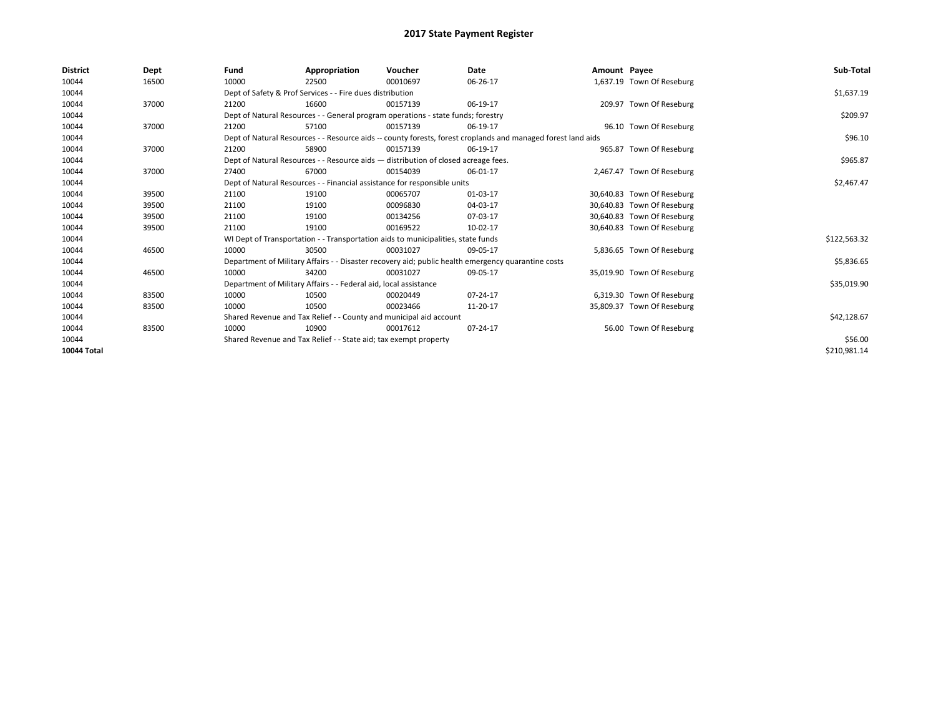| <b>District</b> | Dept  | Fund  | Appropriation                                                                      | Voucher  | Date                                                                                                         | Amount Payee |                            | Sub-Total    |
|-----------------|-------|-------|------------------------------------------------------------------------------------|----------|--------------------------------------------------------------------------------------------------------------|--------------|----------------------------|--------------|
| 10044           | 16500 | 10000 | 22500                                                                              | 00010697 | 06-26-17                                                                                                     |              | 1,637.19 Town Of Reseburg  |              |
| 10044           |       |       | Dept of Safety & Prof Services - - Fire dues distribution                          |          |                                                                                                              |              |                            | \$1,637.19   |
| 10044           | 37000 | 21200 | 16600                                                                              | 00157139 | 06-19-17                                                                                                     |              | 209.97 Town Of Reseburg    |              |
| 10044           |       |       | Dept of Natural Resources - - General program operations - state funds; forestry   |          |                                                                                                              |              |                            | \$209.97     |
| 10044           | 37000 | 21200 | 57100                                                                              | 00157139 | 06-19-17                                                                                                     |              | 96.10 Town Of Reseburg     |              |
| 10044           |       |       |                                                                                    |          | Dept of Natural Resources - - Resource aids -- county forests, forest croplands and managed forest land aids |              |                            | \$96.10      |
| 10044           | 37000 | 21200 | 58900                                                                              | 00157139 | 06-19-17                                                                                                     |              | 965.87 Town Of Reseburg    |              |
| 10044           |       |       | Dept of Natural Resources - - Resource aids - distribution of closed acreage fees. |          |                                                                                                              |              |                            | \$965.87     |
| 10044           | 37000 | 27400 | 67000                                                                              | 00154039 | 06-01-17                                                                                                     |              | 2,467.47 Town Of Reseburg  |              |
| 10044           |       |       | Dept of Natural Resources - - Financial assistance for responsible units           |          |                                                                                                              |              |                            | \$2,467.47   |
| 10044           | 39500 | 21100 | 19100                                                                              | 00065707 | 01-03-17                                                                                                     |              | 30,640.83 Town Of Reseburg |              |
| 10044           | 39500 | 21100 | 19100                                                                              | 00096830 | 04-03-17                                                                                                     |              | 30,640.83 Town Of Reseburg |              |
| 10044           | 39500 | 21100 | 19100                                                                              | 00134256 | 07-03-17                                                                                                     |              | 30,640.83 Town Of Reseburg |              |
| 10044           | 39500 | 21100 | 19100                                                                              | 00169522 | 10-02-17                                                                                                     |              | 30,640.83 Town Of Reseburg |              |
| 10044           |       |       | WI Dept of Transportation - - Transportation aids to municipalities, state funds   |          |                                                                                                              |              |                            | \$122,563.32 |
| 10044           | 46500 | 10000 | 30500                                                                              | 00031027 | 09-05-17                                                                                                     |              | 5,836.65 Town Of Reseburg  |              |
| 10044           |       |       |                                                                                    |          | Department of Military Affairs - - Disaster recovery aid; public health emergency quarantine costs           |              |                            | \$5,836.65   |
| 10044           | 46500 | 10000 | 34200                                                                              | 00031027 | 09-05-17                                                                                                     |              | 35,019.90 Town Of Reseburg |              |
| 10044           |       |       | Department of Military Affairs - - Federal aid, local assistance                   |          |                                                                                                              |              |                            | \$35,019.90  |
| 10044           | 83500 | 10000 | 10500                                                                              | 00020449 | 07-24-17                                                                                                     |              | 6,319.30 Town Of Reseburg  |              |
| 10044           | 83500 | 10000 | 10500                                                                              | 00023466 | 11-20-17                                                                                                     |              | 35,809.37 Town Of Reseburg |              |
| 10044           |       |       | Shared Revenue and Tax Relief - - County and municipal aid account                 |          |                                                                                                              |              |                            | \$42,128.67  |
| 10044           | 83500 | 10000 | 10900                                                                              | 00017612 | 07-24-17                                                                                                     |              | 56.00 Town Of Reseburg     |              |
| 10044           |       |       | Shared Revenue and Tax Relief - - State aid; tax exempt property                   |          |                                                                                                              |              |                            | \$56.00      |
| 10044 Total     |       |       |                                                                                    |          |                                                                                                              |              |                            | \$210,981.14 |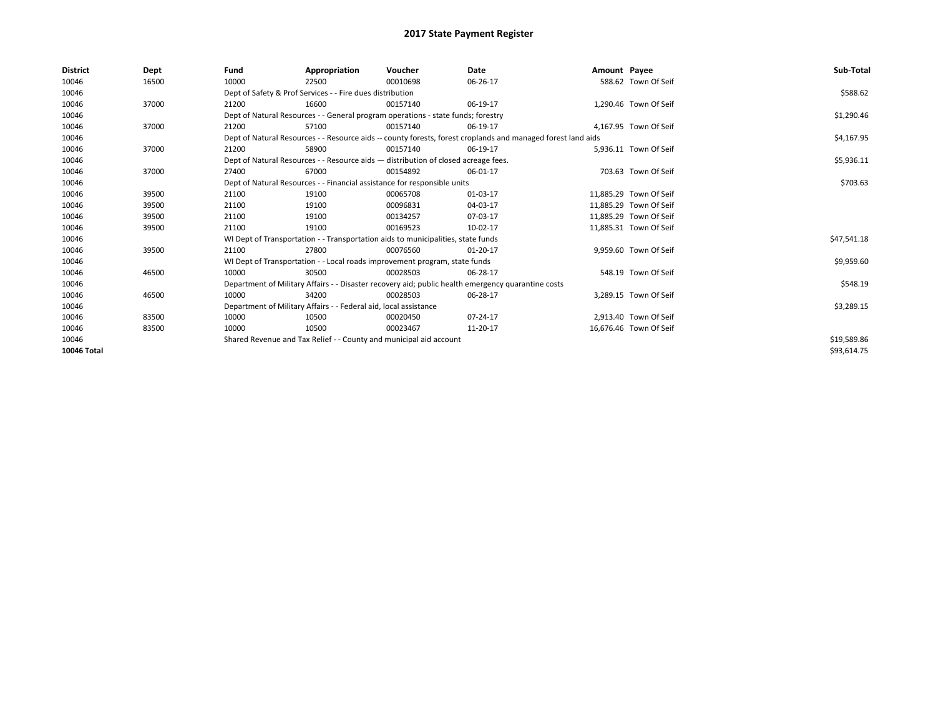| <b>District</b> | Dept  | Fund                                                                                                         | Appropriation                                                                      | Voucher    | Date                                                                                               | Amount Payee |                        | Sub-Total   |
|-----------------|-------|--------------------------------------------------------------------------------------------------------------|------------------------------------------------------------------------------------|------------|----------------------------------------------------------------------------------------------------|--------------|------------------------|-------------|
| 10046           | 16500 | 10000                                                                                                        | 22500                                                                              | 00010698   | 06-26-17                                                                                           |              | 588.62 Town Of Seif    |             |
| 10046           |       |                                                                                                              | Dept of Safety & Prof Services - - Fire dues distribution                          |            |                                                                                                    |              |                        | \$588.62    |
| 10046           | 37000 | 21200                                                                                                        | 16600                                                                              | 00157140   | 06-19-17                                                                                           |              | 1.290.46 Town Of Seif  |             |
| 10046           |       |                                                                                                              | Dept of Natural Resources - - General program operations - state funds; forestry   |            |                                                                                                    |              |                        | \$1,290.46  |
| 10046           | 37000 | 21200                                                                                                        | 57100                                                                              | 00157140   | 06-19-17                                                                                           |              | 4.167.95 Town Of Seif  |             |
| 10046           |       | Dept of Natural Resources - - Resource aids -- county forests, forest croplands and managed forest land aids |                                                                                    | \$4,167.95 |                                                                                                    |              |                        |             |
| 10046           | 37000 | 21200                                                                                                        | 58900                                                                              | 00157140   | 06-19-17                                                                                           |              | 5,936.11 Town Of Seif  |             |
| 10046           |       |                                                                                                              | Dept of Natural Resources - - Resource aids - distribution of closed acreage fees. |            |                                                                                                    |              |                        | \$5,936.11  |
| 10046           | 37000 | 27400                                                                                                        | 67000                                                                              | 00154892   | 06-01-17                                                                                           |              | 703.63 Town Of Seif    |             |
| 10046           |       |                                                                                                              | Dept of Natural Resources - - Financial assistance for responsible units           |            |                                                                                                    |              |                        | \$703.63    |
| 10046           | 39500 | 21100                                                                                                        | 19100                                                                              | 00065708   | 01-03-17                                                                                           |              | 11,885.29 Town Of Seif |             |
| 10046           | 39500 | 21100                                                                                                        | 19100                                                                              | 00096831   | 04-03-17                                                                                           |              | 11,885.29 Town Of Seif |             |
| 10046           | 39500 | 21100                                                                                                        | 19100                                                                              | 00134257   | 07-03-17                                                                                           |              | 11.885.29 Town Of Seif |             |
| 10046           | 39500 | 21100                                                                                                        | 19100                                                                              | 00169523   | 10-02-17                                                                                           |              | 11,885.31 Town Of Seif |             |
| 10046           |       |                                                                                                              | WI Dept of Transportation - - Transportation aids to municipalities, state funds   |            |                                                                                                    |              |                        | \$47,541.18 |
| 10046           | 39500 | 21100                                                                                                        | 27800                                                                              | 00076560   | $01-20-17$                                                                                         |              | 9,959.60 Town Of Seif  |             |
| 10046           |       |                                                                                                              | WI Dept of Transportation - - Local roads improvement program, state funds         |            |                                                                                                    |              |                        | \$9,959.60  |
| 10046           | 46500 | 10000                                                                                                        | 30500                                                                              | 00028503   | 06-28-17                                                                                           |              | 548.19 Town Of Seif    |             |
| 10046           |       |                                                                                                              |                                                                                    |            | Department of Military Affairs - - Disaster recovery aid; public health emergency quarantine costs |              |                        | \$548.19    |
| 10046           | 46500 | 10000                                                                                                        | 34200                                                                              | 00028503   | 06-28-17                                                                                           |              | 3,289.15 Town Of Seif  |             |
| 10046           |       |                                                                                                              | Department of Military Affairs - - Federal aid, local assistance                   |            |                                                                                                    |              |                        | \$3,289.15  |
| 10046           | 83500 | 10000                                                                                                        | 10500                                                                              | 00020450   | 07-24-17                                                                                           |              | 2,913.40 Town Of Seif  |             |
| 10046           | 83500 | 10000                                                                                                        | 10500                                                                              | 00023467   | 11-20-17                                                                                           |              | 16,676.46 Town Of Seif |             |
| 10046           |       |                                                                                                              | Shared Revenue and Tax Relief - - County and municipal aid account                 |            |                                                                                                    |              |                        | \$19,589.86 |
| 10046 Total     |       |                                                                                                              |                                                                                    |            |                                                                                                    |              |                        | \$93,614.75 |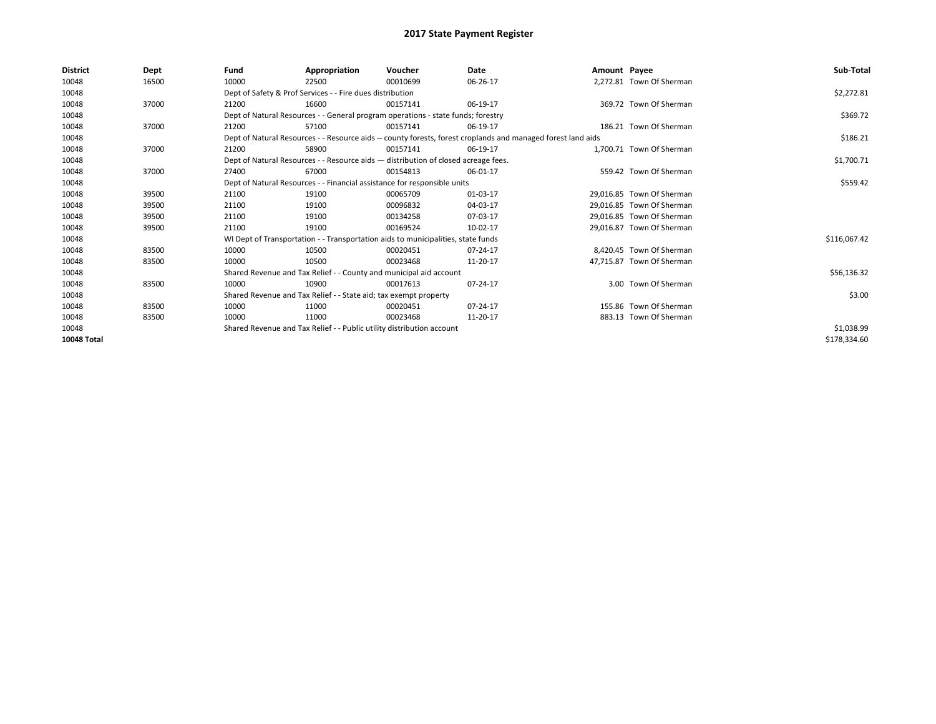| <b>District</b> | Dept  | Fund                                                                     | Appropriation                                                                      | Voucher  | Date                                                                                                         | Amount Payee |                           | Sub-Total    |
|-----------------|-------|--------------------------------------------------------------------------|------------------------------------------------------------------------------------|----------|--------------------------------------------------------------------------------------------------------------|--------------|---------------------------|--------------|
| 10048           | 16500 | 10000                                                                    | 22500                                                                              | 00010699 | 06-26-17                                                                                                     |              | 2,272.81 Town Of Sherman  |              |
| 10048           |       |                                                                          | Dept of Safety & Prof Services - - Fire dues distribution                          |          |                                                                                                              |              |                           | \$2,272.81   |
| 10048           | 37000 | 21200                                                                    | 16600                                                                              | 00157141 | 06-19-17                                                                                                     |              | 369.72 Town Of Sherman    |              |
| 10048           |       |                                                                          | Dept of Natural Resources - - General program operations - state funds; forestry   |          |                                                                                                              |              |                           | \$369.72     |
| 10048           | 37000 | 21200                                                                    | 57100                                                                              | 00157141 | 06-19-17                                                                                                     |              | 186.21 Town Of Sherman    |              |
| 10048           |       |                                                                          |                                                                                    |          | Dept of Natural Resources - - Resource aids -- county forests, forest croplands and managed forest land aids |              |                           | \$186.21     |
| 10048           | 37000 | 21200                                                                    | 58900                                                                              | 00157141 | 06-19-17                                                                                                     |              | 1.700.71 Town Of Sherman  |              |
| 10048           |       |                                                                          | Dept of Natural Resources - - Resource aids - distribution of closed acreage fees. |          |                                                                                                              |              |                           | \$1,700.71   |
| 10048           | 37000 | 27400                                                                    | 67000                                                                              | 00154813 | 06-01-17                                                                                                     |              | 559.42 Town Of Sherman    |              |
| 10048           |       | Dept of Natural Resources - - Financial assistance for responsible units |                                                                                    | \$559.42 |                                                                                                              |              |                           |              |
| 10048           | 39500 | 21100                                                                    | 19100                                                                              | 00065709 | 01-03-17                                                                                                     |              | 29.016.85 Town Of Sherman |              |
| 10048           | 39500 | 21100                                                                    | 19100                                                                              | 00096832 | 04-03-17                                                                                                     |              | 29,016.85 Town Of Sherman |              |
| 10048           | 39500 | 21100                                                                    | 19100                                                                              | 00134258 | 07-03-17                                                                                                     |              | 29.016.85 Town Of Sherman |              |
| 10048           | 39500 | 21100                                                                    | 19100                                                                              | 00169524 | 10-02-17                                                                                                     |              | 29,016.87 Town Of Sherman |              |
| 10048           |       |                                                                          | WI Dept of Transportation - - Transportation aids to municipalities, state funds   |          |                                                                                                              |              |                           | \$116,067.42 |
| 10048           | 83500 | 10000                                                                    | 10500                                                                              | 00020451 | 07-24-17                                                                                                     |              | 8.420.45 Town Of Sherman  |              |
| 10048           | 83500 | 10000                                                                    | 10500                                                                              | 00023468 | 11-20-17                                                                                                     |              | 47,715.87 Town Of Sherman |              |
| 10048           |       |                                                                          | Shared Revenue and Tax Relief - - County and municipal aid account                 |          |                                                                                                              |              |                           | \$56,136.32  |
| 10048           | 83500 | 10000                                                                    | 10900                                                                              | 00017613 | 07-24-17                                                                                                     |              | 3.00 Town Of Sherman      |              |
| 10048           |       |                                                                          | Shared Revenue and Tax Relief - - State aid; tax exempt property                   |          |                                                                                                              |              |                           | \$3.00       |
| 10048           | 83500 | 10000                                                                    | 11000                                                                              | 00020451 | 07-24-17                                                                                                     |              | 155.86 Town Of Sherman    |              |
| 10048           | 83500 | 10000                                                                    | 11000                                                                              | 00023468 | 11-20-17                                                                                                     |              | 883.13 Town Of Sherman    |              |
| 10048           |       |                                                                          | Shared Revenue and Tax Relief - - Public utility distribution account              |          |                                                                                                              |              |                           | \$1,038.99   |
| 10048 Total     |       |                                                                          |                                                                                    |          |                                                                                                              |              |                           | \$178,334.60 |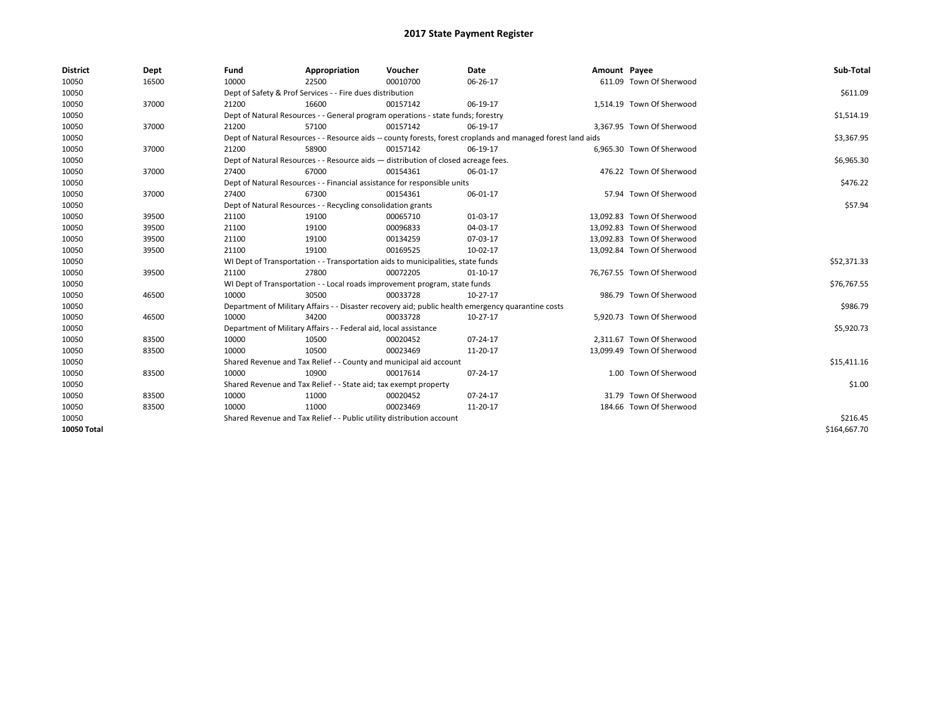| <b>District</b>    | Dept  | Fund  | Appropriation                                                                                                | Voucher  | Date                                                                                               | Amount Payee |                            | Sub-Total    |
|--------------------|-------|-------|--------------------------------------------------------------------------------------------------------------|----------|----------------------------------------------------------------------------------------------------|--------------|----------------------------|--------------|
| 10050              | 16500 | 10000 | 22500                                                                                                        | 00010700 | 06-26-17                                                                                           |              | 611.09 Town Of Sherwood    |              |
| 10050              |       |       | Dept of Safety & Prof Services - - Fire dues distribution                                                    |          |                                                                                                    |              |                            | \$611.09     |
| 10050              | 37000 | 21200 | 16600                                                                                                        | 00157142 | 06-19-17                                                                                           |              | 1,514.19 Town Of Sherwood  |              |
| 10050              |       |       | Dept of Natural Resources - - General program operations - state funds; forestry                             |          |                                                                                                    |              |                            | \$1,514.19   |
| 10050              | 37000 | 21200 | 57100                                                                                                        | 00157142 | 06-19-17                                                                                           |              | 3,367.95 Town Of Sherwood  |              |
| 10050              |       |       | Dept of Natural Resources - - Resource aids -- county forests, forest croplands and managed forest land aids |          | \$3,367.95                                                                                         |              |                            |              |
| 10050              | 37000 | 21200 | 58900                                                                                                        | 00157142 | 06-19-17                                                                                           |              | 6,965.30 Town Of Sherwood  |              |
| 10050              |       |       | Dept of Natural Resources - - Resource aids - distribution of closed acreage fees.                           |          |                                                                                                    |              |                            | \$6,965.30   |
| 10050              | 37000 | 27400 | 67000                                                                                                        | 00154361 | 06-01-17                                                                                           |              | 476.22 Town Of Sherwood    |              |
| 10050              |       |       | Dept of Natural Resources - - Financial assistance for responsible units                                     |          |                                                                                                    |              |                            | \$476.22     |
| 10050              | 37000 | 27400 | 67300                                                                                                        | 00154361 | 06-01-17                                                                                           |              | 57.94 Town Of Sherwood     |              |
| 10050              |       |       | Dept of Natural Resources - - Recycling consolidation grants                                                 |          |                                                                                                    |              |                            | \$57.94      |
| 10050              | 39500 | 21100 | 19100                                                                                                        | 00065710 | 01-03-17                                                                                           |              | 13,092.83 Town Of Sherwood |              |
| 10050              | 39500 | 21100 | 19100                                                                                                        | 00096833 | 04-03-17                                                                                           |              | 13,092.83 Town Of Sherwood |              |
| 10050              | 39500 | 21100 | 19100                                                                                                        | 00134259 | 07-03-17                                                                                           |              | 13,092.83 Town Of Sherwood |              |
| 10050              | 39500 | 21100 | 19100                                                                                                        | 00169525 | 10-02-17                                                                                           |              | 13,092.84 Town Of Sherwood |              |
| 10050              |       |       | WI Dept of Transportation - - Transportation aids to municipalities, state funds                             |          |                                                                                                    |              |                            | \$52,371.33  |
| 10050              | 39500 | 21100 | 27800                                                                                                        | 00072205 | $01 - 10 - 17$                                                                                     |              | 76,767.55 Town Of Sherwood |              |
| 10050              |       |       | WI Dept of Transportation - - Local roads improvement program, state funds                                   |          |                                                                                                    |              |                            | \$76,767.55  |
| 10050              | 46500 | 10000 | 30500                                                                                                        | 00033728 | 10-27-17                                                                                           |              | 986.79 Town Of Sherwood    |              |
| 10050              |       |       |                                                                                                              |          | Department of Military Affairs - - Disaster recovery aid; public health emergency quarantine costs |              |                            | \$986.79     |
| 10050              | 46500 | 10000 | 34200                                                                                                        | 00033728 | 10-27-17                                                                                           |              | 5,920.73 Town Of Sherwood  |              |
| 10050              |       |       | Department of Military Affairs - - Federal aid, local assistance                                             |          |                                                                                                    |              |                            | \$5,920.73   |
| 10050              | 83500 | 10000 | 10500                                                                                                        | 00020452 | 07-24-17                                                                                           |              | 2,311.67 Town Of Sherwood  |              |
| 10050              | 83500 | 10000 | 10500                                                                                                        | 00023469 | 11-20-17                                                                                           |              | 13,099.49 Town Of Sherwood |              |
| 10050              |       |       | Shared Revenue and Tax Relief - - County and municipal aid account                                           |          |                                                                                                    |              |                            | \$15,411.16  |
| 10050              | 83500 | 10000 | 10900                                                                                                        | 00017614 | 07-24-17                                                                                           |              | 1.00 Town Of Sherwood      |              |
| 10050              |       |       | Shared Revenue and Tax Relief - - State aid; tax exempt property                                             |          |                                                                                                    |              |                            | \$1.00       |
| 10050              | 83500 | 10000 | 11000                                                                                                        | 00020452 | $07 - 24 - 17$                                                                                     |              | 31.79 Town Of Sherwood     |              |
| 10050              | 83500 | 10000 | 11000                                                                                                        | 00023469 | 11-20-17                                                                                           |              | 184.66 Town Of Sherwood    |              |
| 10050              |       |       | Shared Revenue and Tax Relief - - Public utility distribution account                                        |          |                                                                                                    |              |                            | \$216.45     |
| <b>10050 Total</b> |       |       |                                                                                                              |          |                                                                                                    |              |                            | \$164,667.70 |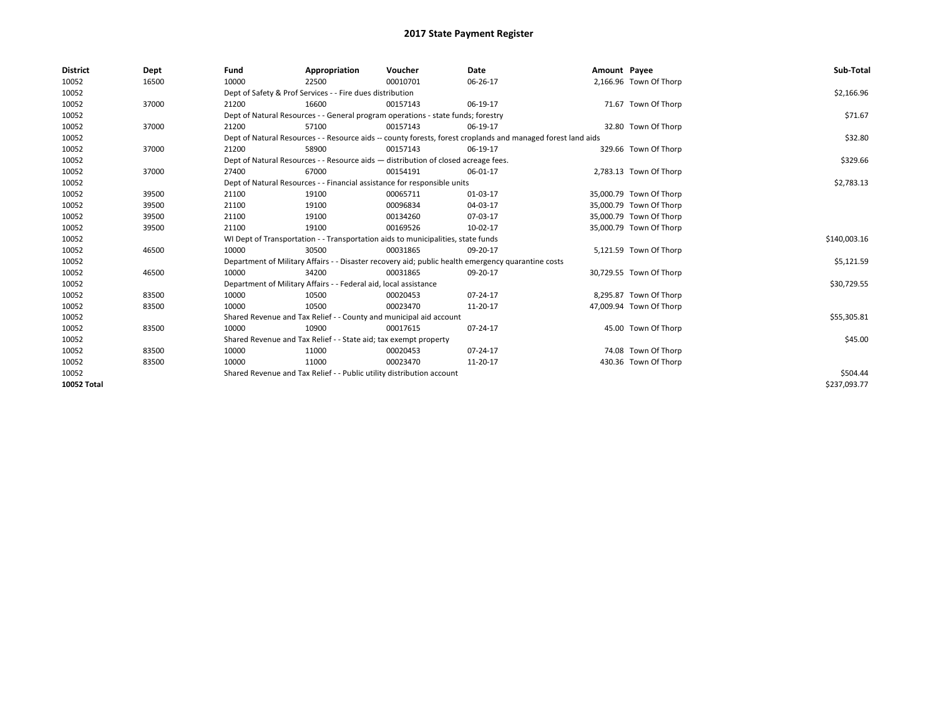| <b>District</b> | Dept  | Fund                                                                                                         | Appropriation                                                         | Voucher                                                                            | Date                                                                                               | Amount Payee |                         | Sub-Total    |
|-----------------|-------|--------------------------------------------------------------------------------------------------------------|-----------------------------------------------------------------------|------------------------------------------------------------------------------------|----------------------------------------------------------------------------------------------------|--------------|-------------------------|--------------|
| 10052           | 16500 | 10000                                                                                                        | 22500                                                                 | 00010701                                                                           | 06-26-17                                                                                           |              | 2,166.96 Town Of Thorp  |              |
| 10052           |       |                                                                                                              | Dept of Safety & Prof Services - - Fire dues distribution             |                                                                                    |                                                                                                    |              |                         | \$2,166.96   |
| 10052           | 37000 | 21200                                                                                                        | 16600                                                                 | 00157143                                                                           | 06-19-17                                                                                           |              | 71.67 Town Of Thorp     |              |
| 10052           |       |                                                                                                              |                                                                       | Dept of Natural Resources - - General program operations - state funds; forestry   |                                                                                                    |              |                         | \$71.67      |
| 10052           | 37000 | 21200                                                                                                        | 57100                                                                 | 00157143                                                                           | 06-19-17                                                                                           |              | 32.80 Town Of Thorp     |              |
| 10052           |       | Dept of Natural Resources - - Resource aids -- county forests, forest croplands and managed forest land aids |                                                                       | \$32.80                                                                            |                                                                                                    |              |                         |              |
| 10052           | 37000 | 21200                                                                                                        | 58900                                                                 | 00157143                                                                           | 06-19-17                                                                                           |              | 329.66 Town Of Thorp    |              |
| 10052           |       |                                                                                                              |                                                                       | Dept of Natural Resources - - Resource aids - distribution of closed acreage fees. |                                                                                                    |              |                         | \$329.66     |
| 10052           | 37000 | 27400                                                                                                        | 67000                                                                 | 00154191                                                                           | 06-01-17                                                                                           |              | 2,783.13 Town Of Thorp  |              |
| 10052           |       |                                                                                                              |                                                                       | Dept of Natural Resources - - Financial assistance for responsible units           |                                                                                                    |              |                         | \$2,783.13   |
| 10052           | 39500 | 21100                                                                                                        | 19100                                                                 | 00065711                                                                           | 01-03-17                                                                                           |              | 35,000.79 Town Of Thorp |              |
| 10052           | 39500 | 21100                                                                                                        | 19100                                                                 | 00096834                                                                           | 04-03-17                                                                                           |              | 35,000.79 Town Of Thorp |              |
| 10052           | 39500 | 21100                                                                                                        | 19100                                                                 | 00134260                                                                           | 07-03-17                                                                                           |              | 35,000.79 Town Of Thorp |              |
| 10052           | 39500 | 21100                                                                                                        | 19100                                                                 | 00169526                                                                           | 10-02-17                                                                                           |              | 35,000.79 Town Of Thorp |              |
| 10052           |       |                                                                                                              |                                                                       | WI Dept of Transportation - - Transportation aids to municipalities, state funds   |                                                                                                    |              |                         | \$140,003.16 |
| 10052           | 46500 | 10000                                                                                                        | 30500                                                                 | 00031865                                                                           | 09-20-17                                                                                           |              | 5,121.59 Town Of Thorp  |              |
| 10052           |       |                                                                                                              |                                                                       |                                                                                    | Department of Military Affairs - - Disaster recovery aid; public health emergency quarantine costs |              |                         | \$5,121.59   |
| 10052           | 46500 | 10000                                                                                                        | 34200                                                                 | 00031865                                                                           | 09-20-17                                                                                           |              | 30,729.55 Town Of Thorp |              |
| 10052           |       |                                                                                                              | Department of Military Affairs - - Federal aid, local assistance      |                                                                                    |                                                                                                    |              |                         | \$30,729.55  |
| 10052           | 83500 | 10000                                                                                                        | 10500                                                                 | 00020453                                                                           | 07-24-17                                                                                           |              | 8,295.87 Town Of Thorp  |              |
| 10052           | 83500 | 10000                                                                                                        | 10500                                                                 | 00023470                                                                           | 11-20-17                                                                                           |              | 47,009.94 Town Of Thorp |              |
| 10052           |       |                                                                                                              |                                                                       | Shared Revenue and Tax Relief - - County and municipal aid account                 |                                                                                                    |              |                         | \$55,305.81  |
| 10052           | 83500 | 10000                                                                                                        | 10900                                                                 | 00017615                                                                           | 07-24-17                                                                                           |              | 45.00 Town Of Thorp     |              |
| 10052           |       |                                                                                                              | Shared Revenue and Tax Relief - - State aid; tax exempt property      |                                                                                    |                                                                                                    |              |                         | \$45.00      |
| 10052           | 83500 | 10000                                                                                                        | 11000                                                                 | 00020453                                                                           | 07-24-17                                                                                           |              | 74.08 Town Of Thorp     |              |
| 10052           | 83500 | 10000                                                                                                        | 11000                                                                 | 00023470                                                                           | 11-20-17                                                                                           |              | 430.36 Town Of Thorp    |              |
| 10052           |       |                                                                                                              | Shared Revenue and Tax Relief - - Public utility distribution account |                                                                                    |                                                                                                    |              |                         | \$504.44     |
| 10052 Total     |       |                                                                                                              |                                                                       |                                                                                    |                                                                                                    |              |                         | \$237.093.77 |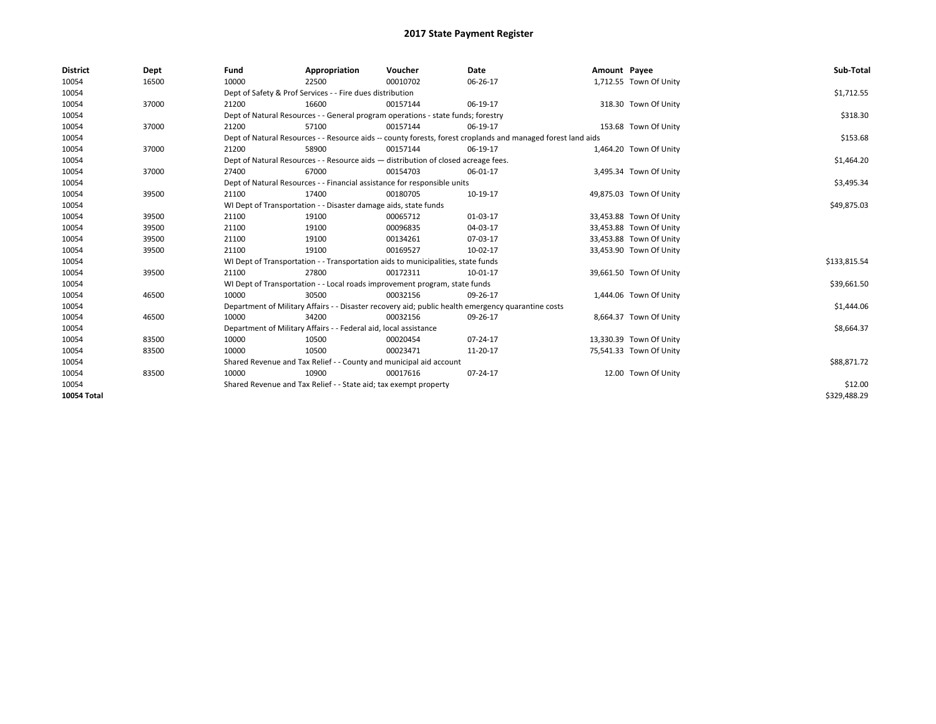| <b>District</b>    | Dept  | Fund                                                                               | Appropriation                                                                    | Voucher    | Date                                                                                                         | Amount Payee |                         | Sub-Total    |
|--------------------|-------|------------------------------------------------------------------------------------|----------------------------------------------------------------------------------|------------|--------------------------------------------------------------------------------------------------------------|--------------|-------------------------|--------------|
| 10054              | 16500 | 10000                                                                              | 22500                                                                            | 00010702   | 06-26-17                                                                                                     |              | 1,712.55 Town Of Unity  |              |
| 10054              |       |                                                                                    | Dept of Safety & Prof Services - - Fire dues distribution                        |            |                                                                                                              |              |                         | \$1,712.55   |
| 10054              | 37000 | 21200                                                                              | 16600                                                                            | 00157144   | 06-19-17                                                                                                     |              | 318.30 Town Of Unity    |              |
| 10054              |       |                                                                                    | Dept of Natural Resources - - General program operations - state funds; forestry |            |                                                                                                              |              |                         | \$318.30     |
| 10054              | 37000 | 21200                                                                              | 57100                                                                            | 00157144   | 06-19-17                                                                                                     |              | 153.68 Town Of Unity    |              |
| 10054              |       |                                                                                    |                                                                                  |            | Dept of Natural Resources - - Resource aids -- county forests, forest croplands and managed forest land aids |              |                         | \$153.68     |
| 10054              | 37000 | 21200                                                                              | 58900                                                                            | 00157144   | 06-19-17                                                                                                     |              | 1,464.20 Town Of Unity  |              |
| 10054              |       | Dept of Natural Resources - - Resource aids - distribution of closed acreage fees. |                                                                                  | \$1,464.20 |                                                                                                              |              |                         |              |
| 10054              | 37000 | 27400                                                                              | 67000                                                                            | 00154703   | 06-01-17                                                                                                     |              | 3,495.34 Town Of Unity  |              |
| 10054              |       |                                                                                    | Dept of Natural Resources - - Financial assistance for responsible units         |            |                                                                                                              |              |                         | \$3,495.34   |
| 10054              | 39500 | 21100                                                                              | 17400                                                                            | 00180705   | 10-19-17                                                                                                     |              | 49,875.03 Town Of Unity |              |
| 10054              |       |                                                                                    | WI Dept of Transportation - - Disaster damage aids, state funds                  |            |                                                                                                              |              |                         | \$49,875.03  |
| 10054              | 39500 | 21100                                                                              | 19100                                                                            | 00065712   | 01-03-17                                                                                                     |              | 33,453.88 Town Of Unity |              |
| 10054              | 39500 | 21100                                                                              | 19100                                                                            | 00096835   | 04-03-17                                                                                                     |              | 33,453.88 Town Of Unity |              |
| 10054              | 39500 | 21100                                                                              | 19100                                                                            | 00134261   | 07-03-17                                                                                                     |              | 33,453.88 Town Of Unity |              |
| 10054              | 39500 | 21100                                                                              | 19100                                                                            | 00169527   | 10-02-17                                                                                                     |              | 33,453.90 Town Of Unity |              |
| 10054              |       |                                                                                    | WI Dept of Transportation - - Transportation aids to municipalities, state funds |            |                                                                                                              |              |                         | \$133,815.54 |
| 10054              | 39500 | 21100                                                                              | 27800                                                                            | 00172311   | 10-01-17                                                                                                     |              | 39,661.50 Town Of Unity |              |
| 10054              |       |                                                                                    | WI Dept of Transportation - - Local roads improvement program, state funds       |            |                                                                                                              |              |                         | \$39,661.50  |
| 10054              | 46500 | 10000                                                                              | 30500                                                                            | 00032156   | 09-26-17                                                                                                     |              | 1,444.06 Town Of Unity  |              |
| 10054              |       |                                                                                    |                                                                                  |            | Department of Military Affairs - - Disaster recovery aid; public health emergency quarantine costs           |              |                         | \$1,444.06   |
| 10054              | 46500 | 10000                                                                              | 34200                                                                            | 00032156   | 09-26-17                                                                                                     |              | 8,664.37 Town Of Unity  |              |
| 10054              |       |                                                                                    | Department of Military Affairs - - Federal aid, local assistance                 |            |                                                                                                              |              |                         | \$8,664.37   |
| 10054              | 83500 | 10000                                                                              | 10500                                                                            | 00020454   | 07-24-17                                                                                                     |              | 13,330.39 Town Of Unity |              |
| 10054              | 83500 | 10000                                                                              | 10500                                                                            | 00023471   | 11-20-17                                                                                                     |              | 75,541.33 Town Of Unity |              |
| 10054              |       |                                                                                    | Shared Revenue and Tax Relief - - County and municipal aid account               |            |                                                                                                              |              |                         | \$88,871.72  |
| 10054              | 83500 | 10000                                                                              | 10900                                                                            | 00017616   | 07-24-17                                                                                                     |              | 12.00 Town Of Unity     |              |
| 10054              |       |                                                                                    | Shared Revenue and Tax Relief - - State aid; tax exempt property                 |            |                                                                                                              |              |                         | \$12.00      |
| <b>10054 Total</b> |       |                                                                                    |                                                                                  |            |                                                                                                              |              |                         | \$329,488.29 |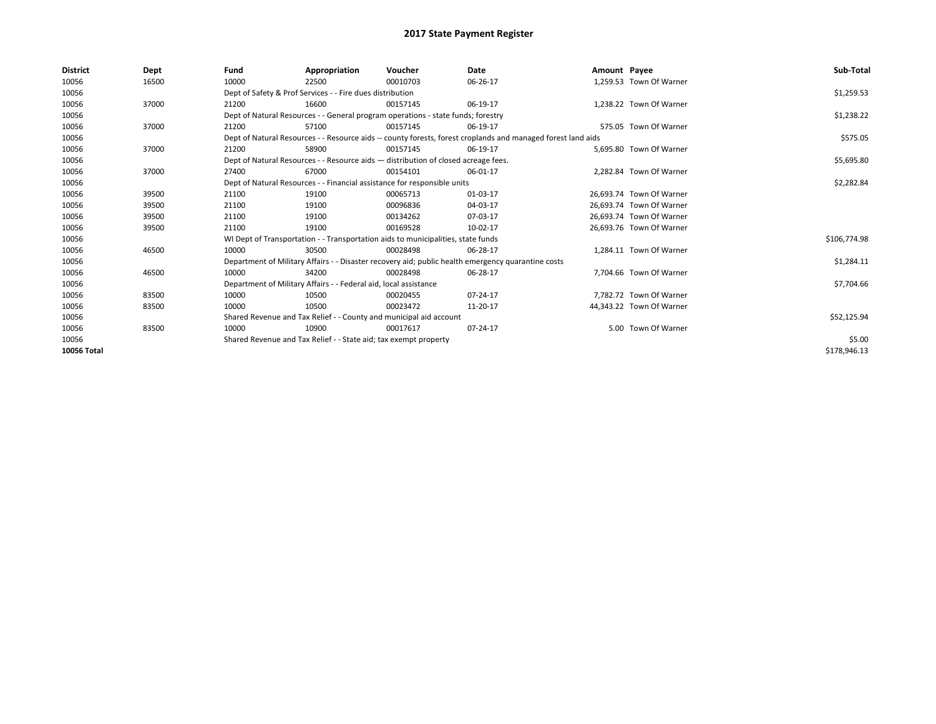| <b>District</b> | Dept  | Fund  | Appropriation                                                                      | Voucher  | Date                                                                                                         | Amount Payee |                          | Sub-Total    |  |  |  |
|-----------------|-------|-------|------------------------------------------------------------------------------------|----------|--------------------------------------------------------------------------------------------------------------|--------------|--------------------------|--------------|--|--|--|
| 10056           | 16500 | 10000 | 22500                                                                              | 00010703 | 06-26-17                                                                                                     |              | 1,259.53 Town Of Warner  |              |  |  |  |
| 10056           |       |       | Dept of Safety & Prof Services - - Fire dues distribution                          |          |                                                                                                              |              |                          | \$1,259.53   |  |  |  |
| 10056           | 37000 | 21200 | 16600                                                                              | 00157145 | 06-19-17                                                                                                     |              | 1,238.22 Town Of Warner  |              |  |  |  |
| 10056           |       |       | Dept of Natural Resources - - General program operations - state funds; forestry   |          |                                                                                                              |              |                          | \$1,238.22   |  |  |  |
| 10056           | 37000 | 21200 | 57100                                                                              | 00157145 | 06-19-17                                                                                                     |              | 575.05 Town Of Warner    |              |  |  |  |
| 10056           |       |       |                                                                                    |          | Dept of Natural Resources - - Resource aids -- county forests, forest croplands and managed forest land aids |              |                          | \$575.05     |  |  |  |
| 10056           | 37000 | 21200 | 58900                                                                              | 00157145 | 06-19-17                                                                                                     |              | 5.695.80 Town Of Warner  |              |  |  |  |
| 10056           |       |       | Dept of Natural Resources - - Resource aids - distribution of closed acreage fees. |          |                                                                                                              |              |                          |              |  |  |  |
| 10056           | 37000 | 27400 | 67000                                                                              | 00154101 | 06-01-17                                                                                                     |              | 2,282.84 Town Of Warner  |              |  |  |  |
| 10056           |       |       | Dept of Natural Resources - - Financial assistance for responsible units           |          |                                                                                                              |              |                          | \$2,282.84   |  |  |  |
| 10056           | 39500 | 21100 | 19100                                                                              | 00065713 | 01-03-17                                                                                                     |              | 26,693.74 Town Of Warner |              |  |  |  |
| 10056           | 39500 | 21100 | 19100                                                                              | 00096836 | 04-03-17                                                                                                     |              | 26.693.74 Town Of Warner |              |  |  |  |
| 10056           | 39500 | 21100 | 19100                                                                              | 00134262 | 07-03-17                                                                                                     |              | 26.693.74 Town Of Warner |              |  |  |  |
| 10056           | 39500 | 21100 | 19100                                                                              | 00169528 | 10-02-17                                                                                                     |              | 26,693.76 Town Of Warner |              |  |  |  |
| 10056           |       |       | WI Dept of Transportation - - Transportation aids to municipalities, state funds   |          |                                                                                                              |              |                          | \$106,774.98 |  |  |  |
| 10056           | 46500 | 10000 | 30500                                                                              | 00028498 | 06-28-17                                                                                                     |              | 1.284.11 Town Of Warner  |              |  |  |  |
| 10056           |       |       |                                                                                    |          | Department of Military Affairs - - Disaster recovery aid; public health emergency quarantine costs           |              |                          | \$1,284.11   |  |  |  |
| 10056           | 46500 | 10000 | 34200                                                                              | 00028498 | 06-28-17                                                                                                     |              | 7,704.66 Town Of Warner  |              |  |  |  |
| 10056           |       |       | Department of Military Affairs - - Federal aid, local assistance                   |          |                                                                                                              |              |                          | \$7,704.66   |  |  |  |
| 10056           | 83500 | 10000 | 10500                                                                              | 00020455 | 07-24-17                                                                                                     |              | 7,782.72 Town Of Warner  |              |  |  |  |
| 10056           | 83500 | 10000 | 10500                                                                              | 00023472 | 11-20-17                                                                                                     |              | 44,343.22 Town Of Warner |              |  |  |  |
| 10056           |       |       | Shared Revenue and Tax Relief - - County and municipal aid account                 |          |                                                                                                              |              |                          | \$52,125.94  |  |  |  |
| 10056           | 83500 | 10000 | 10900                                                                              | 00017617 | 07-24-17                                                                                                     |              | 5.00 Town Of Warner      |              |  |  |  |
| 10056           |       |       | Shared Revenue and Tax Relief - - State aid; tax exempt property                   |          |                                                                                                              |              |                          | \$5.00       |  |  |  |
| 10056 Total     |       |       |                                                                                    |          |                                                                                                              |              |                          | \$178,946.13 |  |  |  |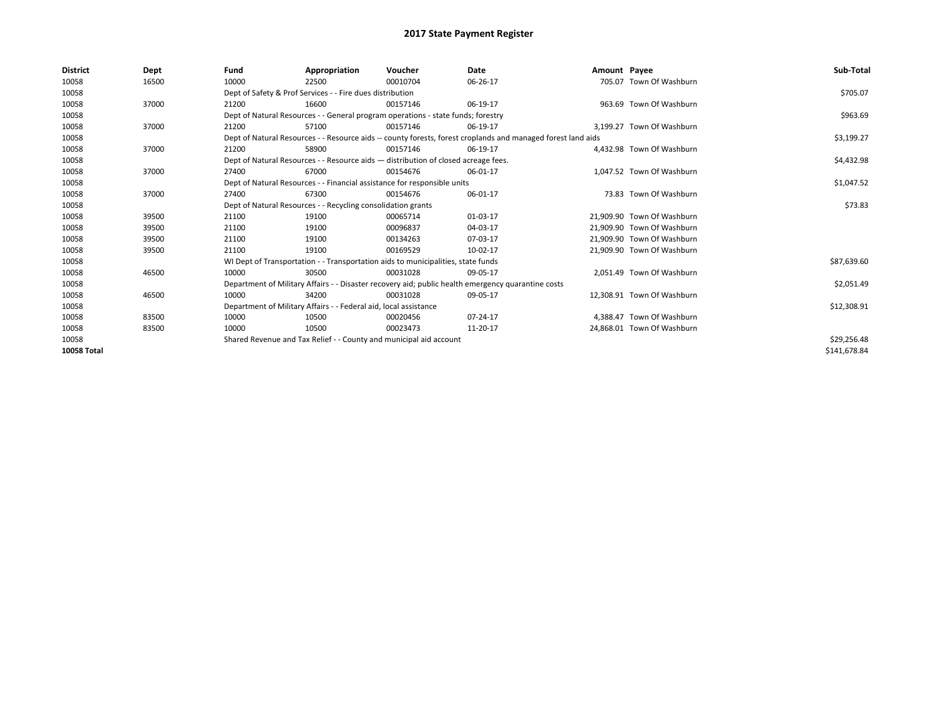| <b>District</b>    | Dept  | Fund  | Appropriation                                                                                                | Voucher  | Date           | Amount Payee |                            | Sub-Total    |  |  |  |
|--------------------|-------|-------|--------------------------------------------------------------------------------------------------------------|----------|----------------|--------------|----------------------------|--------------|--|--|--|
| 10058              | 16500 | 10000 | 22500                                                                                                        | 00010704 | 06-26-17       |              | 705.07 Town Of Washburn    |              |  |  |  |
| 10058              |       |       | Dept of Safety & Prof Services - - Fire dues distribution                                                    |          |                |              |                            | \$705.07     |  |  |  |
| 10058              | 37000 | 21200 | 16600                                                                                                        | 00157146 | 06-19-17       |              | 963.69 Town Of Washburn    |              |  |  |  |
| 10058              |       |       | Dept of Natural Resources - - General program operations - state funds; forestry                             |          |                |              |                            | \$963.69     |  |  |  |
| 10058              | 37000 | 21200 | 57100                                                                                                        | 00157146 | 06-19-17       |              | 3.199.27 Town Of Washburn  |              |  |  |  |
| 10058              |       |       | Dept of Natural Resources - - Resource aids -- county forests, forest croplands and managed forest land aids |          |                |              |                            | \$3,199.27   |  |  |  |
| 10058              | 37000 | 21200 | 58900                                                                                                        | 00157146 | 06-19-17       |              | 4.432.98 Town Of Washburn  |              |  |  |  |
| 10058              |       |       | Dept of Natural Resources - - Resource aids - distribution of closed acreage fees.                           |          |                |              |                            | \$4,432.98   |  |  |  |
| 10058              | 37000 | 27400 | 67000                                                                                                        | 00154676 | 06-01-17       |              | 1.047.52 Town Of Washburn  |              |  |  |  |
| 10058              |       |       | Dept of Natural Resources - - Financial assistance for responsible units                                     |          |                |              |                            | \$1,047.52   |  |  |  |
| 10058              | 37000 | 27400 | 67300                                                                                                        | 00154676 | 06-01-17       |              | 73.83 Town Of Washburn     |              |  |  |  |
| 10058              |       |       | Dept of Natural Resources - - Recycling consolidation grants                                                 |          |                |              |                            |              |  |  |  |
| 10058              | 39500 | 21100 | 19100                                                                                                        | 00065714 | 01-03-17       |              | 21.909.90 Town Of Washburn |              |  |  |  |
| 10058              | 39500 | 21100 | 19100                                                                                                        | 00096837 | 04-03-17       |              | 21.909.90 Town Of Washburn |              |  |  |  |
| 10058              | 39500 | 21100 | 19100                                                                                                        | 00134263 | 07-03-17       |              | 21,909.90 Town Of Washburn |              |  |  |  |
| 10058              | 39500 | 21100 | 19100                                                                                                        | 00169529 | 10-02-17       |              | 21,909.90 Town Of Washburn |              |  |  |  |
| 10058              |       |       | WI Dept of Transportation - - Transportation aids to municipalities, state funds                             |          |                |              |                            | \$87,639.60  |  |  |  |
| 10058              | 46500 | 10000 | 30500                                                                                                        | 00031028 | 09-05-17       |              | 2.051.49 Town Of Washburn  |              |  |  |  |
| 10058              |       |       | Department of Military Affairs - - Disaster recovery aid; public health emergency quarantine costs           |          |                |              |                            | \$2,051.49   |  |  |  |
| 10058              | 46500 | 10000 | 34200                                                                                                        | 00031028 | 09-05-17       |              | 12,308.91 Town Of Washburn |              |  |  |  |
| 10058              |       |       | Department of Military Affairs - - Federal aid, local assistance                                             |          |                |              |                            | \$12,308.91  |  |  |  |
| 10058              | 83500 | 10000 | 10500                                                                                                        | 00020456 | $07 - 24 - 17$ |              | 4,388.47 Town Of Washburn  |              |  |  |  |
| 10058              | 83500 | 10000 | 10500                                                                                                        | 00023473 | 11-20-17       |              | 24,868.01 Town Of Washburn |              |  |  |  |
| 10058              |       |       | Shared Revenue and Tax Relief - - County and municipal aid account                                           |          |                |              |                            | \$29,256.48  |  |  |  |
| <b>10058 Total</b> |       |       |                                                                                                              |          |                |              |                            | \$141,678.84 |  |  |  |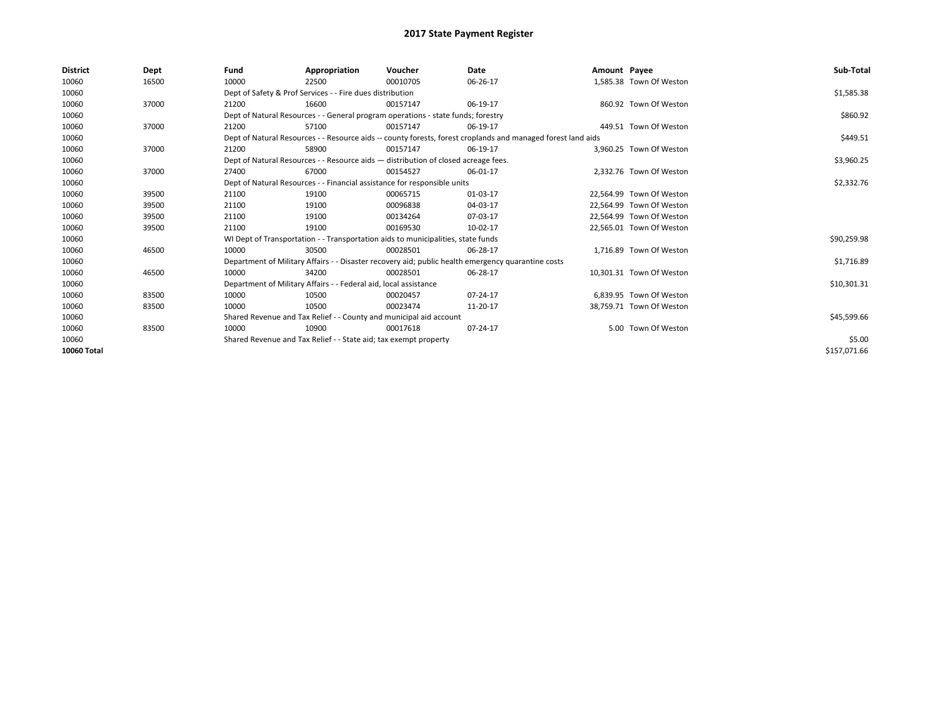| <b>District</b> | Dept  | Fund  | Appropriation                                                                      | Voucher  | Date                                                                                                         | Amount Payee |                          | Sub-Total    |
|-----------------|-------|-------|------------------------------------------------------------------------------------|----------|--------------------------------------------------------------------------------------------------------------|--------------|--------------------------|--------------|
| 10060           | 16500 | 10000 | 22500                                                                              | 00010705 | 06-26-17                                                                                                     |              | 1,585.38 Town Of Weston  |              |
| 10060           |       |       | Dept of Safety & Prof Services - - Fire dues distribution                          |          |                                                                                                              |              |                          | \$1,585.38   |
| 10060           | 37000 | 21200 | 16600                                                                              | 00157147 | 06-19-17                                                                                                     |              | 860.92 Town Of Weston    |              |
| 10060           |       |       | Dept of Natural Resources - - General program operations - state funds; forestry   |          |                                                                                                              |              |                          | \$860.92     |
| 10060           | 37000 | 21200 | 57100                                                                              | 00157147 | 06-19-17                                                                                                     |              | 449.51 Town Of Weston    |              |
| 10060           |       |       |                                                                                    |          | Dept of Natural Resources - - Resource aids -- county forests, forest croplands and managed forest land aids |              |                          | \$449.51     |
| 10060           | 37000 | 21200 | 58900                                                                              | 00157147 | 06-19-17                                                                                                     |              | 3,960.25 Town Of Weston  |              |
| 10060           |       |       | Dept of Natural Resources - - Resource aids - distribution of closed acreage fees. |          | \$3,960.25                                                                                                   |              |                          |              |
| 10060           | 37000 | 27400 | 67000                                                                              | 00154527 | 06-01-17                                                                                                     |              | 2.332.76 Town Of Weston  |              |
| 10060           |       |       | Dept of Natural Resources - - Financial assistance for responsible units           |          |                                                                                                              |              |                          | \$2,332.76   |
| 10060           | 39500 | 21100 | 19100                                                                              | 00065715 | 01-03-17                                                                                                     |              | 22.564.99 Town Of Weston |              |
| 10060           | 39500 | 21100 | 19100                                                                              | 00096838 | 04-03-17                                                                                                     |              | 22,564.99 Town Of Weston |              |
| 10060           | 39500 | 21100 | 19100                                                                              | 00134264 | 07-03-17                                                                                                     |              | 22.564.99 Town Of Weston |              |
| 10060           | 39500 | 21100 | 19100                                                                              | 00169530 | 10-02-17                                                                                                     |              | 22,565.01 Town Of Weston |              |
| 10060           |       |       | WI Dept of Transportation - - Transportation aids to municipalities, state funds   |          |                                                                                                              |              |                          | \$90,259.98  |
| 10060           | 46500 | 10000 | 30500                                                                              | 00028501 | 06-28-17                                                                                                     |              | 1.716.89 Town Of Weston  |              |
| 10060           |       |       |                                                                                    |          | Department of Military Affairs - - Disaster recovery aid; public health emergency quarantine costs           |              |                          | \$1,716.89   |
| 10060           | 46500 | 10000 | 34200                                                                              | 00028501 | 06-28-17                                                                                                     |              | 10,301.31 Town Of Weston |              |
| 10060           |       |       | Department of Military Affairs - - Federal aid, local assistance                   |          |                                                                                                              |              |                          | \$10,301.31  |
| 10060           | 83500 | 10000 | 10500                                                                              | 00020457 | 07-24-17                                                                                                     |              | 6,839.95 Town Of Weston  |              |
| 10060           | 83500 | 10000 | 10500                                                                              | 00023474 | 11-20-17                                                                                                     |              | 38,759.71 Town Of Weston |              |
| 10060           |       |       | Shared Revenue and Tax Relief - - County and municipal aid account                 |          |                                                                                                              |              |                          | \$45,599.66  |
| 10060           | 83500 | 10000 | 10900                                                                              | 00017618 | 07-24-17                                                                                                     |              | 5.00 Town Of Weston      |              |
| 10060           |       |       | Shared Revenue and Tax Relief - - State aid; tax exempt property                   |          |                                                                                                              |              |                          | \$5.00       |
| 10060 Total     |       |       |                                                                                    |          |                                                                                                              |              |                          | \$157,071.66 |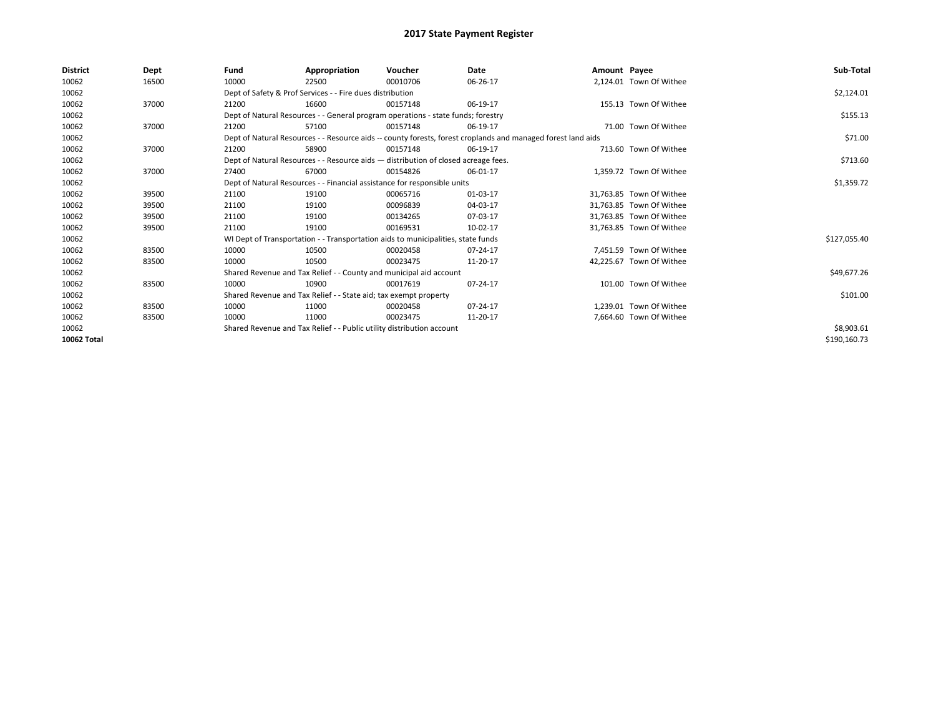| <b>District</b> | Dept  | Fund                                                                  | Appropriation                                                                      | Voucher    | Date                                                                                                         | Amount Payee |                          | Sub-Total    |
|-----------------|-------|-----------------------------------------------------------------------|------------------------------------------------------------------------------------|------------|--------------------------------------------------------------------------------------------------------------|--------------|--------------------------|--------------|
| 10062           | 16500 | 10000                                                                 | 22500                                                                              | 00010706   | 06-26-17                                                                                                     |              | 2.124.01 Town Of Withee  |              |
| 10062           |       |                                                                       | Dept of Safety & Prof Services - - Fire dues distribution                          |            |                                                                                                              |              |                          | \$2,124.01   |
| 10062           | 37000 | 21200                                                                 | 16600                                                                              | 00157148   | 06-19-17                                                                                                     |              | 155.13 Town Of Withee    |              |
| 10062           |       |                                                                       | Dept of Natural Resources - - General program operations - state funds; forestry   |            |                                                                                                              |              |                          | \$155.13     |
| 10062           | 37000 | 21200                                                                 | 57100                                                                              | 00157148   | 06-19-17                                                                                                     |              | 71.00 Town Of Withee     |              |
| 10062           |       |                                                                       |                                                                                    |            | Dept of Natural Resources - - Resource aids -- county forests, forest croplands and managed forest land aids |              |                          | \$71.00      |
| 10062           | 37000 | 21200                                                                 | 58900                                                                              | 00157148   | 06-19-17                                                                                                     |              | 713.60 Town Of Withee    |              |
| 10062           |       |                                                                       | Dept of Natural Resources - - Resource aids - distribution of closed acreage fees. |            |                                                                                                              |              |                          | \$713.60     |
| 10062           | 37000 | 27400                                                                 | 67000                                                                              | 00154826   | 06-01-17                                                                                                     |              | 1.359.72 Town Of Withee  |              |
| 10062           |       |                                                                       | Dept of Natural Resources - - Financial assistance for responsible units           |            |                                                                                                              |              |                          | \$1,359.72   |
| 10062           | 39500 | 21100                                                                 | 19100                                                                              | 00065716   | 01-03-17                                                                                                     |              | 31,763.85 Town Of Withee |              |
| 10062           | 39500 | 21100                                                                 | 19100                                                                              | 00096839   | 04-03-17                                                                                                     |              | 31,763.85 Town Of Withee |              |
| 10062           | 39500 | 21100                                                                 | 19100                                                                              | 00134265   | 07-03-17                                                                                                     |              | 31,763.85 Town Of Withee |              |
| 10062           | 39500 | 21100                                                                 | 19100                                                                              | 00169531   | 10-02-17                                                                                                     |              | 31,763.85 Town Of Withee |              |
| 10062           |       |                                                                       | WI Dept of Transportation - - Transportation aids to municipalities, state funds   |            |                                                                                                              |              |                          | \$127,055.40 |
| 10062           | 83500 | 10000                                                                 | 10500                                                                              | 00020458   | 07-24-17                                                                                                     |              | 7.451.59 Town Of Withee  |              |
| 10062           | 83500 | 10000                                                                 | 10500                                                                              | 00023475   | 11-20-17                                                                                                     |              | 42,225.67 Town Of Withee |              |
| 10062           |       |                                                                       | Shared Revenue and Tax Relief - - County and municipal aid account                 |            |                                                                                                              |              |                          | \$49,677.26  |
| 10062           | 83500 | 10000                                                                 | 10900                                                                              | 00017619   | 07-24-17                                                                                                     |              | 101.00 Town Of Withee    |              |
| 10062           |       |                                                                       | Shared Revenue and Tax Relief - - State aid; tax exempt property                   |            |                                                                                                              |              |                          | \$101.00     |
| 10062           | 83500 | 10000                                                                 | 11000                                                                              | 00020458   | 07-24-17                                                                                                     |              | 1.239.01 Town Of Withee  |              |
| 10062           | 83500 | 10000                                                                 | 11000                                                                              | 00023475   | 11-20-17                                                                                                     |              | 7,664.60 Town Of Withee  |              |
| 10062           |       | Shared Revenue and Tax Relief - - Public utility distribution account |                                                                                    | \$8,903.61 |                                                                                                              |              |                          |              |
| 10062 Total     |       |                                                                       |                                                                                    |            |                                                                                                              |              |                          | \$190,160.73 |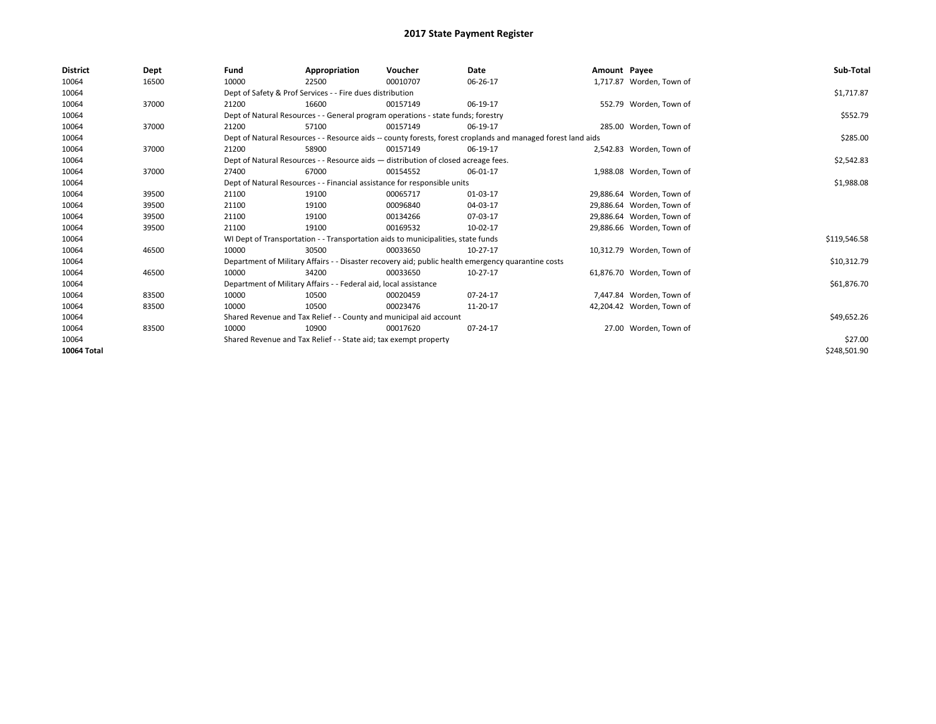| <b>District</b> | Dept  | Fund  | Appropriation                                                                                                | Voucher  | Date       | Amount Payee |                           | Sub-Total    |  |
|-----------------|-------|-------|--------------------------------------------------------------------------------------------------------------|----------|------------|--------------|---------------------------|--------------|--|
| 10064           | 16500 | 10000 | 22500                                                                                                        | 00010707 | 06-26-17   |              | 1,717.87 Worden, Town of  |              |  |
| 10064           |       |       | Dept of Safety & Prof Services - - Fire dues distribution                                                    |          |            |              |                           | \$1,717.87   |  |
| 10064           | 37000 | 21200 | 16600                                                                                                        | 00157149 | 06-19-17   |              | 552.79 Worden, Town of    |              |  |
| 10064           |       |       | Dept of Natural Resources - - General program operations - state funds; forestry                             |          |            |              |                           | \$552.79     |  |
| 10064           | 37000 | 21200 | 57100                                                                                                        | 00157149 | 06-19-17   |              | 285.00 Worden, Town of    |              |  |
| 10064           |       |       | Dept of Natural Resources - - Resource aids -- county forests, forest croplands and managed forest land aids |          |            |              |                           | \$285.00     |  |
| 10064           | 37000 | 21200 | 58900                                                                                                        | 00157149 | 06-19-17   |              | 2,542.83 Worden, Town of  |              |  |
| 10064           |       |       | Dept of Natural Resources - - Resource aids - distribution of closed acreage fees.                           |          | \$2,542.83 |              |                           |              |  |
| 10064           | 37000 | 27400 | 67000                                                                                                        | 00154552 | 06-01-17   |              | 1,988.08 Worden, Town of  |              |  |
| 10064           |       |       | Dept of Natural Resources - - Financial assistance for responsible units                                     |          | \$1,988.08 |              |                           |              |  |
| 10064           | 39500 | 21100 | 19100                                                                                                        | 00065717 | 01-03-17   |              | 29,886.64 Worden, Town of |              |  |
| 10064           | 39500 | 21100 | 19100                                                                                                        | 00096840 | 04-03-17   |              | 29,886.64 Worden, Town of |              |  |
| 10064           | 39500 | 21100 | 19100                                                                                                        | 00134266 | 07-03-17   |              | 29,886.64 Worden, Town of |              |  |
| 10064           | 39500 | 21100 | 19100                                                                                                        | 00169532 | 10-02-17   |              | 29,886.66 Worden, Town of |              |  |
| 10064           |       |       | WI Dept of Transportation - - Transportation aids to municipalities, state funds                             |          |            |              |                           | \$119,546.58 |  |
| 10064           | 46500 | 10000 | 30500                                                                                                        | 00033650 | $10-27-17$ |              | 10,312.79 Worden, Town of |              |  |
| 10064           |       |       | Department of Military Affairs - - Disaster recovery aid; public health emergency quarantine costs           |          |            |              |                           | \$10,312.79  |  |
| 10064           | 46500 | 10000 | 34200                                                                                                        | 00033650 | 10-27-17   |              | 61.876.70 Worden, Town of |              |  |
| 10064           |       |       | Department of Military Affairs - - Federal aid, local assistance                                             |          |            |              |                           | \$61,876.70  |  |
| 10064           | 83500 | 10000 | 10500                                                                                                        | 00020459 | 07-24-17   |              | 7,447.84 Worden, Town of  |              |  |
| 10064           | 83500 | 10000 | 10500                                                                                                        | 00023476 | 11-20-17   |              | 42,204.42 Worden, Town of |              |  |
| 10064           |       |       | Shared Revenue and Tax Relief - - County and municipal aid account                                           |          |            |              |                           |              |  |
| 10064           | 83500 | 10000 | 10900                                                                                                        | 00017620 | 07-24-17   |              | 27.00 Worden, Town of     |              |  |
| 10064           |       |       | Shared Revenue and Tax Relief - - State aid; tax exempt property                                             |          | \$27.00    |              |                           |              |  |
| 10064 Total     |       |       |                                                                                                              |          |            |              |                           | \$248,501.90 |  |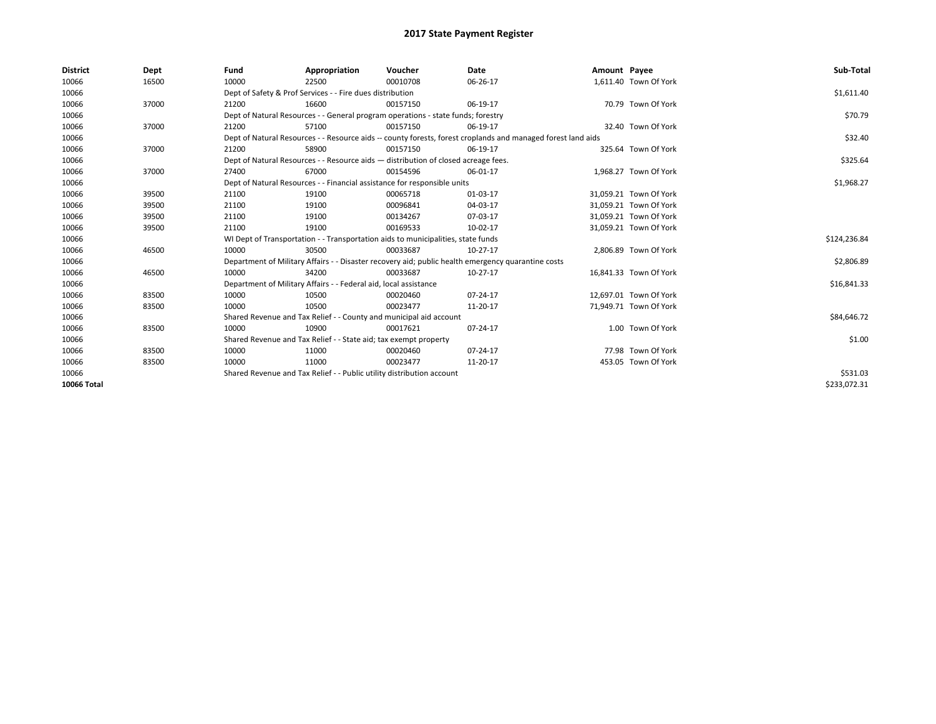| <b>District</b> | Dept  | Fund                                                                     | Appropriation                                                                      | Voucher    | Date                                                                                                         | Amount Payee |                        | Sub-Total    |
|-----------------|-------|--------------------------------------------------------------------------|------------------------------------------------------------------------------------|------------|--------------------------------------------------------------------------------------------------------------|--------------|------------------------|--------------|
| 10066           | 16500 | 10000                                                                    | 22500                                                                              | 00010708   | 06-26-17                                                                                                     |              | 1,611.40 Town Of York  |              |
| 10066           |       |                                                                          | Dept of Safety & Prof Services - - Fire dues distribution                          |            |                                                                                                              |              |                        | \$1,611.40   |
| 10066           | 37000 | 21200                                                                    | 16600                                                                              | 00157150   | 06-19-17                                                                                                     |              | 70.79 Town Of York     |              |
| 10066           |       |                                                                          | Dept of Natural Resources - - General program operations - state funds; forestry   |            |                                                                                                              |              |                        | \$70.79      |
| 10066           | 37000 | 21200                                                                    | 57100                                                                              | 00157150   | 06-19-17                                                                                                     |              | 32.40 Town Of York     |              |
| 10066           |       |                                                                          |                                                                                    |            | Dept of Natural Resources - - Resource aids -- county forests, forest croplands and managed forest land aids |              |                        | \$32.40      |
| 10066           | 37000 | 21200                                                                    | 58900                                                                              | 00157150   | 06-19-17                                                                                                     |              | 325.64 Town Of York    |              |
| 10066           |       |                                                                          | Dept of Natural Resources - - Resource aids - distribution of closed acreage fees. |            |                                                                                                              |              |                        | \$325.64     |
| 10066           | 37000 | 27400                                                                    | 67000                                                                              | 00154596   | 06-01-17                                                                                                     |              | 1,968.27 Town Of York  |              |
| 10066           |       | Dept of Natural Resources - - Financial assistance for responsible units |                                                                                    | \$1,968.27 |                                                                                                              |              |                        |              |
| 10066           | 39500 | 21100                                                                    | 19100                                                                              | 00065718   | 01-03-17                                                                                                     |              | 31,059.21 Town Of York |              |
| 10066           | 39500 | 21100                                                                    | 19100                                                                              | 00096841   | 04-03-17                                                                                                     |              | 31,059.21 Town Of York |              |
| 10066           | 39500 | 21100                                                                    | 19100                                                                              | 00134267   | 07-03-17                                                                                                     |              | 31,059.21 Town Of York |              |
| 10066           | 39500 | 21100                                                                    | 19100                                                                              | 00169533   | 10-02-17                                                                                                     |              | 31,059.21 Town Of York |              |
| 10066           |       |                                                                          | WI Dept of Transportation - - Transportation aids to municipalities, state funds   |            |                                                                                                              |              |                        | \$124,236.84 |
| 10066           | 46500 | 10000                                                                    | 30500                                                                              | 00033687   | 10-27-17                                                                                                     |              | 2,806.89 Town Of York  |              |
| 10066           |       |                                                                          |                                                                                    |            | Department of Military Affairs - - Disaster recovery aid; public health emergency quarantine costs           |              |                        | \$2,806.89   |
| 10066           | 46500 | 10000                                                                    | 34200                                                                              | 00033687   | 10-27-17                                                                                                     |              | 16.841.33 Town Of York |              |
| 10066           |       |                                                                          | Department of Military Affairs - - Federal aid, local assistance                   |            |                                                                                                              |              |                        | \$16,841.33  |
| 10066           | 83500 | 10000                                                                    | 10500                                                                              | 00020460   | 07-24-17                                                                                                     |              | 12.697.01 Town Of York |              |
| 10066           | 83500 | 10000                                                                    | 10500                                                                              | 00023477   | 11-20-17                                                                                                     |              | 71,949.71 Town Of York |              |
| 10066           |       |                                                                          | Shared Revenue and Tax Relief - - County and municipal aid account                 |            |                                                                                                              |              |                        | \$84,646.72  |
| 10066           | 83500 | 10000                                                                    | 10900                                                                              | 00017621   | 07-24-17                                                                                                     |              | 1.00 Town Of York      |              |
| 10066           |       |                                                                          | Shared Revenue and Tax Relief - - State aid; tax exempt property                   |            |                                                                                                              |              |                        | \$1.00       |
| 10066           | 83500 | 10000                                                                    | 11000                                                                              | 00020460   | 07-24-17                                                                                                     |              | 77.98 Town Of York     |              |
| 10066           | 83500 | 10000                                                                    | 11000                                                                              | 00023477   | 11-20-17                                                                                                     |              | 453.05 Town Of York    |              |
| 10066           |       | Shared Revenue and Tax Relief - - Public utility distribution account    |                                                                                    | \$531.03   |                                                                                                              |              |                        |              |
| 10066 Total     |       |                                                                          |                                                                                    |            |                                                                                                              |              |                        | \$233.072.31 |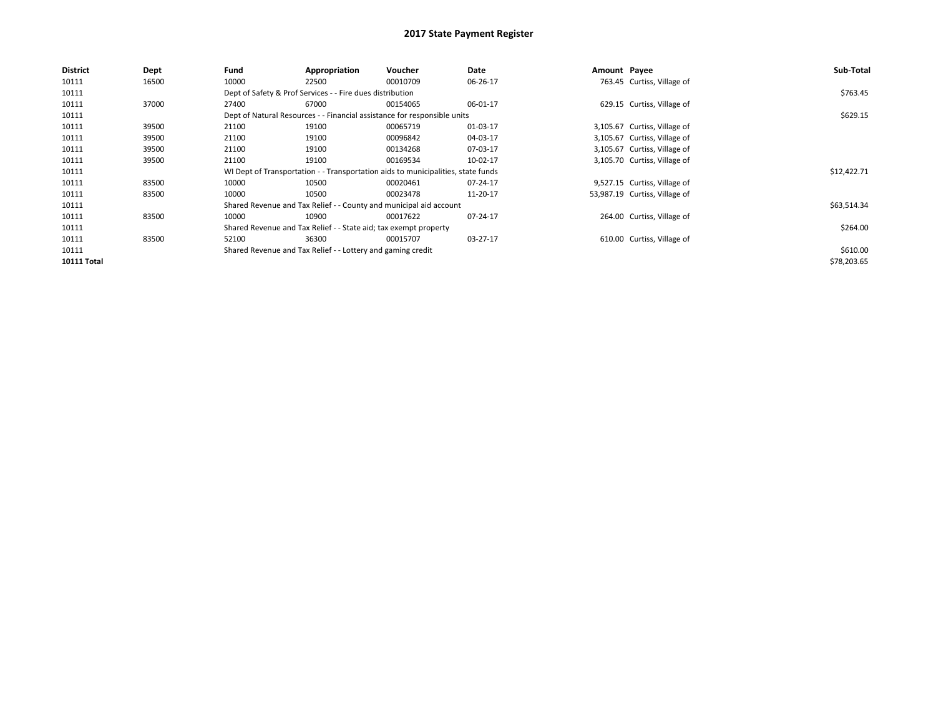| <b>District</b>    | Dept  | Fund  | Appropriation                                                    | <b>Voucher</b>                                                                   | Date     | Amount Payee |                               | Sub-Total   |
|--------------------|-------|-------|------------------------------------------------------------------|----------------------------------------------------------------------------------|----------|--------------|-------------------------------|-------------|
| 10111              | 16500 | 10000 | 22500                                                            | 00010709                                                                         | 06-26-17 |              | 763.45 Curtiss, Village of    |             |
| 10111              |       |       | Dept of Safety & Prof Services - - Fire dues distribution        |                                                                                  |          |              |                               | \$763.45    |
| 10111              | 37000 | 27400 | 67000                                                            | 00154065                                                                         | 06-01-17 |              | 629.15 Curtiss, Village of    |             |
| 10111              |       |       |                                                                  | Dept of Natural Resources - - Financial assistance for responsible units         |          |              |                               | \$629.15    |
| 10111              | 39500 | 21100 | 19100                                                            | 00065719                                                                         | 01-03-17 |              | 3,105.67 Curtiss, Village of  |             |
| 10111              | 39500 | 21100 | 19100                                                            | 00096842                                                                         | 04-03-17 |              | 3,105.67 Curtiss, Village of  |             |
| 10111              | 39500 | 21100 | 19100                                                            | 00134268                                                                         | 07-03-17 |              | 3,105.67 Curtiss, Village of  |             |
| 10111              | 39500 | 21100 | 19100                                                            | 00169534                                                                         | 10-02-17 |              | 3,105.70 Curtiss, Village of  |             |
| 10111              |       |       |                                                                  | WI Dept of Transportation - - Transportation aids to municipalities, state funds |          |              |                               | \$12,422.71 |
| 10111              | 83500 | 10000 | 10500                                                            | 00020461                                                                         | 07-24-17 |              | 9,527.15 Curtiss, Village of  |             |
| 10111              | 83500 | 10000 | 10500                                                            | 00023478                                                                         | 11-20-17 |              | 53,987.19 Curtiss, Village of |             |
| 10111              |       |       |                                                                  | Shared Revenue and Tax Relief - - County and municipal aid account               |          |              |                               | \$63,514.34 |
| 10111              | 83500 | 10000 | 10900                                                            | 00017622                                                                         | 07-24-17 |              | 264.00 Curtiss, Village of    |             |
| 10111              |       |       | Shared Revenue and Tax Relief - - State aid; tax exempt property |                                                                                  |          |              |                               | \$264.00    |
| 10111              | 83500 | 52100 | 36300                                                            | 00015707                                                                         | 03-27-17 |              | 610.00 Curtiss, Village of    |             |
| 10111              |       |       | Shared Revenue and Tax Relief - - Lottery and gaming credit      |                                                                                  |          |              |                               | \$610.00    |
| <b>10111 Total</b> |       |       |                                                                  |                                                                                  |          |              |                               | \$78,203.65 |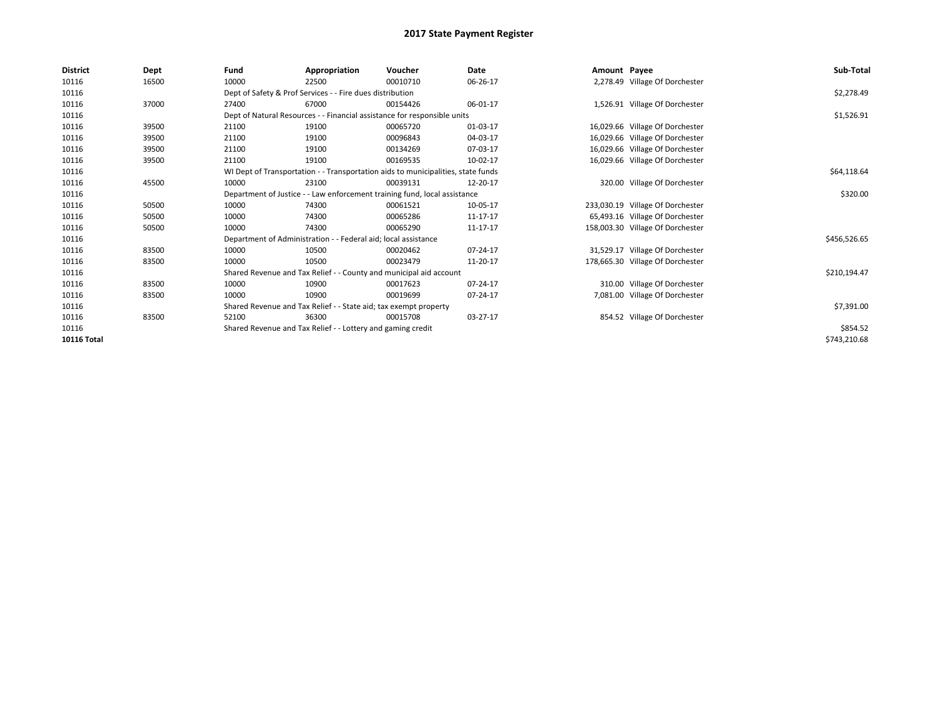| <b>District</b>    | Dept  | Fund                                                                             | Appropriation                                                             | Voucher     | Date     | Amount Payee |                                  | Sub-Total    |  |  |  |
|--------------------|-------|----------------------------------------------------------------------------------|---------------------------------------------------------------------------|-------------|----------|--------------|----------------------------------|--------------|--|--|--|
| 10116              | 16500 | 10000                                                                            | 22500                                                                     | 00010710    | 06-26-17 |              | 2,278.49 Village Of Dorchester   |              |  |  |  |
| 10116              |       |                                                                                  | Dept of Safety & Prof Services - - Fire dues distribution                 |             |          |              |                                  | \$2,278.49   |  |  |  |
| 10116              | 37000 | 27400                                                                            | 67000                                                                     | 00154426    | 06-01-17 |              | 1,526.91 Village Of Dorchester   |              |  |  |  |
| 10116              |       |                                                                                  | Dept of Natural Resources - - Financial assistance for responsible units  |             |          |              |                                  | \$1,526.91   |  |  |  |
| 10116              | 39500 | 21100                                                                            | 19100                                                                     | 00065720    | 01-03-17 |              | 16,029.66 Village Of Dorchester  |              |  |  |  |
| 10116              | 39500 | 21100                                                                            | 19100                                                                     | 00096843    | 04-03-17 |              | 16,029.66 Village Of Dorchester  |              |  |  |  |
| 10116              | 39500 | 21100                                                                            | 19100                                                                     | 00134269    | 07-03-17 |              | 16,029.66 Village Of Dorchester  |              |  |  |  |
| 10116              | 39500 | 21100                                                                            | 19100                                                                     | 00169535    | 10-02-17 |              | 16,029.66 Village Of Dorchester  |              |  |  |  |
| 10116              |       | WI Dept of Transportation - - Transportation aids to municipalities, state funds |                                                                           | \$64,118.64 |          |              |                                  |              |  |  |  |
| 10116              | 45500 | 10000                                                                            | 23100                                                                     | 00039131    | 12-20-17 |              | 320.00 Village Of Dorchester     |              |  |  |  |
| 10116              |       |                                                                                  | Department of Justice - - Law enforcement training fund, local assistance |             |          |              |                                  |              |  |  |  |
| 10116              | 50500 | 10000                                                                            | 74300                                                                     | 00061521    | 10-05-17 |              | 233,030.19 Village Of Dorchester |              |  |  |  |
| 10116              | 50500 | 10000                                                                            | 74300                                                                     | 00065286    | 11-17-17 |              | 65,493.16 Village Of Dorchester  |              |  |  |  |
| 10116              | 50500 | 10000                                                                            | 74300                                                                     | 00065290    | 11-17-17 |              | 158,003.30 Village Of Dorchester |              |  |  |  |
| 10116              |       |                                                                                  | Department of Administration - - Federal aid; local assistance            |             |          |              |                                  | \$456,526.65 |  |  |  |
| 10116              | 83500 | 10000                                                                            | 10500                                                                     | 00020462    | 07-24-17 |              | 31,529.17 Village Of Dorchester  |              |  |  |  |
| 10116              | 83500 | 10000                                                                            | 10500                                                                     | 00023479    | 11-20-17 |              | 178,665.30 Village Of Dorchester |              |  |  |  |
| 10116              |       |                                                                                  | Shared Revenue and Tax Relief - - County and municipal aid account        |             |          |              |                                  | \$210,194.47 |  |  |  |
| 10116              | 83500 | 10000                                                                            | 10900                                                                     | 00017623    | 07-24-17 |              | 310.00 Village Of Dorchester     |              |  |  |  |
| 10116              | 83500 | 10000                                                                            | 10900                                                                     | 00019699    | 07-24-17 |              | 7,081.00 Village Of Dorchester   |              |  |  |  |
| 10116              |       |                                                                                  | Shared Revenue and Tax Relief - - State aid; tax exempt property          |             |          |              |                                  | \$7,391.00   |  |  |  |
| 10116              | 83500 | 52100                                                                            | 36300                                                                     | 00015708    | 03-27-17 |              | 854.52 Village Of Dorchester     |              |  |  |  |
| 10116              |       | Shared Revenue and Tax Relief - - Lottery and gaming credit                      |                                                                           | \$854.52    |          |              |                                  |              |  |  |  |
| <b>10116 Total</b> |       |                                                                                  |                                                                           |             |          |              |                                  | \$743,210.68 |  |  |  |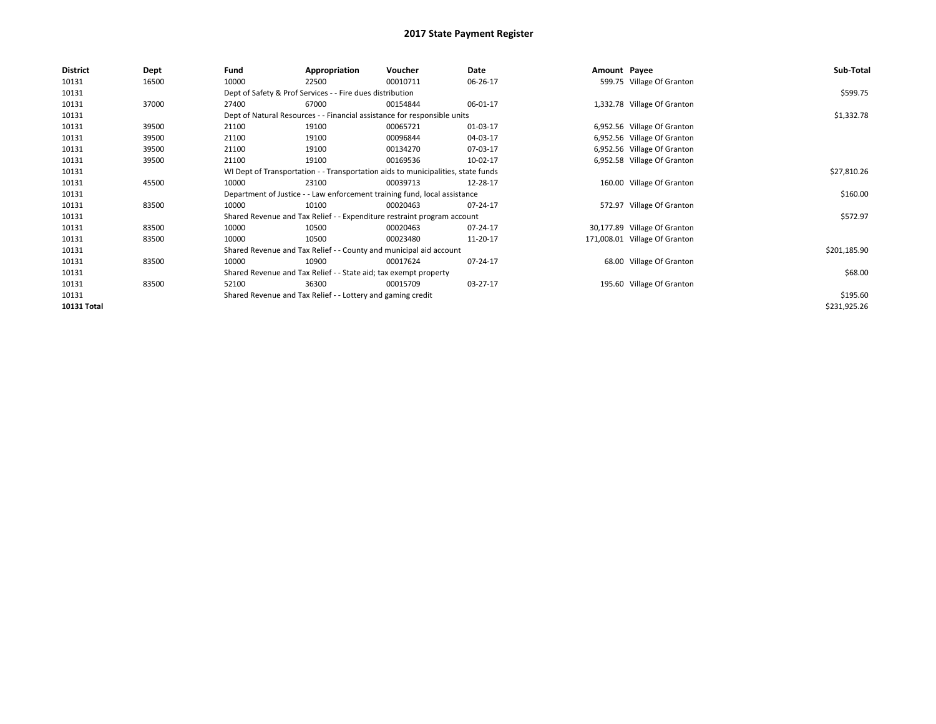| <b>District</b> | Dept  | Fund                                                             | Appropriation                                                                    | Voucher  | Date     | Amount Payee |                               | Sub-Total    |
|-----------------|-------|------------------------------------------------------------------|----------------------------------------------------------------------------------|----------|----------|--------------|-------------------------------|--------------|
| 10131           | 16500 | 10000                                                            | 22500                                                                            | 00010711 | 06-26-17 |              | 599.75 Village Of Granton     |              |
| 10131           |       |                                                                  | Dept of Safety & Prof Services - - Fire dues distribution                        |          |          |              |                               | \$599.75     |
| 10131           | 37000 | 27400                                                            | 67000                                                                            | 00154844 | 06-01-17 |              | 1,332.78 Village Of Granton   |              |
| 10131           |       |                                                                  | Dept of Natural Resources - - Financial assistance for responsible units         |          |          |              |                               | \$1,332.78   |
| 10131           | 39500 | 21100                                                            | 19100                                                                            | 00065721 | 01-03-17 |              | 6,952.56 Village Of Granton   |              |
| 10131           | 39500 | 21100                                                            | 19100                                                                            | 00096844 | 04-03-17 |              | 6,952.56 Village Of Granton   |              |
| 10131           | 39500 | 21100                                                            | 19100                                                                            | 00134270 | 07-03-17 |              | 6,952.56 Village Of Granton   |              |
| 10131           | 39500 | 21100                                                            | 19100                                                                            | 00169536 | 10-02-17 |              | 6,952.58 Village Of Granton   |              |
| 10131           |       |                                                                  | WI Dept of Transportation - - Transportation aids to municipalities, state funds |          |          |              |                               | \$27,810.26  |
| 10131           | 45500 | 10000                                                            | 23100                                                                            | 00039713 | 12-28-17 |              | 160.00 Village Of Granton     |              |
| 10131           |       |                                                                  | Department of Justice - - Law enforcement training fund, local assistance        |          |          |              |                               | \$160.00     |
| 10131           | 83500 | 10000                                                            | 10100                                                                            | 00020463 | 07-24-17 |              | 572.97 Village Of Granton     |              |
| 10131           |       |                                                                  | Shared Revenue and Tax Relief - - Expenditure restraint program account          |          |          |              |                               | \$572.97     |
| 10131           | 83500 | 10000                                                            | 10500                                                                            | 00020463 | 07-24-17 |              | 30,177.89 Village Of Granton  |              |
| 10131           | 83500 | 10000                                                            | 10500                                                                            | 00023480 | 11-20-17 |              | 171,008.01 Village Of Granton |              |
| 10131           |       |                                                                  | Shared Revenue and Tax Relief - - County and municipal aid account               |          |          |              |                               | \$201,185.90 |
| 10131           | 83500 | 10000                                                            | 10900                                                                            | 00017624 | 07-24-17 |              | 68.00 Village Of Granton      |              |
| 10131           |       | Shared Revenue and Tax Relief - - State aid; tax exempt property |                                                                                  | \$68.00  |          |              |                               |              |
| 10131           | 83500 | 52100                                                            | 36300                                                                            | 00015709 | 03-27-17 |              | 195.60 Village Of Granton     |              |
| 10131           |       |                                                                  | Shared Revenue and Tax Relief - - Lottery and gaming credit                      |          |          |              |                               | \$195.60     |
| 10131 Total     |       |                                                                  |                                                                                  |          |          |              |                               | \$231,925.26 |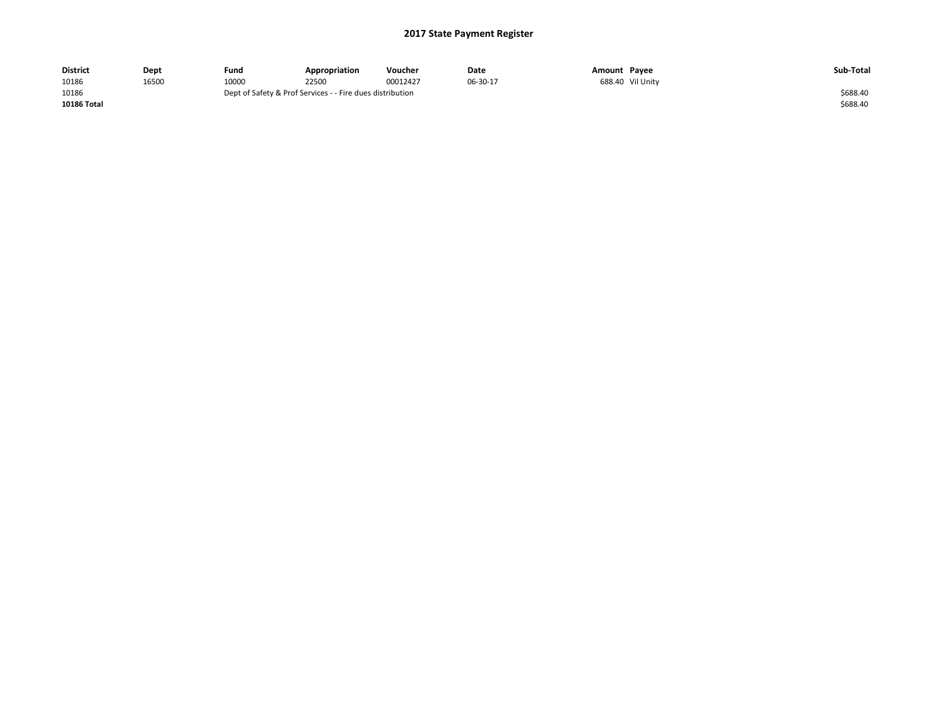| <b>District</b>    | Dept  | Fund  | Appropriation                                             | Voucher  | Date     | Amount Payee |                  | Sub-Total |
|--------------------|-------|-------|-----------------------------------------------------------|----------|----------|--------------|------------------|-----------|
| 10186              | 16500 | 10000 | 22500                                                     | 00012427 | 06-30-17 |              | 688.40 Vil Unity |           |
| 10186              |       |       | Dept of Safety & Prof Services - - Fire dues distribution |          |          |              |                  | \$688.40  |
| <b>10186 Total</b> |       |       |                                                           |          |          |              |                  | \$688.40  |
|                    |       |       |                                                           |          |          |              |                  |           |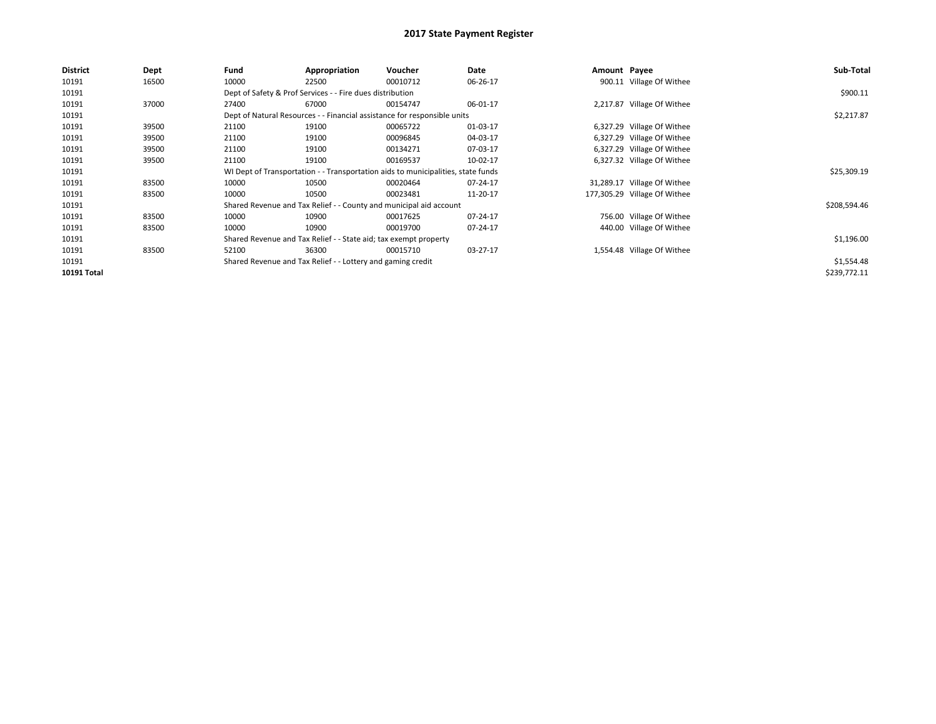| <b>District</b> | Dept  | Fund                                                        | Appropriation                                                    | <b>Voucher</b>                                                                   | Date     | Amount Payee |                              | Sub-Total    |
|-----------------|-------|-------------------------------------------------------------|------------------------------------------------------------------|----------------------------------------------------------------------------------|----------|--------------|------------------------------|--------------|
| 10191           | 16500 | 10000                                                       | 22500                                                            | 00010712                                                                         | 06-26-17 |              | 900.11 Village Of Withee     |              |
| 10191           |       |                                                             | Dept of Safety & Prof Services - - Fire dues distribution        |                                                                                  |          |              |                              | \$900.11     |
| 10191           | 37000 | 27400                                                       | 67000                                                            | 00154747                                                                         | 06-01-17 |              | 2,217.87 Village Of Withee   |              |
| 10191           |       |                                                             |                                                                  | Dept of Natural Resources - - Financial assistance for responsible units         |          |              |                              | \$2,217.87   |
| 10191           | 39500 | 21100                                                       | 19100                                                            | 00065722                                                                         | 01-03-17 |              | 6,327.29 Village Of Withee   |              |
| 10191           | 39500 | 21100                                                       | 19100                                                            | 00096845                                                                         | 04-03-17 |              | 6,327.29 Village Of Withee   |              |
| 10191           | 39500 | 21100                                                       | 19100                                                            | 00134271                                                                         | 07-03-17 |              | 6,327.29 Village Of Withee   |              |
| 10191           | 39500 | 21100                                                       | 19100                                                            | 00169537                                                                         | 10-02-17 |              | 6,327.32 Village Of Withee   |              |
| 10191           |       |                                                             |                                                                  | WI Dept of Transportation - - Transportation aids to municipalities, state funds |          |              |                              | \$25,309.19  |
| 10191           | 83500 | 10000                                                       | 10500                                                            | 00020464                                                                         | 07-24-17 |              | 31,289.17 Village Of Withee  |              |
| 10191           | 83500 | 10000                                                       | 10500                                                            | 00023481                                                                         | 11-20-17 |              | 177,305.29 Village Of Withee |              |
| 10191           |       |                                                             |                                                                  | Shared Revenue and Tax Relief - - County and municipal aid account               |          |              |                              | \$208,594.46 |
| 10191           | 83500 | 10000                                                       | 10900                                                            | 00017625                                                                         | 07-24-17 |              | 756.00 Village Of Withee     |              |
| 10191           | 83500 | 10000                                                       | 10900                                                            | 00019700                                                                         | 07-24-17 |              | 440.00 Village Of Withee     |              |
| 10191           |       |                                                             | Shared Revenue and Tax Relief - - State aid; tax exempt property |                                                                                  |          |              |                              | \$1,196.00   |
| 10191           | 83500 | 52100                                                       | 36300                                                            | 00015710                                                                         | 03-27-17 |              | 1,554.48 Village Of Withee   |              |
| 10191           |       | Shared Revenue and Tax Relief - - Lottery and gaming credit |                                                                  | \$1,554.48                                                                       |          |              |                              |              |
| 10191 Total     |       |                                                             |                                                                  |                                                                                  |          |              |                              | \$239,772.11 |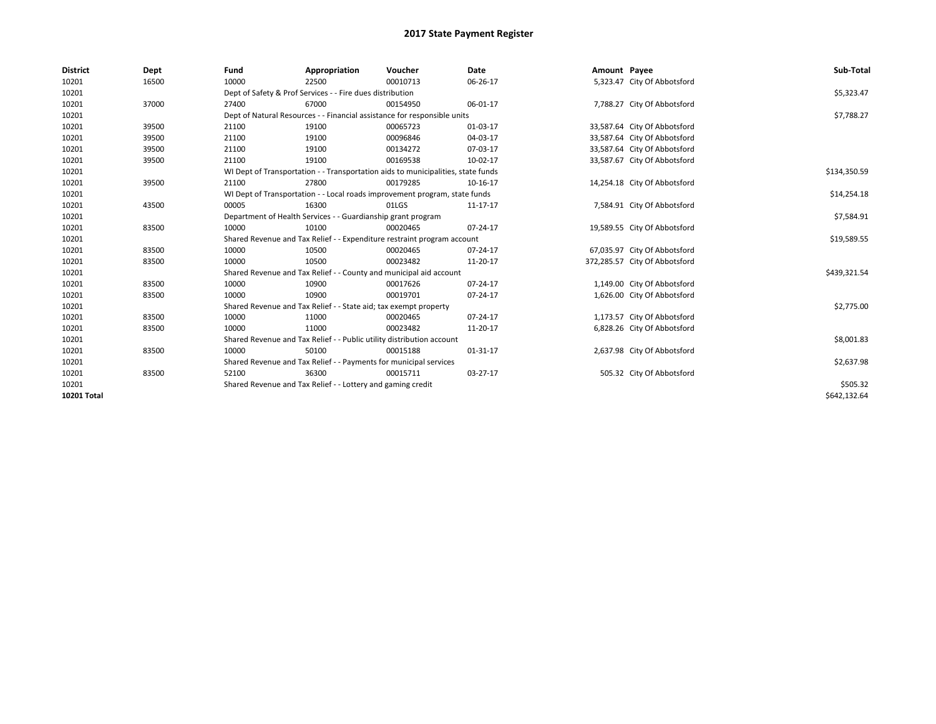| <b>District</b>    | Dept  | Fund  | Appropriation                                                                    | Voucher  | Date     | Amount Payee |                               | Sub-Total    |  |  |
|--------------------|-------|-------|----------------------------------------------------------------------------------|----------|----------|--------------|-------------------------------|--------------|--|--|
| 10201              | 16500 | 10000 | 22500                                                                            | 00010713 | 06-26-17 |              | 5,323.47 City Of Abbotsford   |              |  |  |
| 10201              |       |       | Dept of Safety & Prof Services - - Fire dues distribution                        |          |          |              |                               | \$5,323.47   |  |  |
| 10201              | 37000 | 27400 | 67000                                                                            | 00154950 | 06-01-17 |              | 7,788.27 City Of Abbotsford   |              |  |  |
| 10201              |       |       | Dept of Natural Resources - - Financial assistance for responsible units         |          |          |              |                               | \$7,788.27   |  |  |
| 10201              | 39500 | 21100 | 19100                                                                            | 00065723 | 01-03-17 |              | 33,587.64 City Of Abbotsford  |              |  |  |
| 10201              | 39500 | 21100 | 19100                                                                            | 00096846 | 04-03-17 |              | 33,587.64 City Of Abbotsford  |              |  |  |
| 10201              | 39500 | 21100 | 19100                                                                            | 00134272 | 07-03-17 |              | 33,587.64 City Of Abbotsford  |              |  |  |
| 10201              | 39500 | 21100 | 19100                                                                            | 00169538 | 10-02-17 |              | 33,587.67 City Of Abbotsford  |              |  |  |
| 10201              |       |       | WI Dept of Transportation - - Transportation aids to municipalities, state funds |          |          |              |                               |              |  |  |
| 10201              | 39500 | 21100 | 27800                                                                            | 00179285 | 10-16-17 |              | 14,254.18 City Of Abbotsford  |              |  |  |
| 10201              |       |       | WI Dept of Transportation - - Local roads improvement program, state funds       |          |          |              |                               |              |  |  |
| 10201              | 43500 | 00005 | 16300                                                                            | 01LGS    | 11-17-17 |              | 7,584.91 City Of Abbotsford   |              |  |  |
| 10201              |       |       | Department of Health Services - - Guardianship grant program                     |          |          |              |                               |              |  |  |
| 10201              | 83500 | 10000 | 10100                                                                            | 00020465 | 07-24-17 |              | 19,589.55 City Of Abbotsford  |              |  |  |
| 10201              |       |       | Shared Revenue and Tax Relief - - Expenditure restraint program account          |          |          |              |                               | \$19,589.55  |  |  |
| 10201              | 83500 | 10000 | 10500                                                                            | 00020465 | 07-24-17 |              | 67,035.97 City Of Abbotsford  |              |  |  |
| 10201              | 83500 | 10000 | 10500                                                                            | 00023482 | 11-20-17 |              | 372,285.57 City Of Abbotsford |              |  |  |
| 10201              |       |       | Shared Revenue and Tax Relief - - County and municipal aid account               |          |          |              |                               | \$439,321.54 |  |  |
| 10201              | 83500 | 10000 | 10900                                                                            | 00017626 | 07-24-17 |              | 1,149.00 City Of Abbotsford   |              |  |  |
| 10201              | 83500 | 10000 | 10900                                                                            | 00019701 | 07-24-17 |              | 1,626.00 City Of Abbotsford   |              |  |  |
| 10201              |       |       | Shared Revenue and Tax Relief - - State aid; tax exempt property                 |          |          |              |                               | \$2,775.00   |  |  |
| 10201              | 83500 | 10000 | 11000                                                                            | 00020465 | 07-24-17 |              | 1,173.57 City Of Abbotsford   |              |  |  |
| 10201              | 83500 | 10000 | 11000                                                                            | 00023482 | 11-20-17 |              | 6,828.26 City Of Abbotsford   |              |  |  |
| 10201              |       |       | Shared Revenue and Tax Relief - - Public utility distribution account            |          |          |              |                               | \$8,001.83   |  |  |
| 10201              | 83500 | 10000 | 50100                                                                            | 00015188 | 01-31-17 |              | 2,637.98 City Of Abbotsford   |              |  |  |
| 10201              |       |       | Shared Revenue and Tax Relief - - Payments for municipal services                |          |          |              |                               | \$2,637.98   |  |  |
| 10201              | 83500 | 52100 | 36300                                                                            | 00015711 | 03-27-17 |              | 505.32 City Of Abbotsford     |              |  |  |
| 10201              |       |       | Shared Revenue and Tax Relief - - Lottery and gaming credit                      |          |          |              |                               | \$505.32     |  |  |
| <b>10201 Total</b> |       |       |                                                                                  |          |          |              |                               | \$642,132.64 |  |  |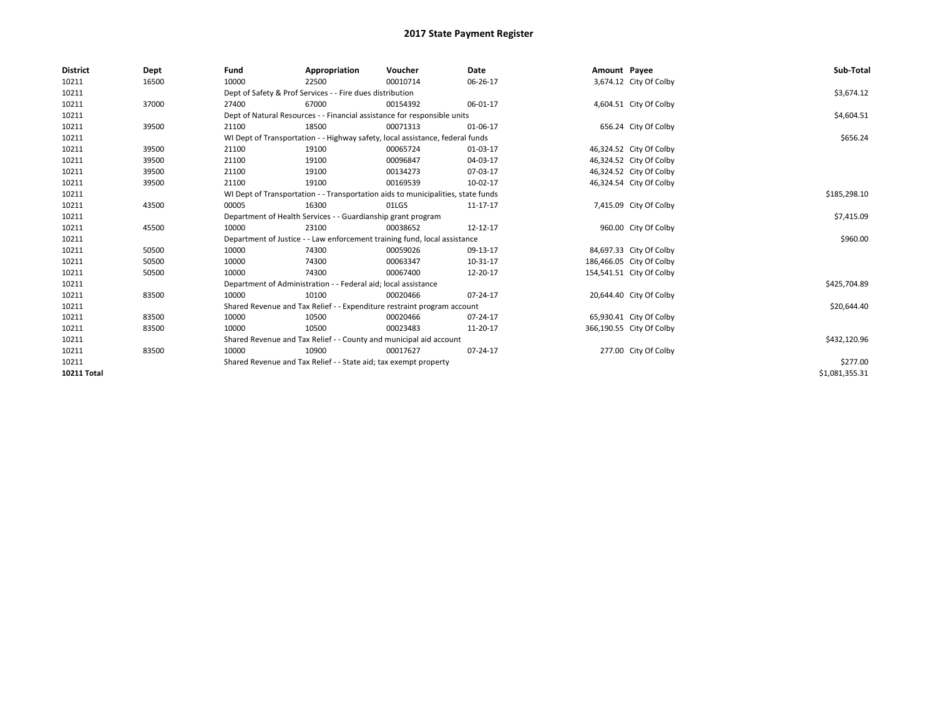| <b>District</b>    | Dept  | Fund  | Appropriation                                                                    | Voucher  | Date           | Amount Payee |                          | Sub-Total      |  |  |  |
|--------------------|-------|-------|----------------------------------------------------------------------------------|----------|----------------|--------------|--------------------------|----------------|--|--|--|
| 10211              | 16500 | 10000 | 22500                                                                            | 00010714 | 06-26-17       |              | 3,674.12 City Of Colby   |                |  |  |  |
| 10211              |       |       | Dept of Safety & Prof Services - - Fire dues distribution                        |          |                |              |                          | \$3,674.12     |  |  |  |
| 10211              | 37000 | 27400 | 67000                                                                            | 00154392 | 06-01-17       |              | 4,604.51 City Of Colby   |                |  |  |  |
| 10211              |       |       | Dept of Natural Resources - - Financial assistance for responsible units         |          |                |              |                          | \$4,604.51     |  |  |  |
| 10211              | 39500 | 21100 | 18500                                                                            | 00071313 | 01-06-17       |              | 656.24 City Of Colby     |                |  |  |  |
| 10211              |       |       | WI Dept of Transportation - - Highway safety, local assistance, federal funds    |          |                |              |                          | \$656.24       |  |  |  |
| 10211              | 39500 | 21100 | 19100                                                                            | 00065724 | 01-03-17       |              | 46,324.52 City Of Colby  |                |  |  |  |
| 10211              | 39500 | 21100 | 19100                                                                            | 00096847 | 04-03-17       |              | 46,324.52 City Of Colby  |                |  |  |  |
| 10211              | 39500 | 21100 | 19100                                                                            | 00134273 | 07-03-17       |              | 46,324.52 City Of Colby  |                |  |  |  |
| 10211              | 39500 | 21100 | 19100                                                                            | 00169539 | 10-02-17       |              | 46,324.54 City Of Colby  |                |  |  |  |
| 10211              |       |       | WI Dept of Transportation - - Transportation aids to municipalities, state funds |          |                |              |                          |                |  |  |  |
| 10211              | 43500 | 00005 | 16300                                                                            | 01LGS    | 11-17-17       |              | 7,415.09 City Of Colby   |                |  |  |  |
| 10211              |       |       | Department of Health Services - - Guardianship grant program                     |          |                |              |                          |                |  |  |  |
| 10211              | 45500 | 10000 | 23100                                                                            | 00038652 | 12-12-17       |              | 960.00 City Of Colby     |                |  |  |  |
| 10211              |       |       | Department of Justice - - Law enforcement training fund, local assistance        |          |                |              |                          | \$960.00       |  |  |  |
| 10211              | 50500 | 10000 | 74300                                                                            | 00059026 | 09-13-17       |              | 84,697.33 City Of Colby  |                |  |  |  |
| 10211              | 50500 | 10000 | 74300                                                                            | 00063347 | 10-31-17       |              | 186,466.05 City Of Colby |                |  |  |  |
| 10211              | 50500 | 10000 | 74300                                                                            | 00067400 | 12-20-17       |              | 154,541.51 City Of Colby |                |  |  |  |
| 10211              |       |       | Department of Administration - - Federal aid; local assistance                   |          |                |              |                          | \$425,704.89   |  |  |  |
| 10211              | 83500 | 10000 | 10100                                                                            | 00020466 | $07 - 24 - 17$ |              | 20,644.40 City Of Colby  |                |  |  |  |
| 10211              |       |       | Shared Revenue and Tax Relief - - Expenditure restraint program account          |          |                |              |                          | \$20,644.40    |  |  |  |
| 10211              | 83500 | 10000 | 10500                                                                            | 00020466 | 07-24-17       |              | 65,930.41 City Of Colby  |                |  |  |  |
| 10211              | 83500 | 10000 | 10500                                                                            | 00023483 | 11-20-17       |              | 366,190.55 City Of Colby |                |  |  |  |
| 10211              |       |       | Shared Revenue and Tax Relief - - County and municipal aid account               |          |                |              |                          | \$432,120.96   |  |  |  |
| 10211              | 83500 | 10000 | 10900                                                                            | 00017627 | 07-24-17       |              | 277.00 City Of Colby     |                |  |  |  |
| 10211              |       |       | Shared Revenue and Tax Relief - - State aid; tax exempt property                 |          | \$277.00       |              |                          |                |  |  |  |
| <b>10211 Total</b> |       |       |                                                                                  |          |                |              |                          | \$1,081,355.31 |  |  |  |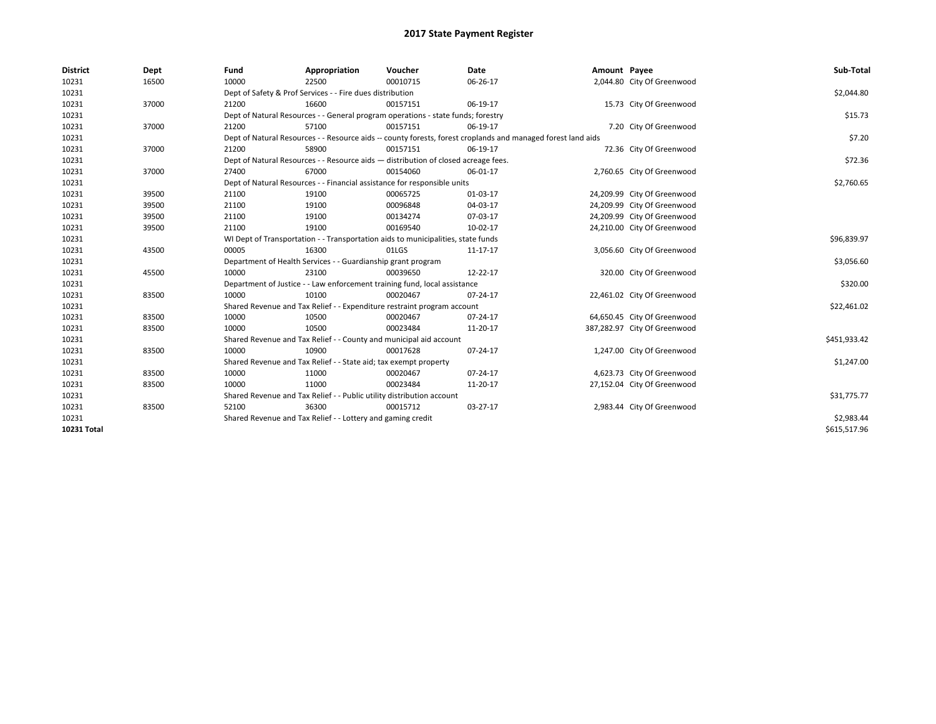| <b>District</b> | Dept  | Fund  | Appropriation                                                                                                | Voucher  | <b>Date</b> | Amount Payee |                              | Sub-Total    |  |  |  |
|-----------------|-------|-------|--------------------------------------------------------------------------------------------------------------|----------|-------------|--------------|------------------------------|--------------|--|--|--|
| 10231           | 16500 | 10000 | 22500                                                                                                        | 00010715 | 06-26-17    |              | 2,044.80 City Of Greenwood   |              |  |  |  |
| 10231           |       |       | Dept of Safety & Prof Services - - Fire dues distribution                                                    |          |             |              |                              | \$2,044.80   |  |  |  |
| 10231           | 37000 | 21200 | 16600                                                                                                        | 00157151 | 06-19-17    |              | 15.73 City Of Greenwood      |              |  |  |  |
| 10231           |       |       | Dept of Natural Resources - - General program operations - state funds; forestry                             |          |             |              |                              | \$15.73      |  |  |  |
| 10231           | 37000 | 21200 | 57100                                                                                                        | 00157151 | 06-19-17    |              | 7.20 City Of Greenwood       |              |  |  |  |
| 10231           |       |       | Dept of Natural Resources - - Resource aids -- county forests, forest croplands and managed forest land aids |          |             |              |                              | \$7.20       |  |  |  |
| 10231           | 37000 | 21200 | 58900                                                                                                        | 00157151 | 06-19-17    |              | 72.36 City Of Greenwood      |              |  |  |  |
| 10231           |       |       | Dept of Natural Resources - - Resource aids - distribution of closed acreage fees.                           |          | \$72.36     |              |                              |              |  |  |  |
| 10231           | 37000 | 27400 | 67000                                                                                                        | 00154060 | 06-01-17    |              | 2,760.65 City Of Greenwood   |              |  |  |  |
| 10231           |       |       | Dept of Natural Resources - - Financial assistance for responsible units                                     |          | \$2,760.65  |              |                              |              |  |  |  |
| 10231           | 39500 | 21100 | 19100                                                                                                        | 00065725 | 01-03-17    |              | 24,209.99 City Of Greenwood  |              |  |  |  |
| 10231           | 39500 | 21100 | 19100                                                                                                        | 00096848 | 04-03-17    |              | 24,209.99 City Of Greenwood  |              |  |  |  |
| 10231           | 39500 | 21100 | 19100                                                                                                        | 00134274 | 07-03-17    |              | 24,209.99 City Of Greenwood  |              |  |  |  |
| 10231           | 39500 | 21100 | 19100                                                                                                        | 00169540 | 10-02-17    |              | 24,210.00 City Of Greenwood  |              |  |  |  |
| 10231           |       |       | WI Dept of Transportation - - Transportation aids to municipalities, state funds                             |          |             |              |                              |              |  |  |  |
| 10231           | 43500 | 00005 | 16300                                                                                                        | 01LGS    | 11-17-17    |              | 3,056.60 City Of Greenwood   |              |  |  |  |
| 10231           |       |       | Department of Health Services - - Guardianship grant program                                                 |          |             |              |                              | \$3,056.60   |  |  |  |
| 10231           | 45500 | 10000 | 23100                                                                                                        | 00039650 | 12-22-17    |              | 320.00 City Of Greenwood     |              |  |  |  |
| 10231           |       |       | Department of Justice - - Law enforcement training fund, local assistance                                    |          |             |              |                              | \$320.00     |  |  |  |
| 10231           | 83500 | 10000 | 10100                                                                                                        | 00020467 | 07-24-17    |              | 22,461.02 City Of Greenwood  |              |  |  |  |
| 10231           |       |       | Shared Revenue and Tax Relief - - Expenditure restraint program account                                      |          |             |              |                              | \$22,461.02  |  |  |  |
| 10231           | 83500 | 10000 | 10500                                                                                                        | 00020467 | 07-24-17    |              | 64,650.45 City Of Greenwood  |              |  |  |  |
| 10231           | 83500 | 10000 | 10500                                                                                                        | 00023484 | 11-20-17    |              | 387,282.97 City Of Greenwood |              |  |  |  |
| 10231           |       |       | Shared Revenue and Tax Relief - - County and municipal aid account                                           |          |             |              |                              | \$451,933.42 |  |  |  |
| 10231           | 83500 | 10000 | 10900                                                                                                        | 00017628 | 07-24-17    |              | 1,247.00 City Of Greenwood   |              |  |  |  |
| 10231           |       |       | Shared Revenue and Tax Relief - - State aid; tax exempt property                                             |          |             |              |                              | \$1,247.00   |  |  |  |
| 10231           | 83500 | 10000 | 11000                                                                                                        | 00020467 | 07-24-17    |              | 4,623.73 City Of Greenwood   |              |  |  |  |
| 10231           | 83500 | 10000 | 11000                                                                                                        | 00023484 | 11-20-17    |              | 27,152.04 City Of Greenwood  |              |  |  |  |
| 10231           |       |       | Shared Revenue and Tax Relief - - Public utility distribution account                                        |          |             |              |                              | \$31,775.77  |  |  |  |
| 10231           | 83500 | 52100 | 36300                                                                                                        | 00015712 | 03-27-17    |              | 2,983.44 City Of Greenwood   |              |  |  |  |
| 10231           |       |       | Shared Revenue and Tax Relief - - Lottery and gaming credit                                                  |          |             |              |                              | \$2,983.44   |  |  |  |
| 10231 Total     |       |       |                                                                                                              |          |             |              |                              | \$615,517.96 |  |  |  |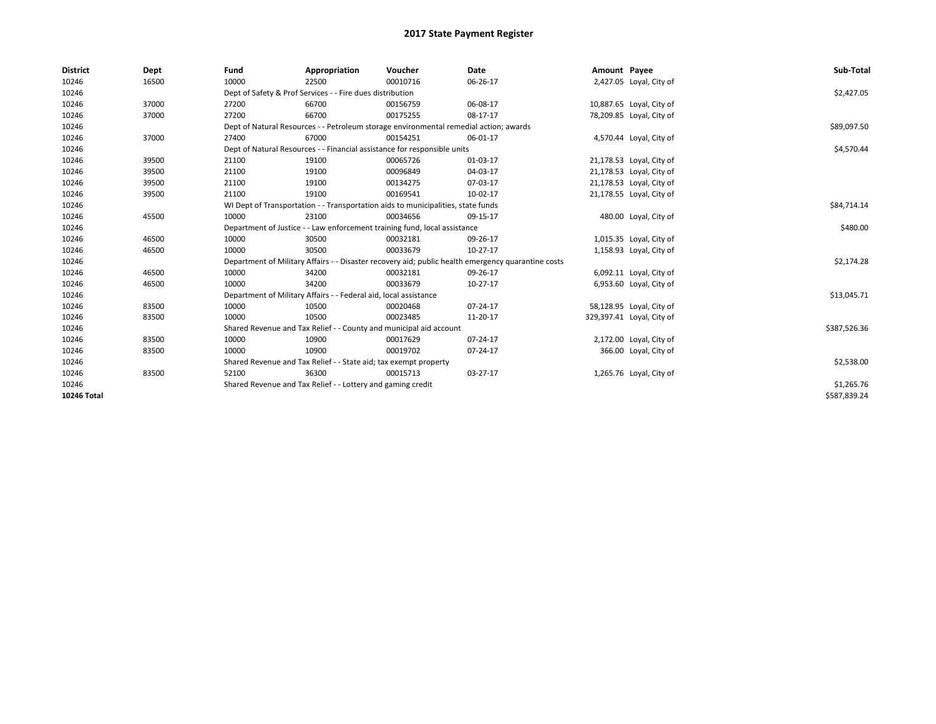| <b>District</b> | Dept  | Fund                                                                             | Appropriation                                                                         | Voucher     | Date                                                                                               | Amount Payee |                           | Sub-Total    |
|-----------------|-------|----------------------------------------------------------------------------------|---------------------------------------------------------------------------------------|-------------|----------------------------------------------------------------------------------------------------|--------------|---------------------------|--------------|
| 10246           | 16500 | 10000                                                                            | 22500                                                                                 | 00010716    | 06-26-17                                                                                           |              | 2,427.05 Loyal, City of   |              |
| 10246           |       |                                                                                  | Dept of Safety & Prof Services - - Fire dues distribution                             |             |                                                                                                    |              |                           | \$2,427.05   |
| 10246           | 37000 | 27200                                                                            | 66700                                                                                 | 00156759    | 06-08-17                                                                                           |              | 10,887.65 Loyal, City of  |              |
| 10246           | 37000 | 27200                                                                            | 66700                                                                                 | 00175255    | 08-17-17                                                                                           |              | 78,209.85 Loyal, City of  |              |
| 10246           |       |                                                                                  | Dept of Natural Resources - - Petroleum storage environmental remedial action; awards |             |                                                                                                    |              |                           | \$89,097.50  |
| 10246           | 37000 | 27400                                                                            | 67000                                                                                 | 00154251    | 06-01-17                                                                                           |              | 4,570.44 Loyal, City of   |              |
| 10246           |       |                                                                                  | Dept of Natural Resources - - Financial assistance for responsible units              |             |                                                                                                    |              |                           | \$4,570.44   |
| 10246           | 39500 | 21100                                                                            | 19100                                                                                 | 00065726    | 01-03-17                                                                                           |              | 21,178.53 Loyal, City of  |              |
| 10246           | 39500 | 21100                                                                            | 19100                                                                                 | 00096849    | 04-03-17                                                                                           |              | 21,178.53 Loyal, City of  |              |
| 10246           | 39500 | 21100                                                                            | 19100                                                                                 | 00134275    | 07-03-17                                                                                           |              | 21,178.53 Loyal, City of  |              |
| 10246           | 39500 | 21100                                                                            | 19100                                                                                 | 00169541    | 10-02-17                                                                                           |              | 21,178.55 Loyal, City of  |              |
| 10246           |       | WI Dept of Transportation - - Transportation aids to municipalities, state funds |                                                                                       | \$84,714.14 |                                                                                                    |              |                           |              |
| 10246           | 45500 | 10000                                                                            | 23100                                                                                 | 00034656    | 09-15-17                                                                                           |              | 480.00 Loyal, City of     |              |
| 10246           |       | Department of Justice - - Law enforcement training fund, local assistance        |                                                                                       | \$480.00    |                                                                                                    |              |                           |              |
| 10246           | 46500 | 10000                                                                            | 30500                                                                                 | 00032181    | 09-26-17                                                                                           |              | 1,015.35 Loyal, City of   |              |
| 10246           | 46500 | 10000                                                                            | 30500                                                                                 | 00033679    | $10-27-17$                                                                                         |              | 1,158.93 Loyal, City of   |              |
| 10246           |       |                                                                                  |                                                                                       |             | Department of Military Affairs - - Disaster recovery aid; public health emergency quarantine costs |              |                           | \$2,174.28   |
| 10246           | 46500 | 10000                                                                            | 34200                                                                                 | 00032181    | 09-26-17                                                                                           |              | 6,092.11 Loyal, City of   |              |
| 10246           | 46500 | 10000                                                                            | 34200                                                                                 | 00033679    | $10-27-17$                                                                                         |              | 6,953.60 Loyal, City of   |              |
| 10246           |       |                                                                                  | Department of Military Affairs - - Federal aid, local assistance                      |             |                                                                                                    |              |                           | \$13,045.71  |
| 10246           | 83500 | 10000                                                                            | 10500                                                                                 | 00020468    | $07 - 24 - 17$                                                                                     |              | 58,128.95 Loyal, City of  |              |
| 10246           | 83500 | 10000                                                                            | 10500                                                                                 | 00023485    | 11-20-17                                                                                           |              | 329,397.41 Loyal, City of |              |
| 10246           |       |                                                                                  | Shared Revenue and Tax Relief - - County and municipal aid account                    |             |                                                                                                    |              |                           | \$387,526.36 |
| 10246           | 83500 | 10000                                                                            | 10900                                                                                 | 00017629    | $07 - 24 - 17$                                                                                     |              | 2,172.00 Loyal, City of   |              |
| 10246           | 83500 | 10000                                                                            | 10900                                                                                 | 00019702    | 07-24-17                                                                                           |              | 366.00 Loyal, City of     |              |
| 10246           |       |                                                                                  | Shared Revenue and Tax Relief - - State aid; tax exempt property                      |             |                                                                                                    |              |                           | \$2,538.00   |
| 10246           | 83500 | 52100                                                                            | 36300                                                                                 | 00015713    | 03-27-17                                                                                           |              | 1,265.76 Loyal, City of   |              |
| 10246           |       | Shared Revenue and Tax Relief - - Lottery and gaming credit                      |                                                                                       | \$1,265.76  |                                                                                                    |              |                           |              |
| 10246 Total     |       |                                                                                  |                                                                                       |             |                                                                                                    |              |                           | \$587,839.24 |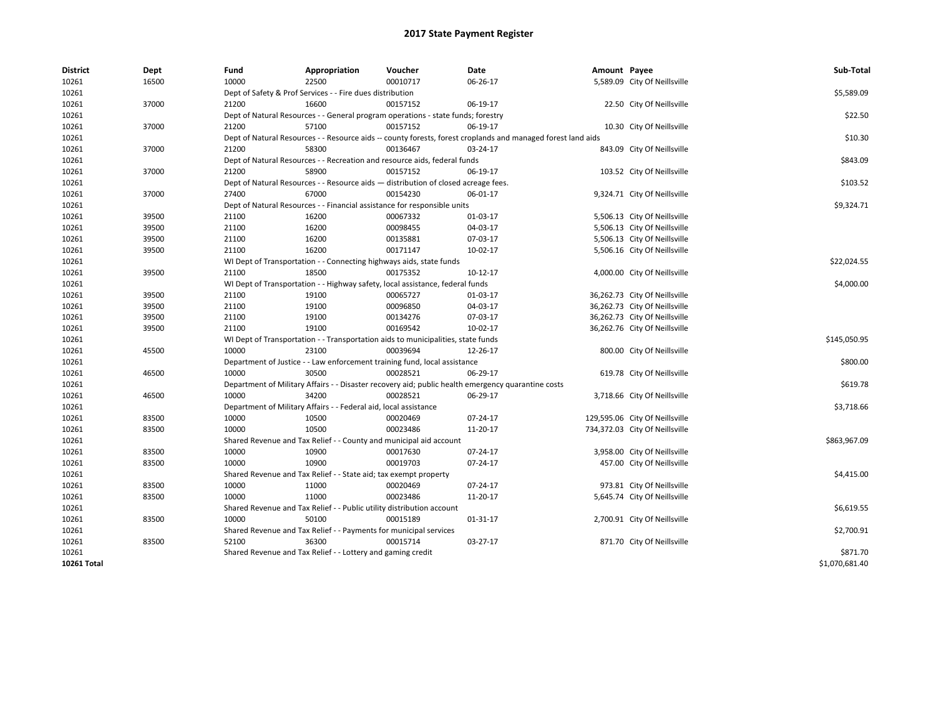| District           | Dept  | Fund  | Appropriation                                                                      | Voucher  | Date                                                                                                         | Amount Payee |                                | Sub-Total      |  |  |  |
|--------------------|-------|-------|------------------------------------------------------------------------------------|----------|--------------------------------------------------------------------------------------------------------------|--------------|--------------------------------|----------------|--|--|--|
| 10261              | 16500 | 10000 | 22500                                                                              | 00010717 | 06-26-17                                                                                                     |              | 5,589.09 City Of Neillsville   |                |  |  |  |
| 10261              |       |       | Dept of Safety & Prof Services - - Fire dues distribution                          |          |                                                                                                              |              |                                | \$5,589.09     |  |  |  |
| 10261              | 37000 | 21200 | 16600                                                                              | 00157152 | 06-19-17                                                                                                     |              | 22.50 City Of Neillsville      |                |  |  |  |
| 10261              |       |       | Dept of Natural Resources - - General program operations - state funds; forestry   |          |                                                                                                              |              |                                | \$22.50        |  |  |  |
| 10261              | 37000 | 21200 | 57100                                                                              | 00157152 | 06-19-17                                                                                                     |              | 10.30 City Of Neillsville      |                |  |  |  |
| 10261              |       |       |                                                                                    |          | Dept of Natural Resources - - Resource aids -- county forests, forest croplands and managed forest land aids |              |                                | \$10.30        |  |  |  |
| 10261              | 37000 | 21200 | 58300                                                                              | 00136467 | 03-24-17                                                                                                     |              | 843.09 City Of Neillsville     |                |  |  |  |
| 10261              |       |       | Dept of Natural Resources - - Recreation and resource aids, federal funds          |          |                                                                                                              |              |                                | \$843.09       |  |  |  |
| 10261              | 37000 | 21200 | 58900                                                                              | 00157152 | 06-19-17                                                                                                     |              | 103.52 City Of Neillsville     |                |  |  |  |
| 10261              |       |       | Dept of Natural Resources - - Resource aids - distribution of closed acreage fees. |          |                                                                                                              |              |                                | \$103.52       |  |  |  |
| 10261              | 37000 | 27400 | 67000                                                                              | 00154230 | 06-01-17                                                                                                     |              | 9,324.71 City Of Neillsville   |                |  |  |  |
| 10261              |       |       | Dept of Natural Resources - - Financial assistance for responsible units           |          |                                                                                                              |              |                                | \$9,324.71     |  |  |  |
| 10261              | 39500 | 21100 | 16200                                                                              | 00067332 | 01-03-17                                                                                                     |              | 5,506.13 City Of Neillsville   |                |  |  |  |
| 10261              | 39500 | 21100 | 16200                                                                              | 00098455 | 04-03-17                                                                                                     |              | 5,506.13 City Of Neillsville   |                |  |  |  |
| 10261              | 39500 | 21100 | 16200                                                                              | 00135881 | 07-03-17                                                                                                     |              | 5,506.13 City Of Neillsville   |                |  |  |  |
| 10261              | 39500 | 21100 | 16200                                                                              | 00171147 | 10-02-17                                                                                                     |              | 5,506.16 City Of Neillsville   |                |  |  |  |
| 10261              |       |       | WI Dept of Transportation - - Connecting highways aids, state funds                |          |                                                                                                              |              |                                | \$22,024.55    |  |  |  |
| 10261              | 39500 | 21100 | 18500                                                                              | 00175352 | $10-12-17$                                                                                                   |              | 4,000.00 City Of Neillsville   |                |  |  |  |
| 10261              |       |       | WI Dept of Transportation - - Highway safety, local assistance, federal funds      |          |                                                                                                              |              |                                |                |  |  |  |
| 10261              | 39500 | 21100 | 19100                                                                              | 00065727 | 01-03-17                                                                                                     |              | 36,262.73 City Of Neillsville  |                |  |  |  |
| 10261              | 39500 | 21100 | 19100                                                                              | 00096850 | 04-03-17                                                                                                     |              | 36,262.73 City Of Neillsville  |                |  |  |  |
| 10261              | 39500 | 21100 | 19100                                                                              | 00134276 | 07-03-17                                                                                                     |              | 36,262.73 City Of Neillsville  |                |  |  |  |
| 10261              | 39500 | 21100 | 19100                                                                              | 00169542 | 10-02-17                                                                                                     |              | 36,262.76 City Of Neillsville  |                |  |  |  |
| 10261              |       |       | WI Dept of Transportation - - Transportation aids to municipalities, state funds   |          |                                                                                                              |              |                                | \$145,050.95   |  |  |  |
| 10261              | 45500 | 10000 | 23100                                                                              | 00039694 | 12-26-17                                                                                                     |              | 800.00 City Of Neillsville     |                |  |  |  |
| 10261              |       |       | Department of Justice - - Law enforcement training fund, local assistance          |          |                                                                                                              |              |                                | \$800.00       |  |  |  |
| 10261              | 46500 | 10000 | 30500                                                                              | 00028521 | 06-29-17                                                                                                     |              | 619.78 City Of Neillsville     |                |  |  |  |
| 10261              |       |       |                                                                                    |          | Department of Military Affairs - - Disaster recovery aid; public health emergency quarantine costs           |              |                                | \$619.78       |  |  |  |
| 10261              | 46500 | 10000 | 34200                                                                              | 00028521 | 06-29-17                                                                                                     |              | 3,718.66 City Of Neillsville   |                |  |  |  |
| 10261              |       |       | Department of Military Affairs - - Federal aid, local assistance                   |          |                                                                                                              |              |                                | \$3,718.66     |  |  |  |
| 10261              | 83500 | 10000 | 10500                                                                              | 00020469 | 07-24-17                                                                                                     |              | 129,595.06 City Of Neillsville |                |  |  |  |
| 10261              | 83500 | 10000 | 10500                                                                              | 00023486 | 11-20-17                                                                                                     |              | 734,372.03 City Of Neillsville |                |  |  |  |
| 10261              |       |       | Shared Revenue and Tax Relief - - County and municipal aid account                 |          |                                                                                                              |              |                                | \$863,967.09   |  |  |  |
| 10261              | 83500 | 10000 | 10900                                                                              | 00017630 | 07-24-17                                                                                                     |              | 3,958.00 City Of Neillsville   |                |  |  |  |
| 10261              | 83500 | 10000 | 10900                                                                              | 00019703 | 07-24-17                                                                                                     |              | 457.00 City Of Neillsville     |                |  |  |  |
| 10261              |       |       | Shared Revenue and Tax Relief - - State aid; tax exempt property                   |          |                                                                                                              |              |                                | \$4,415.00     |  |  |  |
| 10261              | 83500 | 10000 | 11000                                                                              | 00020469 | 07-24-17                                                                                                     |              | 973.81 City Of Neillsville     |                |  |  |  |
| 10261              | 83500 | 10000 | 11000                                                                              | 00023486 | 11-20-17                                                                                                     |              | 5,645.74 City Of Neillsville   |                |  |  |  |
| 10261              |       |       | Shared Revenue and Tax Relief - - Public utility distribution account              |          |                                                                                                              |              |                                | \$6,619.55     |  |  |  |
| 10261              | 83500 | 10000 | 50100                                                                              | 00015189 | 01-31-17                                                                                                     |              | 2,700.91 City Of Neillsville   |                |  |  |  |
| 10261              |       |       | Shared Revenue and Tax Relief - - Payments for municipal services                  |          |                                                                                                              |              |                                | \$2,700.91     |  |  |  |
| 10261              | 83500 | 52100 | 36300                                                                              | 00015714 | 03-27-17                                                                                                     |              | 871.70 City Of Neillsville     |                |  |  |  |
| 10261              |       |       | Shared Revenue and Tax Relief - - Lottery and gaming credit                        |          |                                                                                                              |              |                                | \$871.70       |  |  |  |
| <b>10261 Total</b> |       |       |                                                                                    |          |                                                                                                              |              |                                | \$1,070,681.40 |  |  |  |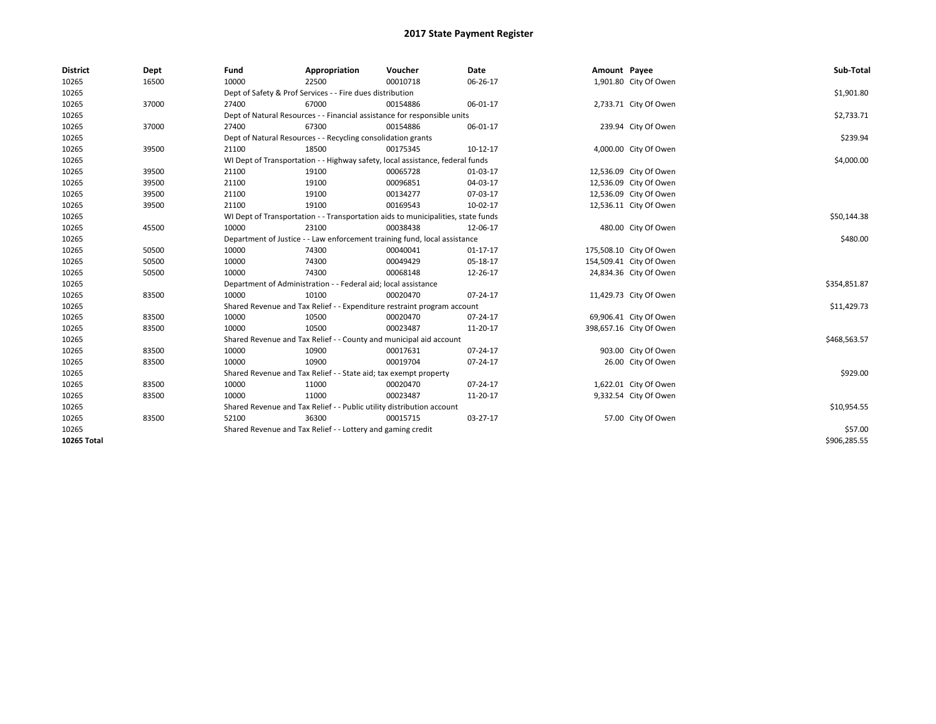| <b>District</b> | Dept  | Fund                                                                  | Appropriation                                                                    | Voucher  | Date           | Amount Payee |                         | Sub-Total    |  |  |
|-----------------|-------|-----------------------------------------------------------------------|----------------------------------------------------------------------------------|----------|----------------|--------------|-------------------------|--------------|--|--|
| 10265           | 16500 | 10000                                                                 | 22500                                                                            | 00010718 | 06-26-17       |              | 1,901.80 City Of Owen   |              |  |  |
| 10265           |       |                                                                       | Dept of Safety & Prof Services - - Fire dues distribution                        |          |                |              |                         |              |  |  |
| 10265           | 37000 | 27400                                                                 | 67000                                                                            | 00154886 | 06-01-17       |              | 2,733.71 City Of Owen   |              |  |  |
| 10265           |       |                                                                       | Dept of Natural Resources - - Financial assistance for responsible units         |          |                |              |                         |              |  |  |
| 10265           | 37000 | 27400                                                                 | 67300                                                                            | 00154886 | 06-01-17       |              | 239.94 City Of Owen     |              |  |  |
| 10265           |       |                                                                       | Dept of Natural Resources - - Recycling consolidation grants                     |          |                |              |                         |              |  |  |
| 10265           | 39500 | 21100                                                                 | 18500                                                                            | 00175345 | $10-12-17$     |              | 4,000.00 City Of Owen   |              |  |  |
| 10265           |       |                                                                       | WI Dept of Transportation - - Highway safety, local assistance, federal funds    |          |                |              |                         | \$4,000.00   |  |  |
| 10265           | 39500 | 21100                                                                 | 19100                                                                            | 00065728 | 01-03-17       |              | 12,536.09 City Of Owen  |              |  |  |
| 10265           | 39500 | 21100                                                                 | 19100                                                                            | 00096851 | 04-03-17       |              | 12,536.09 City Of Owen  |              |  |  |
| 10265           | 39500 | 21100                                                                 | 19100                                                                            | 00134277 | 07-03-17       |              | 12,536.09 City Of Owen  |              |  |  |
| 10265           | 39500 | 21100                                                                 | 19100                                                                            | 00169543 | 10-02-17       |              | 12,536.11 City Of Owen  |              |  |  |
| 10265           |       |                                                                       | WI Dept of Transportation - - Transportation aids to municipalities, state funds |          |                |              |                         | \$50,144.38  |  |  |
| 10265           | 45500 | 10000                                                                 | 23100                                                                            | 00038438 | 12-06-17       |              | 480.00 City Of Owen     |              |  |  |
| 10265           |       |                                                                       | Department of Justice - - Law enforcement training fund, local assistance        |          |                |              |                         |              |  |  |
| 10265           | 50500 | 10000                                                                 | 74300                                                                            | 00040041 | $01 - 17 - 17$ |              | 175,508.10 City Of Owen |              |  |  |
| 10265           | 50500 | 10000                                                                 | 74300                                                                            | 00049429 | 05-18-17       |              | 154,509.41 City Of Owen |              |  |  |
| 10265           | 50500 | 10000                                                                 | 74300                                                                            | 00068148 | 12-26-17       |              | 24,834.36 City Of Owen  |              |  |  |
| 10265           |       |                                                                       | Department of Administration - - Federal aid; local assistance                   |          |                |              |                         |              |  |  |
| 10265           | 83500 | 10000                                                                 | 10100                                                                            | 00020470 | 07-24-17       |              | 11,429.73 City Of Owen  |              |  |  |
| 10265           |       |                                                                       | Shared Revenue and Tax Relief - - Expenditure restraint program account          |          |                |              |                         |              |  |  |
| 10265           | 83500 | 10000                                                                 | 10500                                                                            | 00020470 | 07-24-17       |              | 69,906.41 City Of Owen  |              |  |  |
| 10265           | 83500 | 10000                                                                 | 10500                                                                            | 00023487 | 11-20-17       |              | 398,657.16 City Of Owen |              |  |  |
| 10265           |       |                                                                       | Shared Revenue and Tax Relief - - County and municipal aid account               |          |                |              |                         | \$468,563.57 |  |  |
| 10265           | 83500 | 10000                                                                 | 10900                                                                            | 00017631 | 07-24-17       |              | 903.00 City Of Owen     |              |  |  |
| 10265           | 83500 | 10000                                                                 | 10900                                                                            | 00019704 | 07-24-17       |              | 26.00 City Of Owen      |              |  |  |
| 10265           |       | Shared Revenue and Tax Relief - - State aid; tax exempt property      | \$929.00                                                                         |          |                |              |                         |              |  |  |
| 10265           | 83500 | 10000                                                                 | 11000                                                                            | 00020470 | 07-24-17       |              | 1,622.01 City Of Owen   |              |  |  |
| 10265           | 83500 | 10000                                                                 | 11000                                                                            | 00023487 | 11-20-17       |              | 9,332.54 City Of Owen   |              |  |  |
| 10265           |       | Shared Revenue and Tax Relief - - Public utility distribution account | \$10,954.55                                                                      |          |                |              |                         |              |  |  |
| 10265           | 83500 | 52100                                                                 | 36300                                                                            | 00015715 | 03-27-17       |              | 57.00 City Of Owen      |              |  |  |
| 10265           |       | Shared Revenue and Tax Relief - - Lottery and gaming credit           |                                                                                  |          |                |              |                         |              |  |  |
| 10265 Total     |       |                                                                       |                                                                                  |          |                |              |                         | \$906,285.55 |  |  |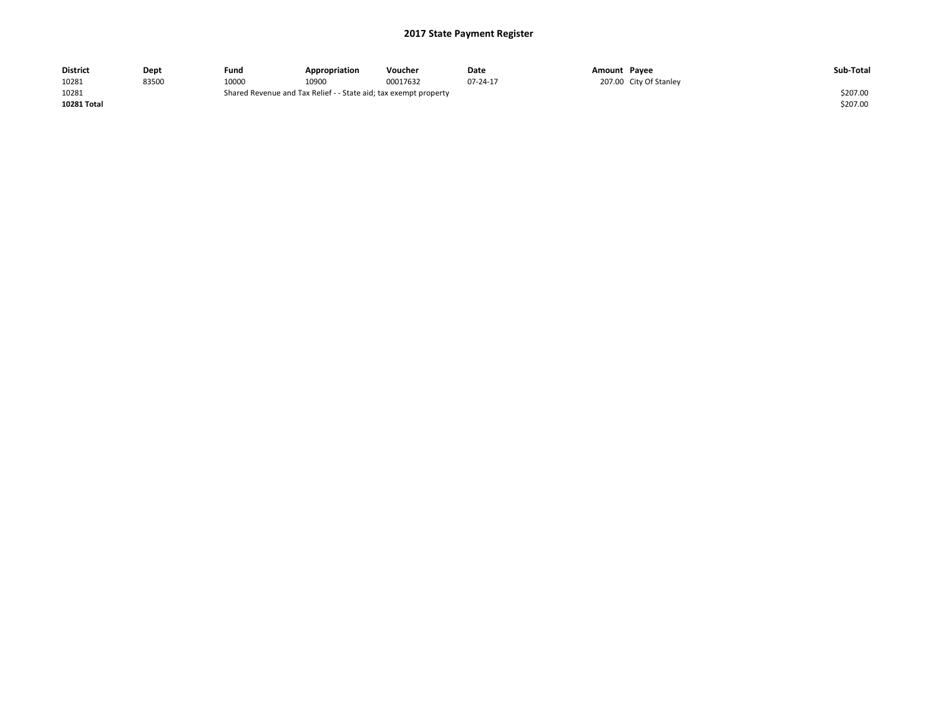| <b>District</b> | Dept  | Fund                                                             | Appropriation | Voucher  | Date     | Amount Payee |                        | Sub-Total |
|-----------------|-------|------------------------------------------------------------------|---------------|----------|----------|--------------|------------------------|-----------|
| 10281           | 83500 | 10000                                                            | 10900         | 00017632 | 07-24-17 |              | 207.00 City Of Stanley |           |
| 10281           |       | Shared Revenue and Tax Relief - - State aid; tax exempt property |               |          |          |              |                        | \$207.00  |
| 10281 Total     |       |                                                                  |               |          |          |              |                        | \$207.00  |
|                 |       |                                                                  |               |          |          |              |                        |           |